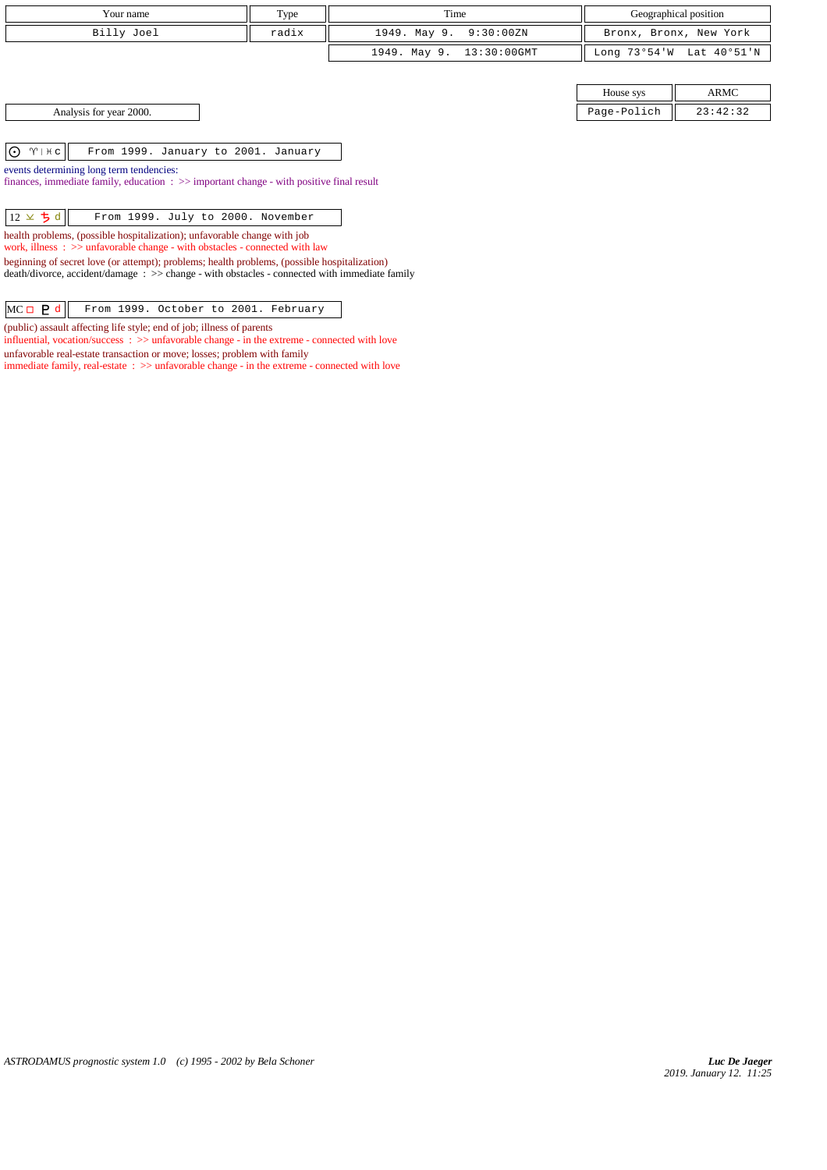|                                                                                                                                                                                               |       | Time                        |              |                        |  |  |
|-----------------------------------------------------------------------------------------------------------------------------------------------------------------------------------------------|-------|-----------------------------|--------------|------------------------|--|--|
| Your name                                                                                                                                                                                     | Type  |                             |              | Geographical position  |  |  |
| Billy Joel                                                                                                                                                                                    | radix | 1949. May 9.<br>9:30:00ZN   |              | Bronx, Bronx, New York |  |  |
|                                                                                                                                                                                               |       | 13:30:00GMT<br>1949. May 9. | Long 73°54'W | Lat 40°51'N            |  |  |
|                                                                                                                                                                                               |       |                             |              |                        |  |  |
|                                                                                                                                                                                               |       |                             | House sys    | ARMC                   |  |  |
| Analysis for year 2000.                                                                                                                                                                       |       |                             | Page-Polich  | 23:42:32               |  |  |
|                                                                                                                                                                                               |       |                             |              |                        |  |  |
| $\bigodot$ $\gamma$   $\forall$ c<br>From 1999. January to 2001. January                                                                                                                      |       |                             |              |                        |  |  |
| events determining long term tendencies:<br>finances, immediate family, education $\Rightarrow$ > important change - with positive final result                                               |       |                             |              |                        |  |  |
|                                                                                                                                                                                               |       |                             |              |                        |  |  |
| $12 \times 5d$<br>From 1999. July to 2000. November                                                                                                                                           |       |                             |              |                        |  |  |
| health problems, (possible hospitalization); unfavorable change with job<br>work, illness $\Rightarrow$ >> unfavorable change - with obstacles - connected with law                           |       |                             |              |                        |  |  |
| beginning of secret love (or attempt); problems; health problems, (possible hospitalization)<br>death/divorce, accident/damage : >> change - with obstacles - connected with immediate family |       |                             |              |                        |  |  |
|                                                                                                                                                                                               |       |                             |              |                        |  |  |
| $MC \Box$ $P d$<br>From 1999. October to 2001. February                                                                                                                                       |       |                             |              |                        |  |  |

(public) assault affecting life style; end of job; illness of parents

unfavorable real-estate transaction or move; losses; problem with family

influential, vocation/success : >> unfavorable change - in the extreme - connected with love

immediate family, real-estate : >> unfavorable change - in the extreme - connected with love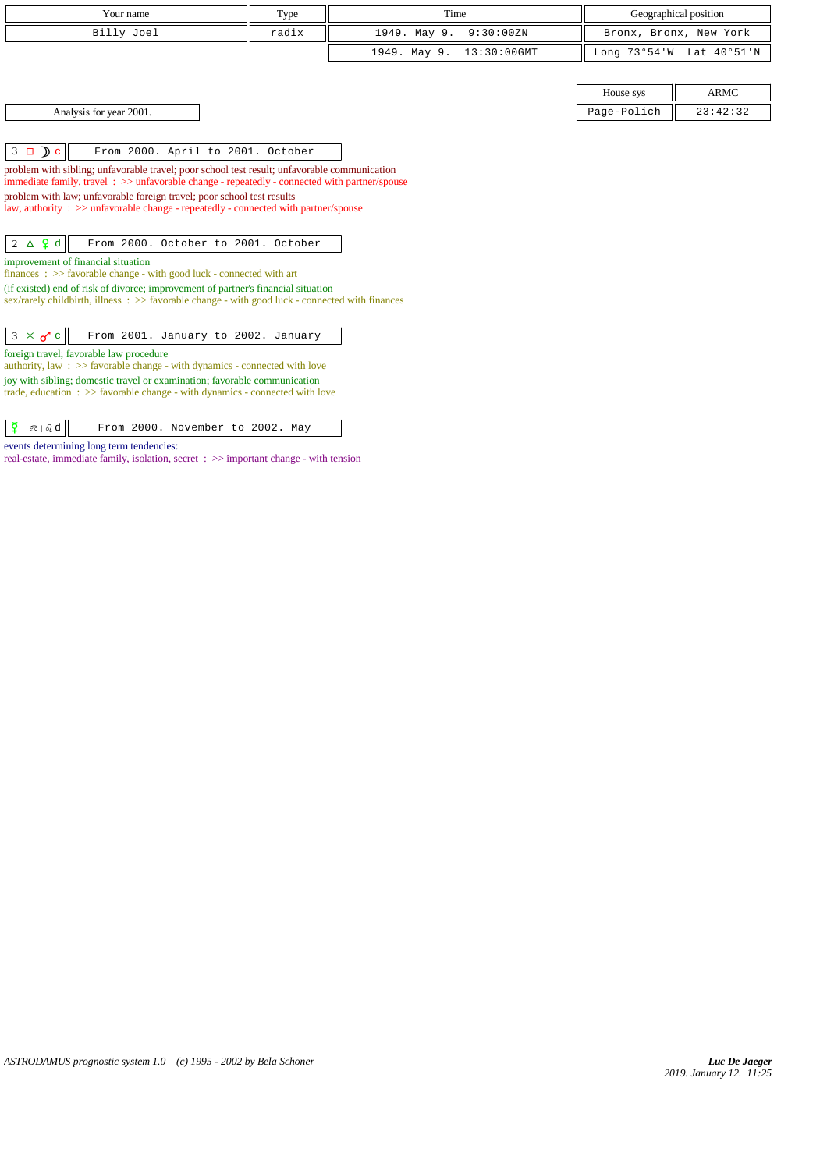| Type<br>Time<br>Geographical position<br>Your name<br>Billy Joel<br>radix<br>1949. May 9.<br>9:30:00ZN<br>Bronx, Bronx, New York                                     |  |
|----------------------------------------------------------------------------------------------------------------------------------------------------------------------|--|
|                                                                                                                                                                      |  |
|                                                                                                                                                                      |  |
| 1949. May 9.<br>$13:30:00$ GMT<br>Long 73°54'W<br>Lat 40°51'N                                                                                                        |  |
|                                                                                                                                                                      |  |
| <b>ARMC</b><br>House sys                                                                                                                                             |  |
| 23:42:32<br>Analysis for year 2001.<br>Page-Polich                                                                                                                   |  |
|                                                                                                                                                                      |  |
| $3 \Box$ $\Box$ $\Box$<br>From 2000. April to 2001. October                                                                                                          |  |
| problem with sibling; unfavorable travel; poor school test result; unfavorable communication                                                                         |  |
| immediate family, travel $\Rightarrow$ unfavorable change - repeatedly - connected with partner/spouse                                                               |  |
| problem with law; unfavorable foreign travel; poor school test results                                                                                               |  |
| law, authority : $\gg$ unfavorable change - repeatedly - connected with partner/spouse                                                                               |  |
|                                                                                                                                                                      |  |
| $2 \Delta$ $9d$<br>From 2000. October to 2001. October                                                                                                               |  |
| improvement of financial situation                                                                                                                                   |  |
| finances : $\gg$ favorable change - with good luck - connected with art                                                                                              |  |
| (if existed) end of risk of divorce; improvement of partner's financial situation                                                                                    |  |
| $sex/rarely childbirth$ , illness : $>>$ favorable change - with good luck - connected with finances                                                                 |  |
|                                                                                                                                                                      |  |
| $3 \times \sigma$ c<br>From 2001. January to 2002. January                                                                                                           |  |
| foreign travel; favorable law procedure<br>authority, law : $\gg$ favorable change - with dynamics - connected with love                                             |  |
|                                                                                                                                                                      |  |
| joy with sibling; domestic travel or examination; favorable communication<br>trade, education $\Rightarrow$ > favorable change - with dynamics - connected with love |  |
|                                                                                                                                                                      |  |

 $\boxed{\Phi}$   $\otimes$  |  $\partial$  d  $\boxed{\ }$  From 2000. November to 2002. May

events determining long term tendencies:

real-estate, immediate family, isolation, secret : >> important change - with tension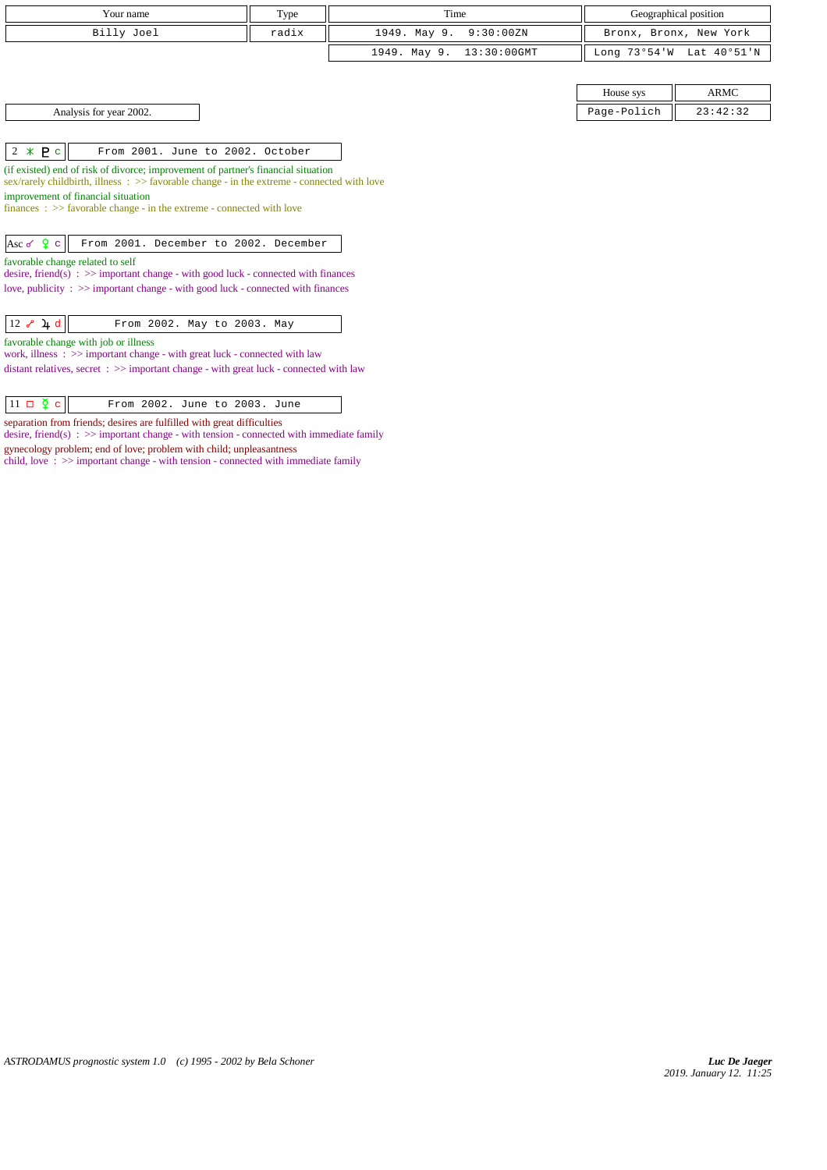| Your name                                                                                                                                                                                                                                                                                                                                                                                                                                                                                                                                                                                                  | Type  | Time                           |              | Geographical position  |  |  |
|------------------------------------------------------------------------------------------------------------------------------------------------------------------------------------------------------------------------------------------------------------------------------------------------------------------------------------------------------------------------------------------------------------------------------------------------------------------------------------------------------------------------------------------------------------------------------------------------------------|-------|--------------------------------|--------------|------------------------|--|--|
| Billy Joel                                                                                                                                                                                                                                                                                                                                                                                                                                                                                                                                                                                                 | radix | 1949. May 9.<br>9:30:00ZN      |              | Bronx, Bronx, New York |  |  |
|                                                                                                                                                                                                                                                                                                                                                                                                                                                                                                                                                                                                            |       | 1949. May 9.<br>$13:30:00$ GMT | Long 73°54'W | Lat 40°51'N            |  |  |
|                                                                                                                                                                                                                                                                                                                                                                                                                                                                                                                                                                                                            |       |                                |              |                        |  |  |
|                                                                                                                                                                                                                                                                                                                                                                                                                                                                                                                                                                                                            |       |                                | House sys    | <b>ARMC</b>            |  |  |
| Analysis for year 2002.                                                                                                                                                                                                                                                                                                                                                                                                                                                                                                                                                                                    |       |                                | Page-Polich  | 23:42:32               |  |  |
|                                                                                                                                                                                                                                                                                                                                                                                                                                                                                                                                                                                                            |       |                                |              |                        |  |  |
| $2 * P c$<br>From 2001. June to 2002. October                                                                                                                                                                                                                                                                                                                                                                                                                                                                                                                                                              |       |                                |              |                        |  |  |
| (if existed) end of risk of divorce; improvement of partner's financial situation<br>sex/rarely childbirth, illness $\therefore$ >> favorable change - in the extreme - connected with love<br>improvement of financial situation<br>$finances : \gg$ favorable change - in the extreme - connected with love<br>Asc of $\frac{6}{5}$ c<br>From 2001. December to 2002. December<br>favorable change related to self<br>desire, friend(s) : $\gg$ important change - with good luck - connected with finances<br>love, publicity $\Rightarrow$ important change - with good luck - connected with finances |       |                                |              |                        |  |  |
| $12$ $\sqrt[3]{4}$ d<br>From 2002. May to 2003. May<br>favorable change with job or illness                                                                                                                                                                                                                                                                                                                                                                                                                                                                                                                |       |                                |              |                        |  |  |
| work, illness $\Rightarrow$ important change - with great luck - connected with law                                                                                                                                                                                                                                                                                                                                                                                                                                                                                                                        |       |                                |              |                        |  |  |
| distant relatives, secret $\Rightarrow$ important change - with great luck - connected with law                                                                                                                                                                                                                                                                                                                                                                                                                                                                                                            |       |                                |              |                        |  |  |
| $11 \Box \Phi$ c<br>From 2002. June to 2003. June                                                                                                                                                                                                                                                                                                                                                                                                                                                                                                                                                          |       |                                |              |                        |  |  |

separation from friends; desires are fulfilled with great difficulties

desire, friend(s) :  $\gg$  important change - with tension - connected with immediate family gynecology problem; end of love; problem with child; unpleasantness

child, love : >> important change - with tension - connected with immediate family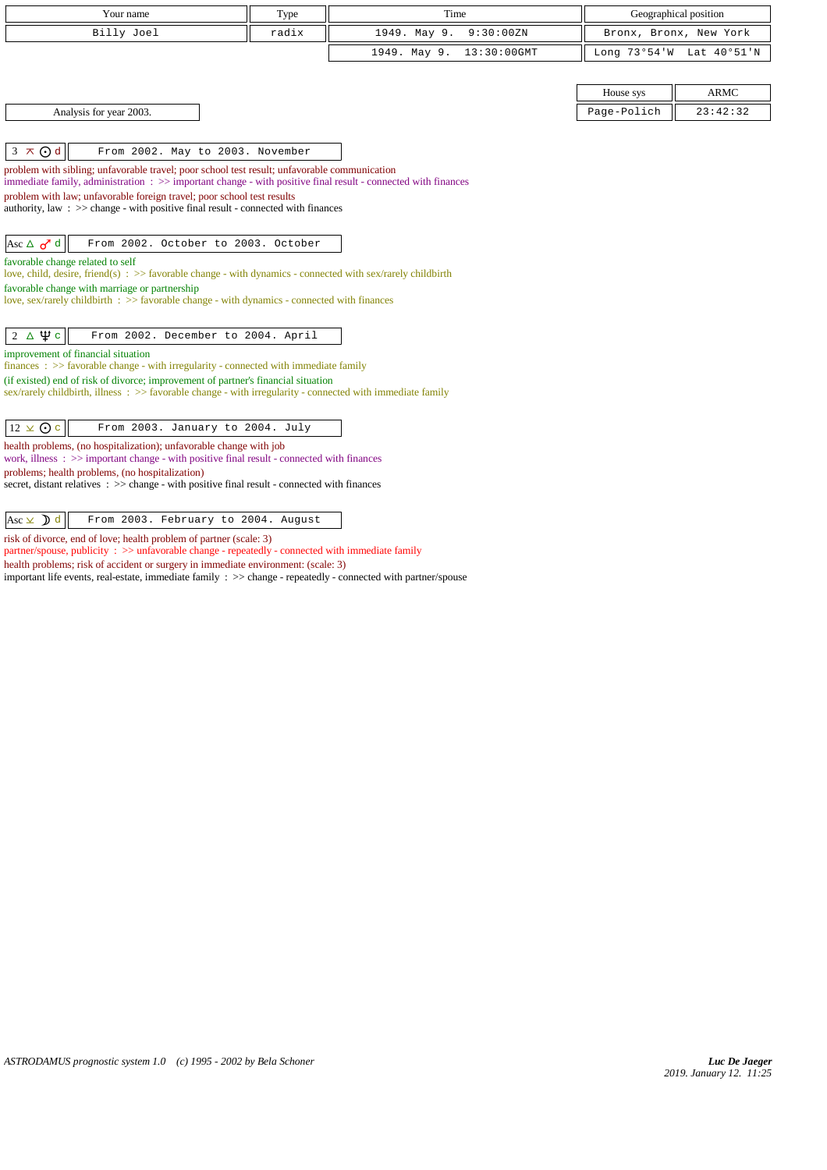| Your name                                                                                                                                                                                                | Type  | Time                        |                        | Geographical position    |  |
|----------------------------------------------------------------------------------------------------------------------------------------------------------------------------------------------------------|-------|-----------------------------|------------------------|--------------------------|--|
| Billy Joel                                                                                                                                                                                               | radix | 1949. May 9.<br>9:30:00ZN   | Bronx, Bronx, New York |                          |  |
|                                                                                                                                                                                                          |       | 13:30:00GMT<br>1949. May 9. |                        | Long 73°54'W Lat 40°51'N |  |
|                                                                                                                                                                                                          |       |                             |                        |                          |  |
|                                                                                                                                                                                                          |       |                             | House sys              | <b>ARMC</b>              |  |
| Analysis for year 2003.                                                                                                                                                                                  |       |                             | Page-Polich            | 23:42:32                 |  |
|                                                                                                                                                                                                          |       |                             |                        |                          |  |
| $3 \times Qd$<br>From 2002. May to 2003. November                                                                                                                                                        |       |                             |                        |                          |  |
| problem with sibling; unfavorable travel; poor school test result; unfavorable communication                                                                                                             |       |                             |                        |                          |  |
| immediate family, administration : >> important change - with positive final result - connected with finances                                                                                            |       |                             |                        |                          |  |
| problem with law; unfavorable foreign travel; poor school test results<br>authority, law $\therefore$ > change - with positive final result - connected with finances                                    |       |                             |                        |                          |  |
|                                                                                                                                                                                                          |       |                             |                        |                          |  |
| From 2002. October to 2003. October<br>Asc $\Delta$ o <sup>r</sup> d                                                                                                                                     |       |                             |                        |                          |  |
| favorable change related to self                                                                                                                                                                         |       |                             |                        |                          |  |
| love, child, desire, friend(s) : $\gg$ favorable change - with dynamics - connected with sex/rarely childbirth                                                                                           |       |                             |                        |                          |  |
| favorable change with marriage or partnership<br>love, sex/rarely childbirth : >> favorable change - with dynamics - connected with finances                                                             |       |                             |                        |                          |  |
|                                                                                                                                                                                                          |       |                             |                        |                          |  |
| $2 \Delta \Psi c$<br>From 2002. December to 2004. April                                                                                                                                                  |       |                             |                        |                          |  |
| improvement of financial situation                                                                                                                                                                       |       |                             |                        |                          |  |
| $finances: >> favorable change - with irregularity - connected with immediate family$                                                                                                                    |       |                             |                        |                          |  |
| (if existed) end of risk of divorce; improvement of partner's financial situation<br>sex/rarely childbirth, illness $\Rightarrow$ favorable change - with irregularity - connected with immediate family |       |                             |                        |                          |  |
|                                                                                                                                                                                                          |       |                             |                        |                          |  |
| $12 \times Qc$<br>From 2003. January to 2004. July                                                                                                                                                       |       |                             |                        |                          |  |
| health problems, (no hospitalization); unfavorable change with job<br>work, illness $\Rightarrow$ >> important change - with positive final result - connected with finances                             |       |                             |                        |                          |  |
| problems; health problems, (no hospitalization)                                                                                                                                                          |       |                             |                        |                          |  |
| secret, distant relatives : >> change - with positive final result - connected with finances                                                                                                             |       |                             |                        |                          |  |
|                                                                                                                                                                                                          |       |                             |                        |                          |  |
| Asc $\times$ d<br>From 2003. February to 2004. August                                                                                                                                                    |       |                             |                        |                          |  |
| risk of divorce, end of love; health problem of partner (scale: 3)<br>partner/spouse, publicity: >> unfavorable change - repeatedly - connected with immediate family                                    |       |                             |                        |                          |  |

health problems; risk of accident or surgery in immediate environment: (scale: 3)

important life events, real-estate, immediate family : >> change - repeatedly - connected with partner/spouse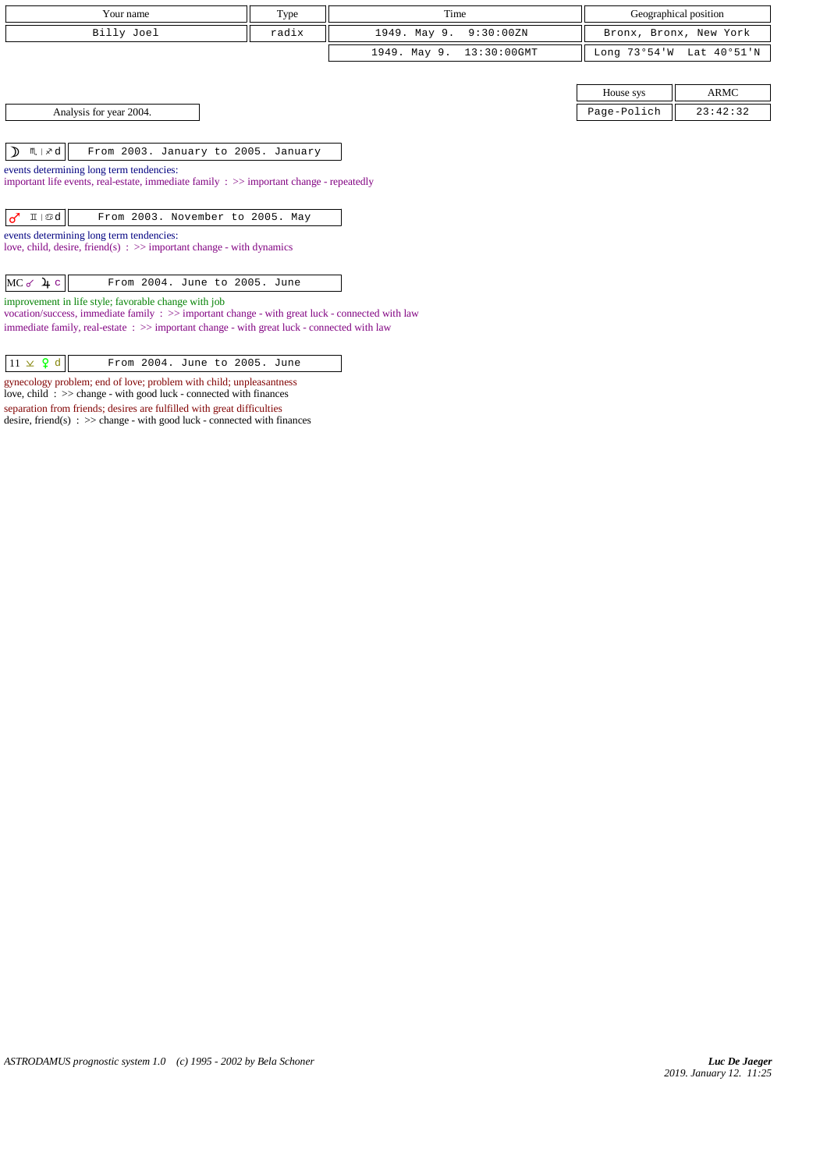| Your name                                                                                                                                                                                    | Type                                                                 | Time         |             | Geographical position |                        |  |
|----------------------------------------------------------------------------------------------------------------------------------------------------------------------------------------------|----------------------------------------------------------------------|--------------|-------------|-----------------------|------------------------|--|
| Billy Joel                                                                                                                                                                                   | radix                                                                | 1949. May 9. | 9:30:00ZN   |                       | Bronx, Bronx, New York |  |
|                                                                                                                                                                                              |                                                                      | 1949. May 9. | 13:30:00GMT | Long 73°54'W          | Lat 40°51'N            |  |
|                                                                                                                                                                                              |                                                                      |              |             |                       |                        |  |
|                                                                                                                                                                                              |                                                                      |              |             | House sys             | ARMC                   |  |
| Analysis for year 2004.                                                                                                                                                                      |                                                                      |              |             | Page-Polich           | 23:42:32               |  |
|                                                                                                                                                                                              |                                                                      |              |             |                       |                        |  |
|                                                                                                                                                                                              | $M \times d$<br>$\mathcal{D}$<br>From 2003. January to 2005. January |              |             |                       |                        |  |
| events determining long term tendencies:<br>important life events, real-estate, immediate family $\Rightarrow$ important change - repeatedly                                                 |                                                                      |              |             |                       |                        |  |
|                                                                                                                                                                                              |                                                                      |              |             |                       |                        |  |
| II   Sod  <br>From 2003. November to 2005. May<br>♂                                                                                                                                          |                                                                      |              |             |                       |                        |  |
| events determining long term tendencies:<br>love, child, desire, friend(s) $\Rightarrow$ important change - with dynamics                                                                    |                                                                      |              |             |                       |                        |  |
|                                                                                                                                                                                              |                                                                      |              |             |                       |                        |  |
| $MC \sim \mu c$<br>From 2004. June to 2005. June                                                                                                                                             |                                                                      |              |             |                       |                        |  |
| improvement in life style; favorable change with job                                                                                                                                         |                                                                      |              |             |                       |                        |  |
| vocation/success, immediate family : >> important change - with great luck - connected with law<br>immediate family, real-estate: >> important change - with great luck - connected with law |                                                                      |              |             |                       |                        |  |

 $\boxed{11 \times 9 \text{ d}}$  From 2004. June to 2005. June gynecology problem; end of love; problem with child; unpleasantness love, child : >> change - with good luck - connected with finances separation from friends; desires are fulfilled with great difficulties desire, friend(s) : >> change - with good luck - connected with finances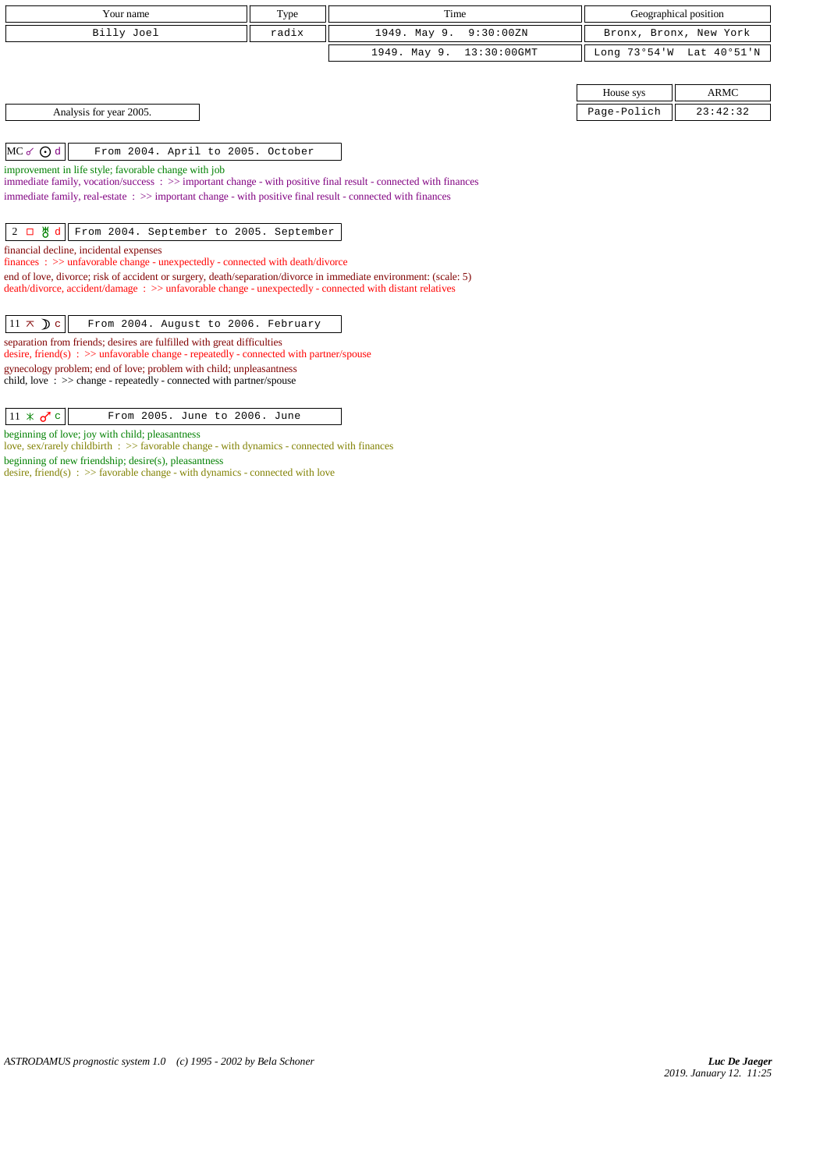| Your name                                                                                                                                                                        |       | Time                        |              | Geographical position  |  |
|----------------------------------------------------------------------------------------------------------------------------------------------------------------------------------|-------|-----------------------------|--------------|------------------------|--|
|                                                                                                                                                                                  | Type  |                             |              |                        |  |
| Billy Joel                                                                                                                                                                       | radix | 1949. May 9.<br>9:30:00 ZN  |              | Bronx, Bronx, New York |  |
|                                                                                                                                                                                  |       | 1949. May 9.<br>13:30:00GMT | Long 73°54'W | Lat 40°51'N            |  |
|                                                                                                                                                                                  |       |                             |              |                        |  |
|                                                                                                                                                                                  |       |                             | House sys    | ARMC                   |  |
| Analysis for year 2005.                                                                                                                                                          |       |                             | Page-Polich  | 23:42:32               |  |
|                                                                                                                                                                                  |       |                             |              |                        |  |
| $MC \sigma$ $Qd$<br>From 2004. April to 2005. October                                                                                                                            |       |                             |              |                        |  |
| improvement in life style; favorable change with job<br>immediate family, vocation/success $\Rightarrow$ important change - with positive final result - connected with finances |       |                             |              |                        |  |
| immediate family, real-estate : >> important change - with positive final result - connected with finances                                                                       |       |                             |              |                        |  |
|                                                                                                                                                                                  |       |                             |              |                        |  |
| $2 \Box$ $\mathbb{H}$ d   From 2004. September to 2005. September                                                                                                                |       |                             |              |                        |  |
|                                                                                                                                                                                  |       |                             |              |                        |  |

financial decline, incidental expenses

finances : >> unfavorable change - unexpectedly - connected with death/divorce

end of love, divorce; risk of accident or surgery, death/separation/divorce in immediate environment: (scale: 5) death/divorce, accident/damage : >> unfavorable change - unexpectedly - connected with distant relatives

separation from friends; desires are fulfilled with great difficulties

desire, friend(s) : >> unfavorable change - repeatedly - connected with partner/spouse

gynecology problem; end of love; problem with child; unpleasantness child, love : >> change - repeatedly - connected with partner/spouse

 $\|11 \times \sigma^r c\|$  From 2005. June to 2006. June

beginning of love; joy with child; pleasantness

love, sex/rarely childbirth : >> favorable change - with dynamics - connected with finances

beginning of new friendship; desire(s), pleasantness desire, friend(s) : >> favorable change - with dynamics - connected with love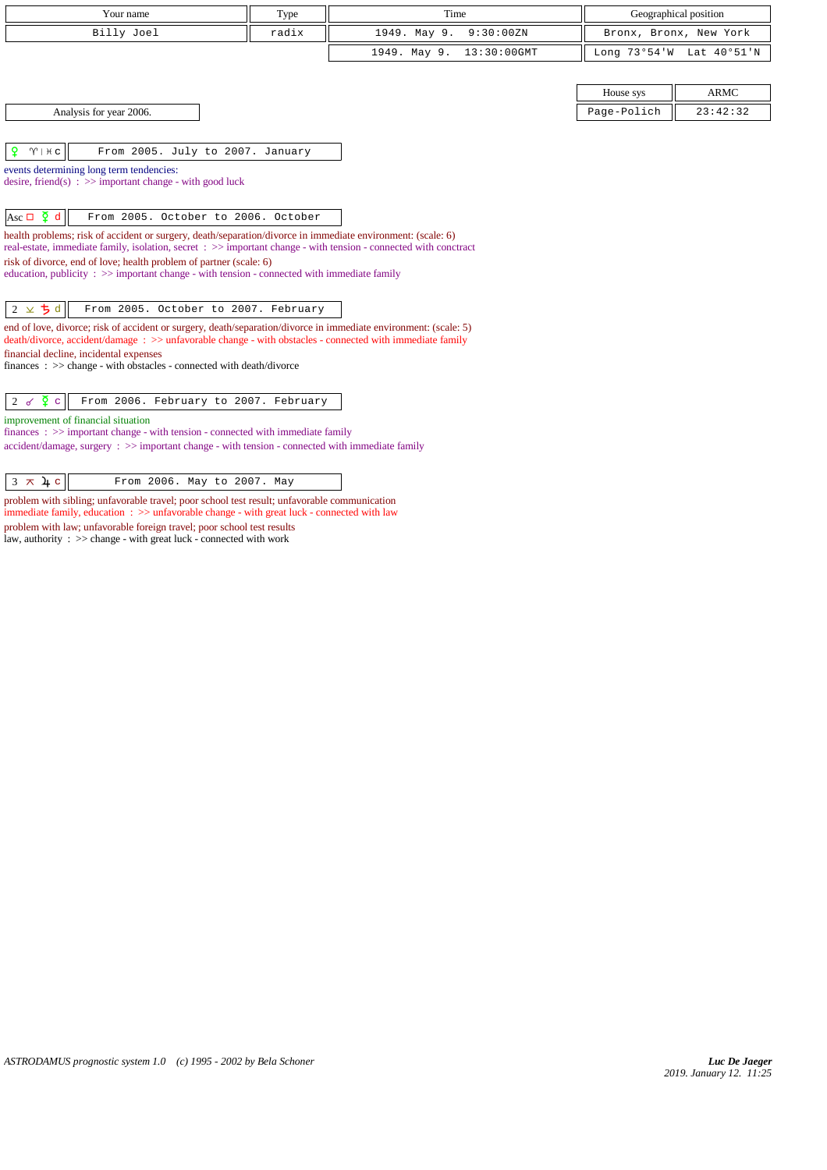| Your name                                                                                                                                                                                                                       | Type  | Time                           | Geographical position |                          |
|---------------------------------------------------------------------------------------------------------------------------------------------------------------------------------------------------------------------------------|-------|--------------------------------|-----------------------|--------------------------|
| Billy Joel                                                                                                                                                                                                                      | radix | 1949. May 9.<br>9:30:00 ZN     |                       | Bronx, Bronx, New York   |
|                                                                                                                                                                                                                                 |       | $13:30:00$ GMT<br>1949. May 9. |                       | Long 73°54'W Lat 40°51'N |
|                                                                                                                                                                                                                                 |       |                                |                       |                          |
|                                                                                                                                                                                                                                 |       |                                | House sys             | <b>ARMC</b>              |
| Analysis for year 2006.                                                                                                                                                                                                         |       |                                | Page-Polich           | 23:42:32                 |
|                                                                                                                                                                                                                                 |       |                                |                       |                          |
| ₽<br>$\gamma$   $\#$ c<br>From 2005. July to 2007. January                                                                                                                                                                      |       |                                |                       |                          |
| events determining long term tendencies:                                                                                                                                                                                        |       |                                |                       |                          |
| desire, friend(s) : $\gg$ important change - with good luck                                                                                                                                                                     |       |                                |                       |                          |
| Asc $\Box$ $\Phi$ d<br>From 2005. October to 2006. October                                                                                                                                                                      |       |                                |                       |                          |
| health problems; risk of accident or surgery, death/separation/divorce in immediate environment: (scale: 6)<br>real-estate, immediate family, isolation, secret : >> important change - with tension - connected with conctract |       |                                |                       |                          |
| risk of divorce, end of love; health problem of partner (scale: 6)                                                                                                                                                              |       |                                |                       |                          |
| education, publicity $\Rightarrow$ important change - with tension - connected with immediate family                                                                                                                            |       |                                |                       |                          |
| $2 \times 5d$<br>From 2005. October to 2007. February                                                                                                                                                                           |       |                                |                       |                          |
| end of love, divorce; risk of accident or surgery, death/separation/divorce in immediate environment: (scale: 5)                                                                                                                |       |                                |                       |                          |
| death/divorce, accident/damage : >> unfavorable change - with obstacles - connected with immediate family                                                                                                                       |       |                                |                       |                          |
| financial decline, incidental expenses<br>finances: >> change - with obstacles - connected with death/divorce                                                                                                                   |       |                                |                       |                          |
|                                                                                                                                                                                                                                 |       |                                |                       |                          |
| $2 \times \overline{2}$ c<br>From 2006. February to 2007. February                                                                                                                                                              |       |                                |                       |                          |
| improvement of financial situation                                                                                                                                                                                              |       |                                |                       |                          |
| $finances: \gg important change - with tension - connected with immediate family$<br>$accident/damage$ , surgery : $\gg$ important change - with tension - connected with immediate family                                      |       |                                |                       |                          |
|                                                                                                                                                                                                                                 |       |                                |                       |                          |

 $\begin{array}{|c|c|c|c|}\n\hline\n3 & \times & \text{4 c} & \text{From 2006. May to 2007. May}\n\hline\n\end{array}$ 

problem with sibling; unfavorable travel; poor school test result; unfavorable communication immediate family, education : >> unfavorable change - with great luck - connected with law problem with law; unfavorable foreign travel; poor school test results law, authority : >> change - with great luck - connected with work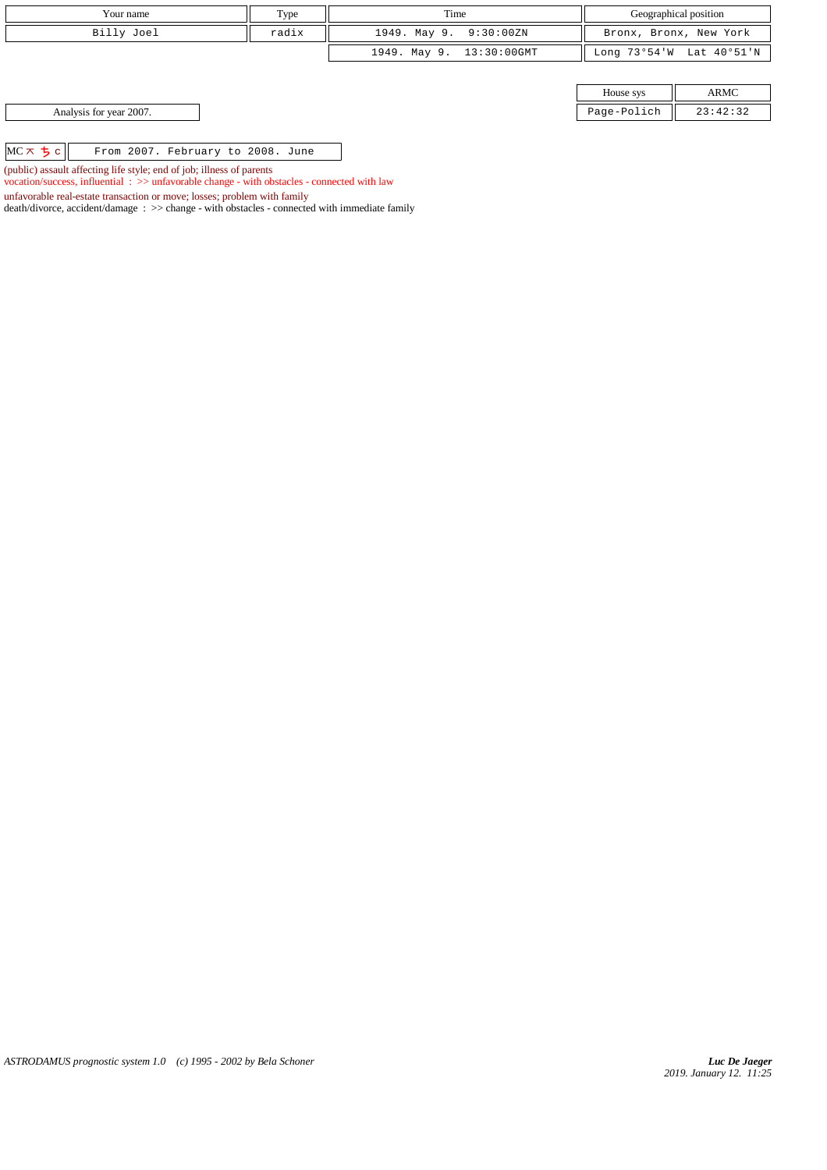| Your name                                                             | Type  | Time                     | Geographical position |                          |
|-----------------------------------------------------------------------|-------|--------------------------|-----------------------|--------------------------|
| Billy Joel                                                            | radix | 1949. May 9. 9:30:00ZN   |                       | Bronx, Bronx, New York   |
|                                                                       |       | 1949. May 9. 13:30:00GMT |                       | Long 73°54'W Lat 40°51'N |
|                                                                       |       |                          |                       |                          |
|                                                                       |       |                          | House sys             | ARMC                     |
| Analysis for year 2007.                                               |       |                          | Page-Polich           | 23:42:32                 |
|                                                                       |       |                          |                       |                          |
| $MC \times 5c$<br>From 2007. February to 2008. June                   |       |                          |                       |                          |
| (public) assault affecting life style; end of job; illness of parents |       |                          |                       |                          |

vocation/success, influential : >> unfavorable change - with obstacles - connected with law

death/divorce, accident/damage : >> change - with obstacles - connected with immediate family

unfavorable real-estate transaction or move; losses; problem with family

*ASTRODAMUS prognostic system 1.0 (c) 1995 - 2002 by Bela Schoner*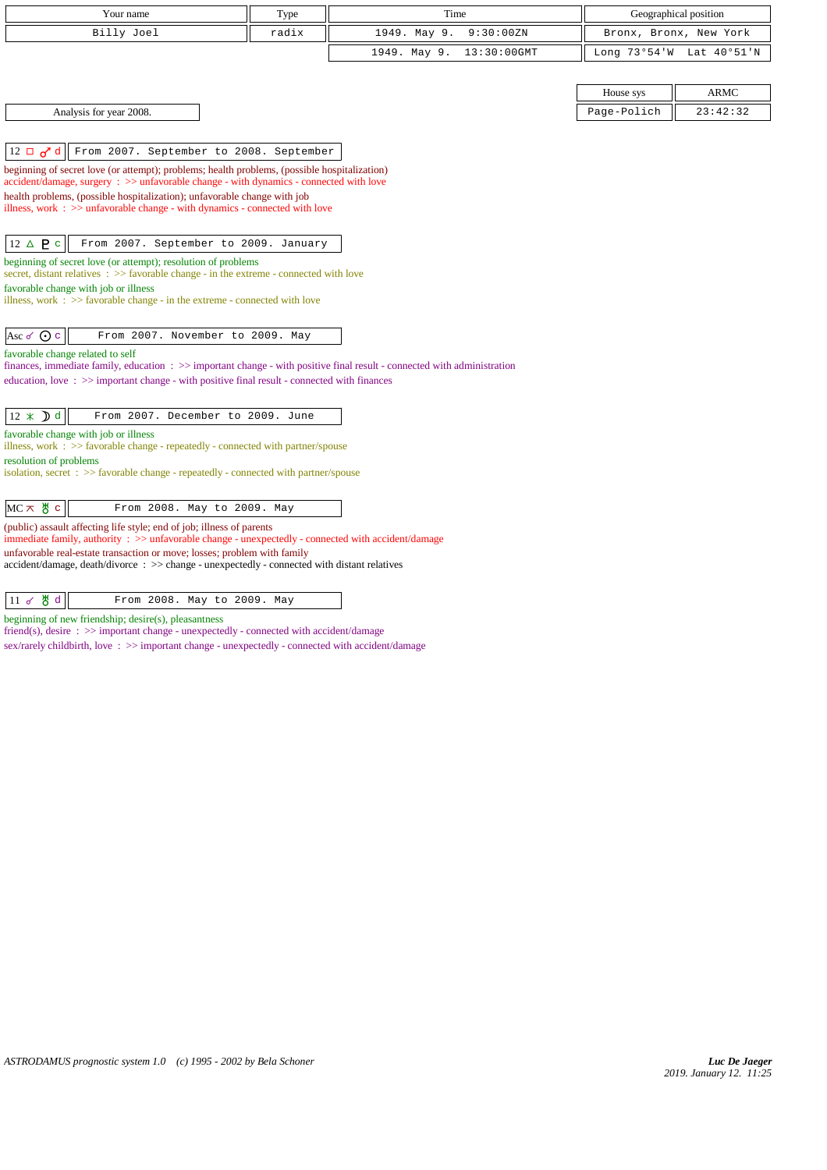| Your name                                                                                                                                                                                                                  | Type  | Time                           |                        | Geographical position |
|----------------------------------------------------------------------------------------------------------------------------------------------------------------------------------------------------------------------------|-------|--------------------------------|------------------------|-----------------------|
| Billy Joel                                                                                                                                                                                                                 | radix | 1949. May 9.<br>9:30:00ZN      | Bronx, Bronx, New York |                       |
|                                                                                                                                                                                                                            |       | 1949. May 9.<br>$13:30:00$ GMT | Long 73°54'W           | Lat 40°51'N           |
|                                                                                                                                                                                                                            |       |                                |                        |                       |
|                                                                                                                                                                                                                            |       |                                | House sys              | <b>ARMC</b>           |
| Analysis for year 2008.                                                                                                                                                                                                    |       |                                | Page-Polich            | 23:42:32              |
|                                                                                                                                                                                                                            |       |                                |                        |                       |
| From 2007. September to 2008. September<br>$12 \Box \sigma d$                                                                                                                                                              |       |                                |                        |                       |
| beginning of secret love (or attempt); problems; health problems, (possible hospitalization)<br>accident/damage, surgery : >> unfavorable change - with dynamics - connected with love                                     |       |                                |                        |                       |
| health problems, (possible hospitalization); unfavorable change with job                                                                                                                                                   |       |                                |                        |                       |
| illness, work $\Rightarrow$ >> unfavorable change - with dynamics - connected with love                                                                                                                                    |       |                                |                        |                       |
|                                                                                                                                                                                                                            |       |                                |                        |                       |
| $12 \triangle P c$<br>From 2007. September to 2009. January                                                                                                                                                                |       |                                |                        |                       |
| beginning of secret love (or attempt); resolution of problems<br>secret, distant relatives $\Rightarrow$ favorable change - in the extreme - connected with love                                                           |       |                                |                        |                       |
| favorable change with job or illness                                                                                                                                                                                       |       |                                |                        |                       |
| illness, work $\Rightarrow$ >> favorable change - in the extreme - connected with love                                                                                                                                     |       |                                |                        |                       |
| Asc $\sigma$ $\odot$ $\circ$<br>From 2007. November to 2009. May                                                                                                                                                           |       |                                |                        |                       |
| favorable change related to self                                                                                                                                                                                           |       |                                |                        |                       |
| finances, immediate family, education : >> important change - with positive final result - connected with administration<br>education, love: $\gg$ important change - with positive final result - connected with finances |       |                                |                        |                       |
|                                                                                                                                                                                                                            |       |                                |                        |                       |
| $12 \times D d$<br>From 2007. December to 2009. June                                                                                                                                                                       |       |                                |                        |                       |
| favorable change with job or illness                                                                                                                                                                                       |       |                                |                        |                       |
| illness, work : >> favorable change - repeatedly - connected with partner/spouse<br>resolution of problems                                                                                                                 |       |                                |                        |                       |
| isolation, secret $\Rightarrow$ Savorable change - repeatedly - connected with partner/spouse                                                                                                                              |       |                                |                        |                       |
|                                                                                                                                                                                                                            |       |                                |                        |                       |
| $MC \times$ # $c$<br>From 2008. May to 2009. May                                                                                                                                                                           |       |                                |                        |                       |
| (public) assault affecting life style; end of job; illness of parents<br>immediate family, authority: $\gg$ unfavorable change - unexpectedly - connected with accident/damage                                             |       |                                |                        |                       |
| unfavorable real-estate transaction or move; losses; problem with family                                                                                                                                                   |       |                                |                        |                       |
| accident/damage, death/divorce : >> change - unexpectedly - connected with distant relatives                                                                                                                               |       |                                |                        |                       |
|                                                                                                                                                                                                                            |       |                                |                        |                       |

11 & 8 d From 2008. May to 2009. May

beginning of new friendship; desire(s), pleasantness

friend(s), desire :  $\gg$  important change - unexpectedly - connected with accident/damage

sex/rarely childbirth, love : >> important change - unexpectedly - connected with accident/damage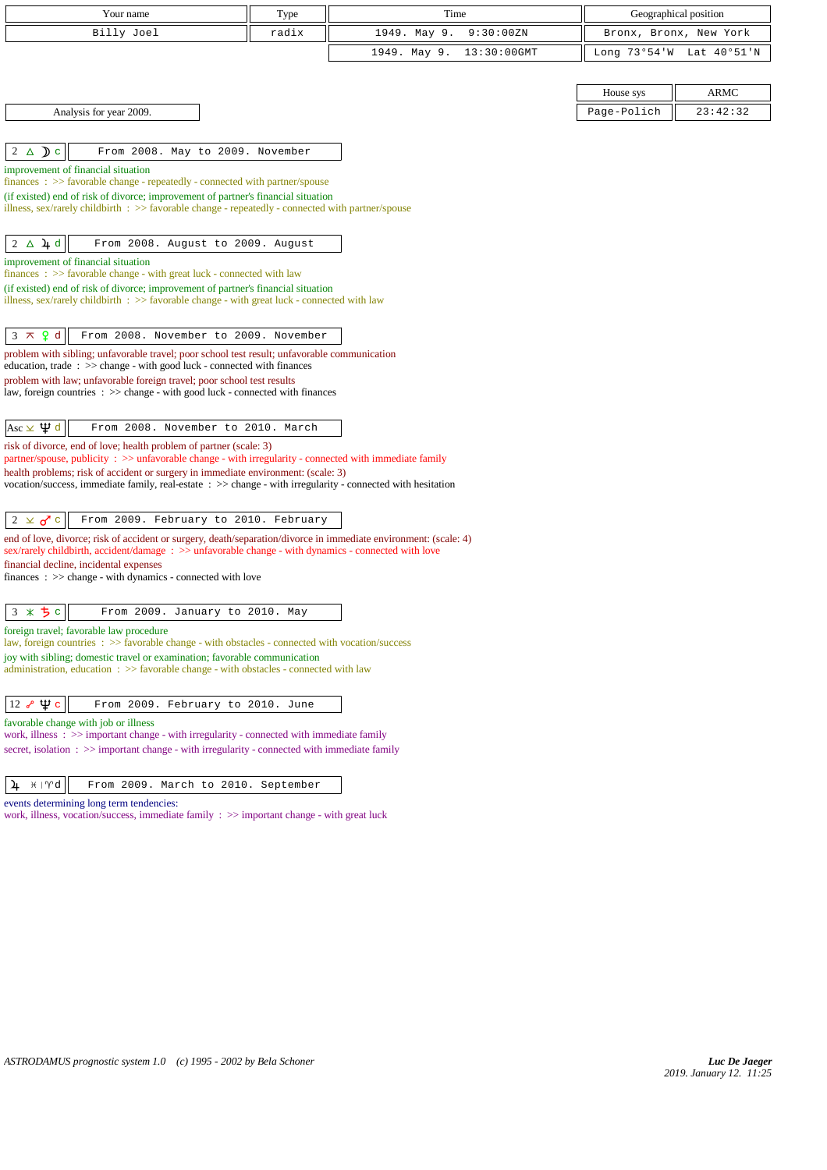|                              | Your name                                                                                                                                                                                                                  | Type  | Time                           | Geographical position  |             |
|------------------------------|----------------------------------------------------------------------------------------------------------------------------------------------------------------------------------------------------------------------------|-------|--------------------------------|------------------------|-------------|
|                              | Billy Joel                                                                                                                                                                                                                 | radix | 1949. May 9.<br>9:30:00ZN      | Bronx, Bronx, New York |             |
|                              |                                                                                                                                                                                                                            |       | $13:30:00$ GMT<br>1949. May 9. | Long $73°54'W$         | Lat 40°51'N |
|                              |                                                                                                                                                                                                                            |       |                                |                        |             |
|                              |                                                                                                                                                                                                                            |       |                                | House sys              | ARMC        |
|                              | Analysis for year 2009.                                                                                                                                                                                                    |       |                                | Page-Polich            | 23:42:32    |
|                              |                                                                                                                                                                                                                            |       |                                |                        |             |
| $2 \triangle$ D c            | From 2008. May to 2009. November                                                                                                                                                                                           |       |                                |                        |             |
|                              | improvement of financial situation<br>finances : >> favorable change - repeatedly - connected with partner/spouse                                                                                                          |       |                                |                        |             |
|                              | (if existed) end of risk of divorce; improvement of partner's financial situation                                                                                                                                          |       |                                |                        |             |
|                              | illness, sex/rarely childbirth $\therefore$ > favorable change - repeatedly - connected with partner/spouse                                                                                                                |       |                                |                        |             |
| $2 \Delta \mu d$             | From 2008. August to 2009. August                                                                                                                                                                                          |       |                                |                        |             |
|                              | improvement of financial situation                                                                                                                                                                                         |       |                                |                        |             |
|                              | finances: >> favorable change - with great luck - connected with law                                                                                                                                                       |       |                                |                        |             |
|                              | (if existed) end of risk of divorce; improvement of partner's financial situation<br>illness, sex/rarely childbirth : $\gg$ favorable change - with great luck - connected with law                                        |       |                                |                        |             |
|                              |                                                                                                                                                                                                                            |       |                                |                        |             |
| $3 \times 9d$                | From 2008. November to 2009. November                                                                                                                                                                                      |       |                                |                        |             |
|                              | problem with sibling; unfavorable travel; poor school test result; unfavorable communication<br>education, trade $\Rightarrow$ $\Rightarrow$ change - with good luck - connected with finances                             |       |                                |                        |             |
|                              | problem with law; unfavorable foreign travel; poor school test results                                                                                                                                                     |       |                                |                        |             |
|                              | law, foreign countries $\Rightarrow$ $\Rightarrow$ change - with good luck - connected with finances                                                                                                                       |       |                                |                        |             |
| Asc $\times$ $\uppsi$ d      | From 2008. November to 2010. March                                                                                                                                                                                         |       |                                |                        |             |
|                              | risk of divorce, end of love; health problem of partner (scale: 3)                                                                                                                                                         |       |                                |                        |             |
|                              | partner/spouse, publicity : >> unfavorable change - with irregularity - connected with immediate family                                                                                                                    |       |                                |                        |             |
|                              | health problems; risk of accident or surgery in immediate environment: (scale: 3)<br>vocation/success, immediate family, real-estate : >> change - with irregularity - connected with hesitation                           |       |                                |                        |             |
|                              |                                                                                                                                                                                                                            |       |                                |                        |             |
| $2 \times d$ c               | From 2009. February to 2010. February                                                                                                                                                                                      |       |                                |                        |             |
|                              | end of love, divorce; risk of accident or surgery, death/separation/divorce in immediate environment: (scale: 4)<br>sex/rarely childbirth, accident/damage: $\gg$ unfavorable change - with dynamics - connected with love |       |                                |                        |             |
|                              | financial decline, incidental expenses                                                                                                                                                                                     |       |                                |                        |             |
|                              | $finances : \gg change - with dynamics - connected with love$                                                                                                                                                              |       |                                |                        |             |
|                              | From 2009. January to 2010. May                                                                                                                                                                                            |       |                                |                        |             |
| $3 * 5c$                     | foreign travel; favorable law procedure                                                                                                                                                                                    |       |                                |                        |             |
|                              | law, foreign countries : >> favorable change - with obstacles - connected with vocation/success<br>joy with sibling; domestic travel or examination; favorable communication                                               |       |                                |                        |             |
|                              | administration, education $\Rightarrow$ > favorable change - with obstacles - connected with law                                                                                                                           |       |                                |                        |             |
|                              |                                                                                                                                                                                                                            |       |                                |                        |             |
| $12 \times \Psi$ c           | From 2009. February to 2010. June                                                                                                                                                                                          |       |                                |                        |             |
|                              | favorable change with job or illness<br>work, illness $\Rightarrow$ > important change - with irregularity - connected with immediate family                                                                               |       |                                |                        |             |
|                              | secret, isolation : >> important change - with irregularity - connected with immediate family                                                                                                                              |       |                                |                        |             |
|                              |                                                                                                                                                                                                                            |       |                                |                        |             |
| $4 \# \mathbb{M} \mathbb{Q}$ | From 2009. March to 2010. September                                                                                                                                                                                        |       |                                |                        |             |

events determining long term tendencies:

work, illness, vocation/success, immediate family : >> important change - with great luck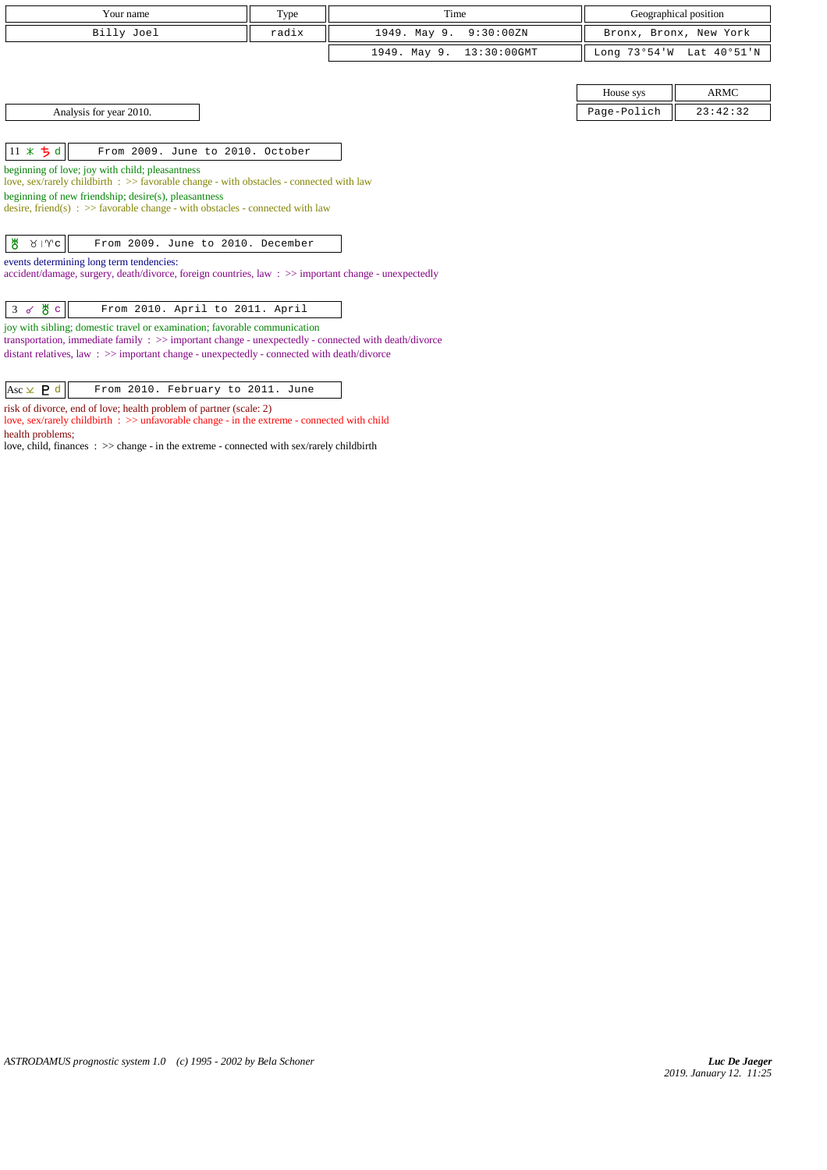| Your name                                                                                                                                | Type  | Time                        |             | Geographical position    |
|------------------------------------------------------------------------------------------------------------------------------------------|-------|-----------------------------|-------------|--------------------------|
| Billy Joel                                                                                                                               | radix | 1949. May 9.<br>9:30:00 ZN  |             | Bronx, Bronx, New York   |
|                                                                                                                                          |       | 13:30:00GMT<br>1949. May 9. |             | Long 73°54'W Lat 40°51'N |
|                                                                                                                                          |       |                             |             |                          |
|                                                                                                                                          |       |                             | House sys   | <b>ARMC</b>              |
| Analysis for year 2010.                                                                                                                  |       |                             | Page-Polich | 23:42:32                 |
|                                                                                                                                          |       |                             |             |                          |
| $11 \times 5d$<br>From 2009. June to 2010. October                                                                                       |       |                             |             |                          |
| beginning of love; joy with child; pleasantness                                                                                          |       |                             |             |                          |
| love, sex/rarely childbirth : >> favorable change - with obstacles - connected with law                                                  |       |                             |             |                          |
| beginning of new friendship; desire(s), pleasantness<br>desire, friend(s) : $\gg$ favorable change - with obstacles - connected with law |       |                             |             |                          |
|                                                                                                                                          |       |                             |             |                          |
| ₩<br>$81$ $\sqrt{c}$<br>From 2009. June to 2010. December                                                                                |       |                             |             |                          |
| events determining long term tendencies:                                                                                                 |       |                             |             |                          |
| accident/damage, surgery, death/divorce, foreign countries, law: >> important change - unexpectedly                                      |       |                             |             |                          |
|                                                                                                                                          |       |                             |             |                          |
| $3$ of $\frac{14}{9}$ c<br>From 2010. April to 2011. April                                                                               |       |                             |             |                          |
| joy with sibling; domestic travel or examination; favorable communication                                                                |       |                             |             |                          |
| transportation, immediate family $\Rightarrow$ >> important change - unexpectedly - connected with death/divorce                         |       |                             |             |                          |
| distant relatives, law : $\gg$ important change - unexpectedly - connected with death/divorce                                            |       |                             |             |                          |
|                                                                                                                                          |       |                             |             |                          |
| $Asc \times P d$<br>From 2010. February to 2011. June                                                                                    |       |                             |             |                          |

risk of divorce, end of love; health problem of partner (scale: 2)

health problems;

love, sex/rarely childbirth : >> unfavorable change - in the extreme - connected with child

love, child, finances : >> change - in the extreme - connected with sex/rarely childbirth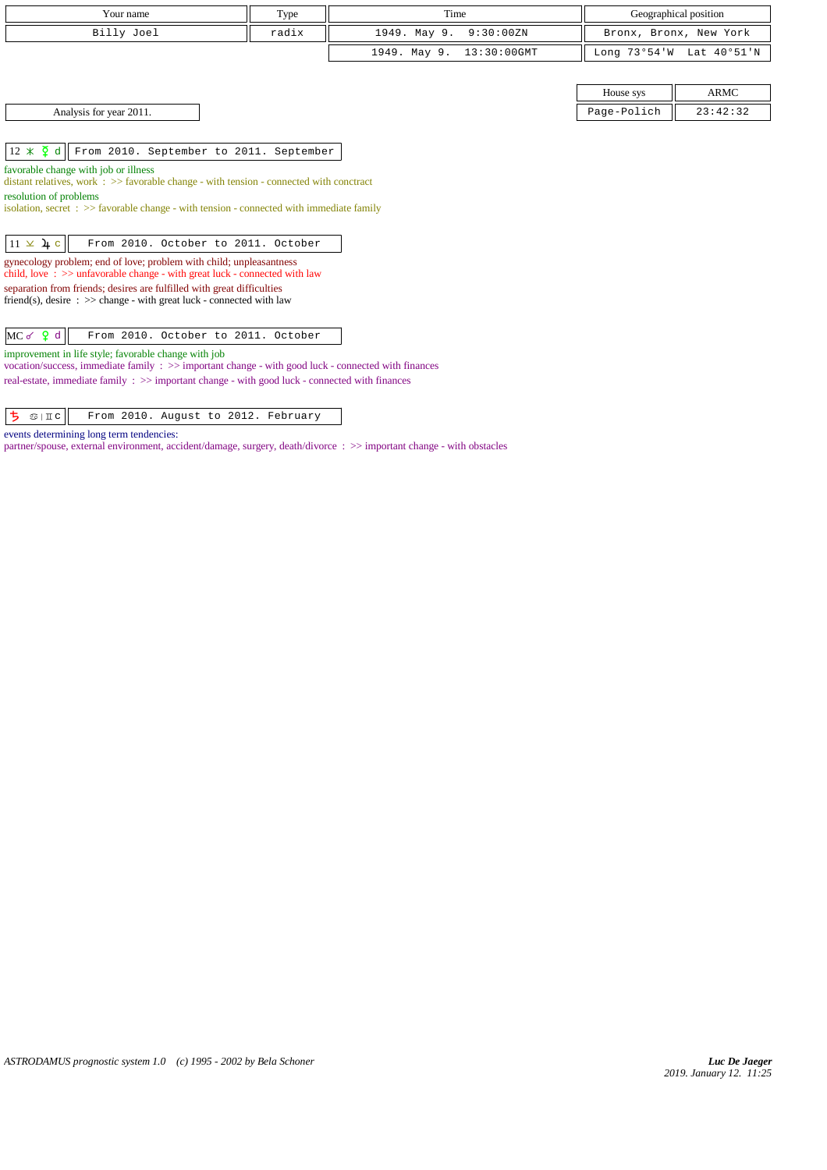| Your name                                                                                                                                                                                                      | Type  | Time                           |             | Geographical position    |
|----------------------------------------------------------------------------------------------------------------------------------------------------------------------------------------------------------------|-------|--------------------------------|-------------|--------------------------|
| Billy Joel                                                                                                                                                                                                     | radix | 1949. May 9.<br>9:30:00ZN      |             | Bronx, Bronx, New York   |
|                                                                                                                                                                                                                |       | 1949. May 9.<br>$13:30:00$ GMT |             | Long 73°54'W Lat 40°51'N |
|                                                                                                                                                                                                                |       |                                |             |                          |
|                                                                                                                                                                                                                |       |                                | House sys   | <b>ARMC</b>              |
| Analysis for year 2011.                                                                                                                                                                                        |       |                                | Page-Polich | 23:42:32                 |
|                                                                                                                                                                                                                |       |                                |             |                          |
| $12 \times \overline{2}$ d<br>From 2010. September to 2011. September                                                                                                                                          |       |                                |             |                          |
| favorable change with job or illness<br>distant relatives, work $\Rightarrow$ > favorable change - with tension - connected with conctract                                                                     |       |                                |             |                          |
| resolution of problems                                                                                                                                                                                         |       |                                |             |                          |
| isolation, secret : $\gg$ favorable change - with tension - connected with immediate family                                                                                                                    |       |                                |             |                          |
| $11 \times 4c$<br>From 2010. October to 2011. October                                                                                                                                                          |       |                                |             |                          |
| gynecology problem; end of love; problem with child; unpleasantness                                                                                                                                            |       |                                |             |                          |
| child, love $\Rightarrow$ >> unfavorable change - with great luck - connected with law<br>separation from friends; desires are fulfilled with great difficulties                                               |       |                                |             |                          |
| friend(s), desire $\Rightarrow$ >> change - with great luck - connected with law                                                                                                                               |       |                                |             |                          |
|                                                                                                                                                                                                                |       |                                |             |                          |
| $MC$ of $Q$ d<br>From 2010. October to 2011. October                                                                                                                                                           |       |                                |             |                          |
| improvement in life style; favorable change with job                                                                                                                                                           |       |                                |             |                          |
| vocation/success, immediate family : >> important change - with good luck - connected with finances<br>real-estate, immediate family $\Rightarrow$ important change - with good luck - connected with finances |       |                                |             |                          |

 $\boxed{5}$   $\circ$  | II c From 2010. August to 2012. February

events determining long term tendencies:

partner/spouse, external environment, accident/damage, surgery, death/divorce : >> important change - with obstacles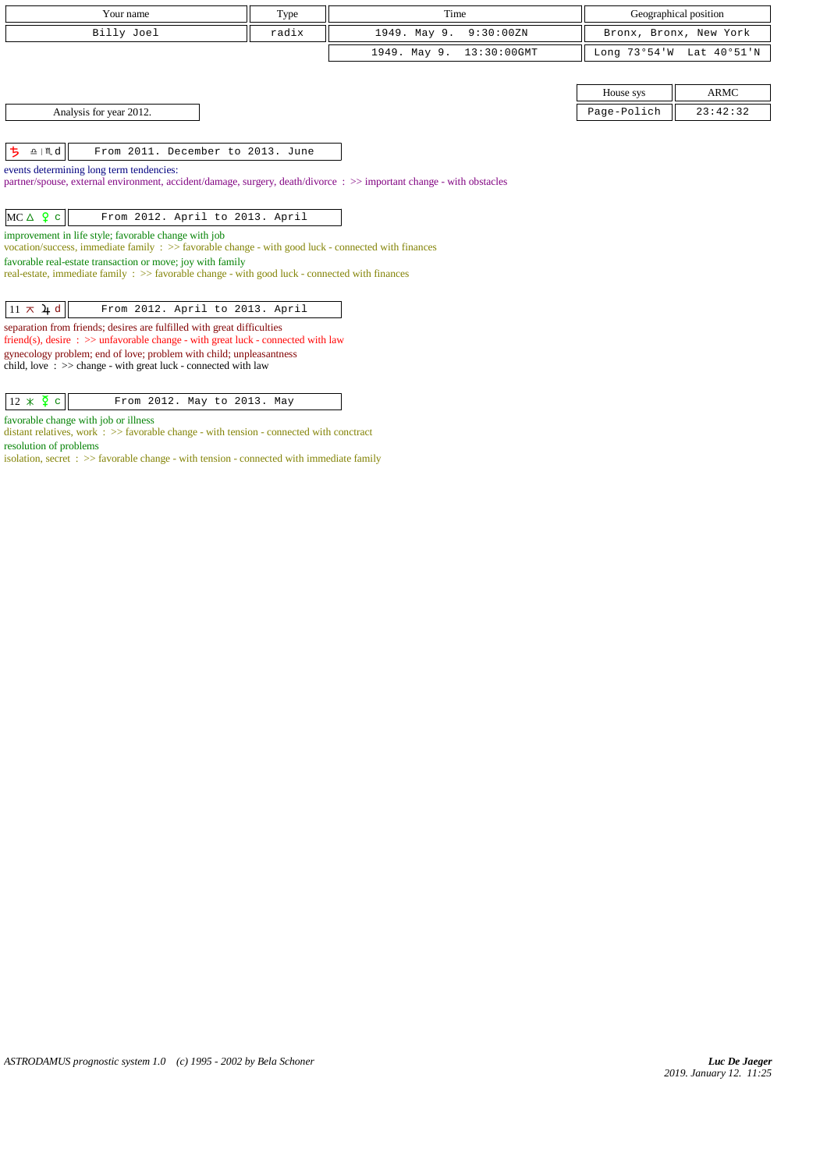| Your name                                                                                                                                                              | Type  | Time                           |             | Geographical position    |
|------------------------------------------------------------------------------------------------------------------------------------------------------------------------|-------|--------------------------------|-------------|--------------------------|
| Billy Joel                                                                                                                                                             | radix | 1949. May 9.<br>9:30:00ZN      |             | Bronx, Bronx, New York   |
|                                                                                                                                                                        |       | 1949. May 9.<br>$13:30:00$ GMT |             | Long 73°54'W Lat 40°51'N |
|                                                                                                                                                                        |       |                                |             |                          |
|                                                                                                                                                                        |       |                                | House sys   | <b>ARMC</b>              |
| Analysis for year 2012.                                                                                                                                                |       |                                | Page-Polich | 23:42:32                 |
|                                                                                                                                                                        |       |                                |             |                          |
| ち<br>$\underline{\mathbf{a}}$   $\mathbf{m}$ d<br>From 2011. December to 2013. June                                                                                    |       |                                |             |                          |
| events determining long term tendencies:                                                                                                                               |       |                                |             |                          |
| partner/spouse, external environment, accident/damage, surgery, death/divorce: >> important change - with obstacles                                                    |       |                                |             |                          |
| $MC \triangle 9 c$<br>From 2012. April to 2013. April                                                                                                                  |       |                                |             |                          |
| improvement in life style; favorable change with job                                                                                                                   |       |                                |             |                          |
| vocation/success, immediate family $\Rightarrow$ favorable change - with good luck - connected with finances                                                           |       |                                |             |                          |
| favorable real-estate transaction or move; joy with family<br>real-estate, immediate family : >> favorable change - with good luck - connected with finances           |       |                                |             |                          |
|                                                                                                                                                                        |       |                                |             |                          |
| $11 \times 4d$<br>From 2012. April to 2013. April                                                                                                                      |       |                                |             |                          |
| separation from friends; desires are fulfilled with great difficulties<br>friend(s), desire $\Rightarrow$ >> unfavorable change - with great luck - connected with law |       |                                |             |                          |
| gynecology problem; end of love; problem with child; unpleasantness<br>child, love $\Rightarrow$ > change - with great luck - connected with law                       |       |                                |             |                          |

 $\boxed{12 \times \zeta$  c From 2012. May to 2013. May

favorable change with job or illness

distant relatives, work : >> favorable change - with tension - connected with conctract resolution of problems

 $i$  isolation, secret :  $\gg$  favorable change - with tension - connected with immediate family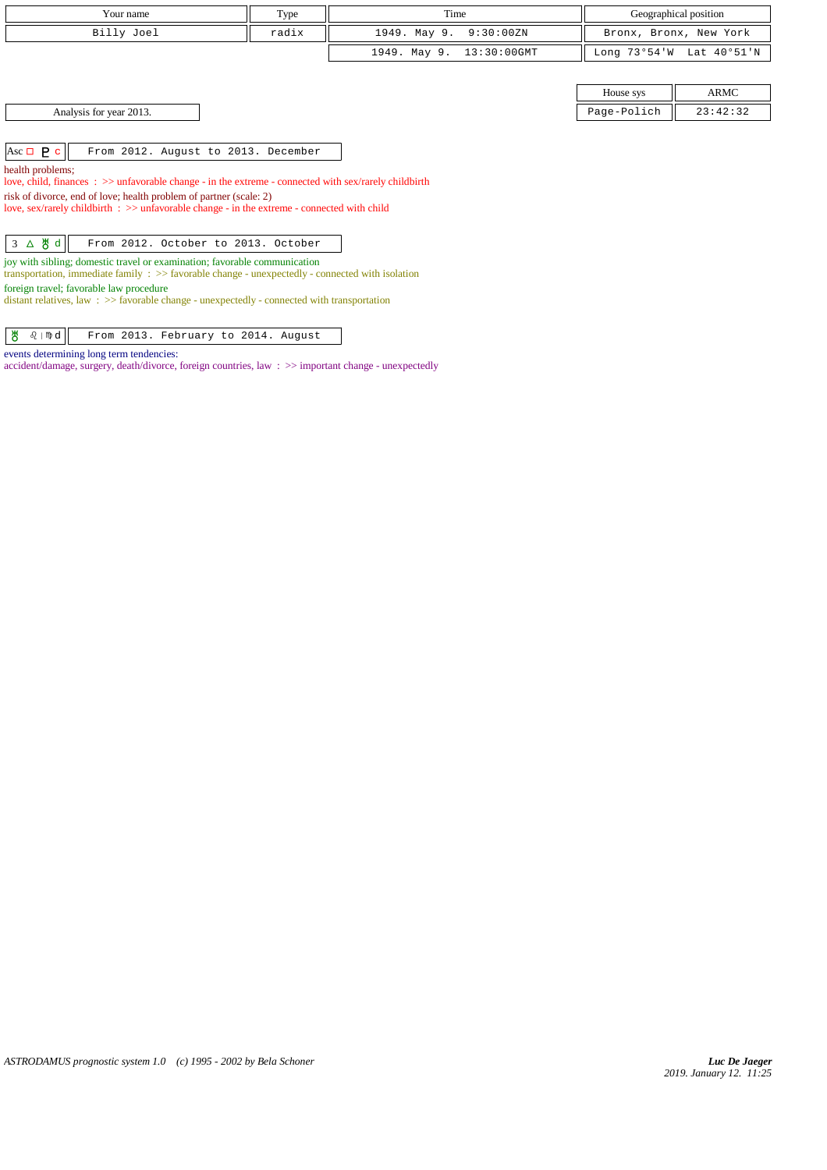| Your name                                                                                                                                                                                | Type  | Time                        |              | Geographical position  |
|------------------------------------------------------------------------------------------------------------------------------------------------------------------------------------------|-------|-----------------------------|--------------|------------------------|
| Billy Joel                                                                                                                                                                               | radix | 9:30:00ZN<br>1949. May 9.   |              | Bronx, Bronx, New York |
|                                                                                                                                                                                          |       | 1949. May 9.<br>13:30:00GMT | Long 73°54'W | Lat 40°51'N            |
|                                                                                                                                                                                          |       |                             |              |                        |
|                                                                                                                                                                                          |       |                             | House sys    | ARMC                   |
| Analysis for year 2013.                                                                                                                                                                  |       |                             | Page-Polich  | 23:42:32               |
|                                                                                                                                                                                          |       |                             |              |                        |
| $Asc \Box P c$<br>From 2012. August to 2013. December                                                                                                                                    |       |                             |              |                        |
| health problems;<br>love, child, finances : >> unfavorable change - in the extreme - connected with sex/rarely childbirth                                                                |       |                             |              |                        |
| risk of divorce, end of love; health problem of partner (scale: 2)                                                                                                                       |       |                             |              |                        |
| love, sex/rarely childbirth $\Rightarrow$ unfavorable change - in the extreme - connected with child                                                                                     |       |                             |              |                        |
|                                                                                                                                                                                          |       |                             |              |                        |
| $3 \Delta \theta d$<br>From 2012. October to 2013. October                                                                                                                               |       |                             |              |                        |
| joy with sibling; domestic travel or examination; favorable communication<br>transportation, immediate family $\Rightarrow$ > favorable change - unexpectedly - connected with isolation |       |                             |              |                        |
| foreign travel; favorable law procedure<br>distant relatives, law $\Rightarrow$ Savorable change - unexpectedly - connected with transportation                                          |       |                             |              |                        |

 $\frac{18}{6}$   $\sqrt{10}$  From 2013. February to 2014. August

## events determining long term tendencies:

accident/damage, surgery, death/divorce, foreign countries, law : >> important change - unexpectedly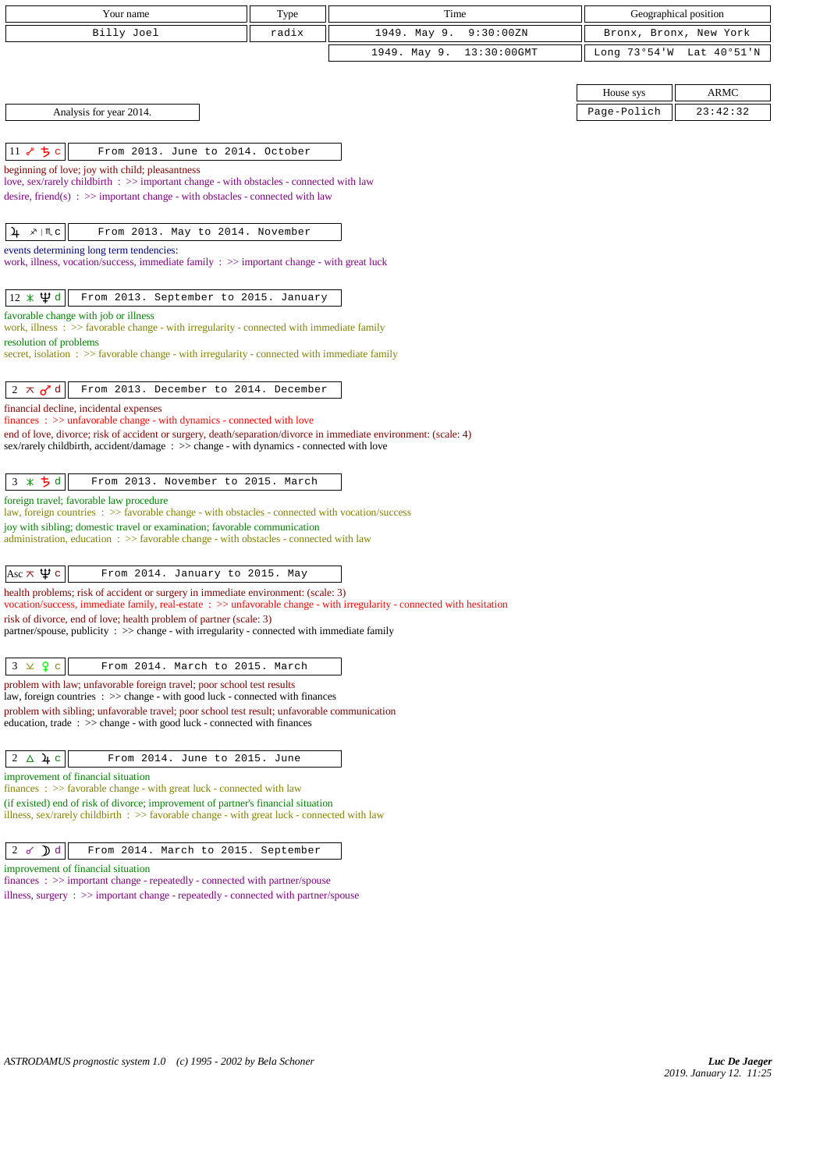| Your name                                                                                                                                                                                                    | Type  | Time                        |                        | Geographical position    |
|--------------------------------------------------------------------------------------------------------------------------------------------------------------------------------------------------------------|-------|-----------------------------|------------------------|--------------------------|
| Billy Joel                                                                                                                                                                                                   | radix | 1949. May 9.<br>9:30:00ZN   | Bronx, Bronx, New York |                          |
|                                                                                                                                                                                                              |       | 1949. May 9.<br>13:30:00GMT |                        | Long 73°54'W Lat 40°51'N |
|                                                                                                                                                                                                              |       |                             |                        |                          |
|                                                                                                                                                                                                              |       |                             | House sys              | <b>ARMC</b>              |
| Analysis for year 2014.                                                                                                                                                                                      |       |                             | Page-Polich            | 23:42:32                 |
|                                                                                                                                                                                                              |       |                             |                        |                          |
| 11 8 5 c<br>From 2013. June to 2014. October                                                                                                                                                                 |       |                             |                        |                          |
| beginning of love; joy with child; pleasantness<br>love, sex/rarely childbirth : >> important change - with obstacles - connected with law                                                                   |       |                             |                        |                          |
| desire, friend(s) : $\gg$ important change - with obstacles - connected with law                                                                                                                             |       |                             |                        |                          |
|                                                                                                                                                                                                              |       |                             |                        |                          |
| ,∦   Щ с<br>From 2013. May to 2014. November<br>4                                                                                                                                                            |       |                             |                        |                          |
| events determining long term tendencies:<br>work, illness, vocation/success, immediate family $\Rightarrow$ important change - with great luck                                                               |       |                             |                        |                          |
|                                                                                                                                                                                                              |       |                             |                        |                          |
| $12 \times \Psi d$<br>From 2013. September to 2015. January                                                                                                                                                  |       |                             |                        |                          |
| favorable change with job or illness                                                                                                                                                                         |       |                             |                        |                          |
| work, illness $\therefore$ > favorable change - with irregularity - connected with immediate family<br>resolution of problems                                                                                |       |                             |                        |                          |
| secret, isolation : >> favorable change - with irregularity - connected with immediate family                                                                                                                |       |                             |                        |                          |
|                                                                                                                                                                                                              |       |                             |                        |                          |
| $2 \pi d$<br>From 2013. December to 2014. December                                                                                                                                                           |       |                             |                        |                          |
| financial decline, incidental expenses<br>$finances : \gg$ unfavorable change - with dynamics - connected with love                                                                                          |       |                             |                        |                          |
| end of love, divorce; risk of accident or surgery, death/separation/divorce in immediate environment: (scale: 4)                                                                                             |       |                             |                        |                          |
| sex/rarely childbirth, accident/damage : >> change - with dynamics - connected with love                                                                                                                     |       |                             |                        |                          |
| 3 * 5 d<br>From 2013. November to 2015. March                                                                                                                                                                |       |                             |                        |                          |
| foreign travel; favorable law procedure                                                                                                                                                                      |       |                             |                        |                          |
| law, foreign countries : >> favorable change - with obstacles - connected with vocation/success                                                                                                              |       |                             |                        |                          |
| joy with sibling; domestic travel or examination; favorable communication<br>administration, education $\Rightarrow$ favorable change - with obstacles - connected with law                                  |       |                             |                        |                          |
|                                                                                                                                                                                                              |       |                             |                        |                          |
| Asc $\pi \Psi c$<br>From 2014. January to 2015. May                                                                                                                                                          |       |                             |                        |                          |
| health problems; risk of accident or surgery in immediate environment: (scale: 3)<br>vocation/success, immediate family, real-estate : >> unfavorable change - with irregularity - connected with hesitation |       |                             |                        |                          |
| risk of divorce, end of love; health problem of partner (scale: 3)                                                                                                                                           |       |                             |                        |                          |
| partner/spouse, publicity : $\gg$ change - with irregularity - connected with immediate family                                                                                                               |       |                             |                        |                          |
| $3 \times 9$ c<br>From 2014. March to 2015. March                                                                                                                                                            |       |                             |                        |                          |
| problem with law; unfavorable foreign travel; poor school test results                                                                                                                                       |       |                             |                        |                          |
| law, foreign countries : >> change - with good luck - connected with finances                                                                                                                                |       |                             |                        |                          |
| problem with sibling; unfavorable travel; poor school test result; unfavorable communication<br>education, trade: >> change - with good luck - connected with finances                                       |       |                             |                        |                          |
|                                                                                                                                                                                                              |       |                             |                        |                          |
| $2\Delta$ 4 c<br>From 2014. June to 2015. June                                                                                                                                                               |       |                             |                        |                          |
| improvement of financial situation<br>finances: >> favorable change - with great luck - connected with law                                                                                                   |       |                             |                        |                          |
| (if existed) end of risk of divorce; improvement of partner's financial situation                                                                                                                            |       |                             |                        |                          |
| illness, sex/rarely childbirth : >> favorable change - with great luck - connected with law                                                                                                                  |       |                             |                        |                          |
|                                                                                                                                                                                                              |       |                             |                        |                          |
| $\mathcal{D}$ d<br>2d<br>From 2014. March to 2015. September<br>improvement of financial situation                                                                                                           |       |                             |                        |                          |
| finances: >> important change - repeatedly - connected with partner/spouse                                                                                                                                   |       |                             |                        |                          |
| illness, surgery : >> important change - repeatedly - connected with partner/spouse                                                                                                                          |       |                             |                        |                          |
|                                                                                                                                                                                                              |       |                             |                        |                          |
|                                                                                                                                                                                                              |       |                             |                        |                          |
|                                                                                                                                                                                                              |       |                             |                        |                          |
|                                                                                                                                                                                                              |       |                             |                        |                          |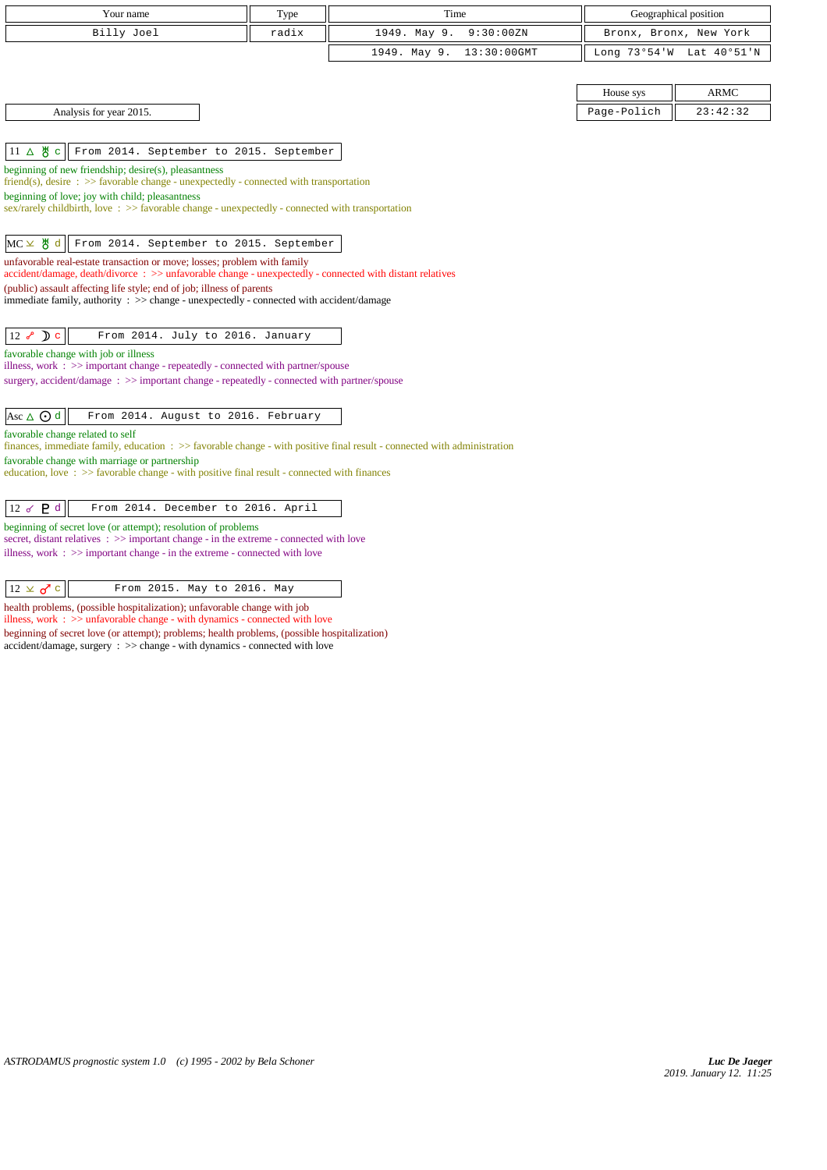| Your name                                                                                                                                                                               | Type  | Time                        |             | Geographical position    |
|-----------------------------------------------------------------------------------------------------------------------------------------------------------------------------------------|-------|-----------------------------|-------------|--------------------------|
| Billy Joel                                                                                                                                                                              | radix | 1949. May 9.<br>9:30:00ZN   |             | Bronx, Bronx, New York   |
|                                                                                                                                                                                         |       | 1949. May 9.<br>13:30:00GMT |             | Long 73°54'W Lat 40°51'N |
|                                                                                                                                                                                         |       |                             |             |                          |
|                                                                                                                                                                                         |       |                             | House sys   | <b>ARMC</b>              |
| Analysis for year 2015.                                                                                                                                                                 |       |                             | Page-Polich | 23:42:32                 |
|                                                                                                                                                                                         |       |                             |             |                          |
| $11 \triangle \texttt{M}$ c<br>From 2014. September to 2015. September                                                                                                                  |       |                             |             |                          |
| beginning of new friendship; desire(s), pleasantness<br>friend(s), desire $\Rightarrow$ Savorable change - unexpectedly - connected with transportation                                 |       |                             |             |                          |
| beginning of love; joy with child; pleasantness                                                                                                                                         |       |                             |             |                          |
| sex/rarely childbirth, love: $\gg$ favorable change - unexpectedly - connected with transportation                                                                                      |       |                             |             |                          |
| $MC \times$ 8 d<br>From 2014. September to 2015. September                                                                                                                              |       |                             |             |                          |
| unfavorable real-estate transaction or move; losses; problem with family                                                                                                                |       |                             |             |                          |
| accident/damage, death/divorce : >> unfavorable change - unexpectedly - connected with distant relatives                                                                                |       |                             |             |                          |
| (public) assault affecting life style; end of job; illness of parents<br>immediate family, authority : >> change - unexpectedly - connected with accident/damage                        |       |                             |             |                          |
|                                                                                                                                                                                         |       |                             |             |                          |
| $12 \times D$ c<br>From 2014. July to 2016. January                                                                                                                                     |       |                             |             |                          |
| favorable change with job or illness                                                                                                                                                    |       |                             |             |                          |
| illness, work $\Rightarrow$ important change - repeatedly - connected with partner/spouse<br>surgery, accident/damage: >> important change - repeatedly - connected with partner/spouse |       |                             |             |                          |
|                                                                                                                                                                                         |       |                             |             |                          |
| Asc $\triangle$ $\odot$ d<br>From 2014. August to 2016. February                                                                                                                        |       |                             |             |                          |
| favorable change related to self                                                                                                                                                        |       |                             |             |                          |
| finances, immediate family, education $\Rightarrow$ Savorable change - with positive final result - connected with administration<br>favorable change with marriage or partnership      |       |                             |             |                          |
| education, love $\Rightarrow$ >> favorable change - with positive final result - connected with finances                                                                                |       |                             |             |                          |
|                                                                                                                                                                                         |       |                             |             |                          |
| 12 $\sigma$ $\mathsf{P}$ d<br>From 2014. December to 2016. April                                                                                                                        |       |                             |             |                          |
| beginning of secret love (or attempt); resolution of problems<br>secret, distant relatives : >> important change - in the extreme - connected with love                                 |       |                             |             |                          |
| illness, work $\Rightarrow$ >> important change - in the extreme - connected with love                                                                                                  |       |                             |             |                          |
|                                                                                                                                                                                         |       |                             |             |                          |
| $12 \times \sigma$ c<br>From 2015. May to 2016. May                                                                                                                                     |       |                             |             |                          |

health problems, (possible hospitalization); unfavorable change with job illness, work : >> unfavorable change - with dynamics - connected with love beginning of secret love (or attempt); problems; health problems, (possible hospitalization) accident/damage, surgery : >> change - with dynamics - connected with love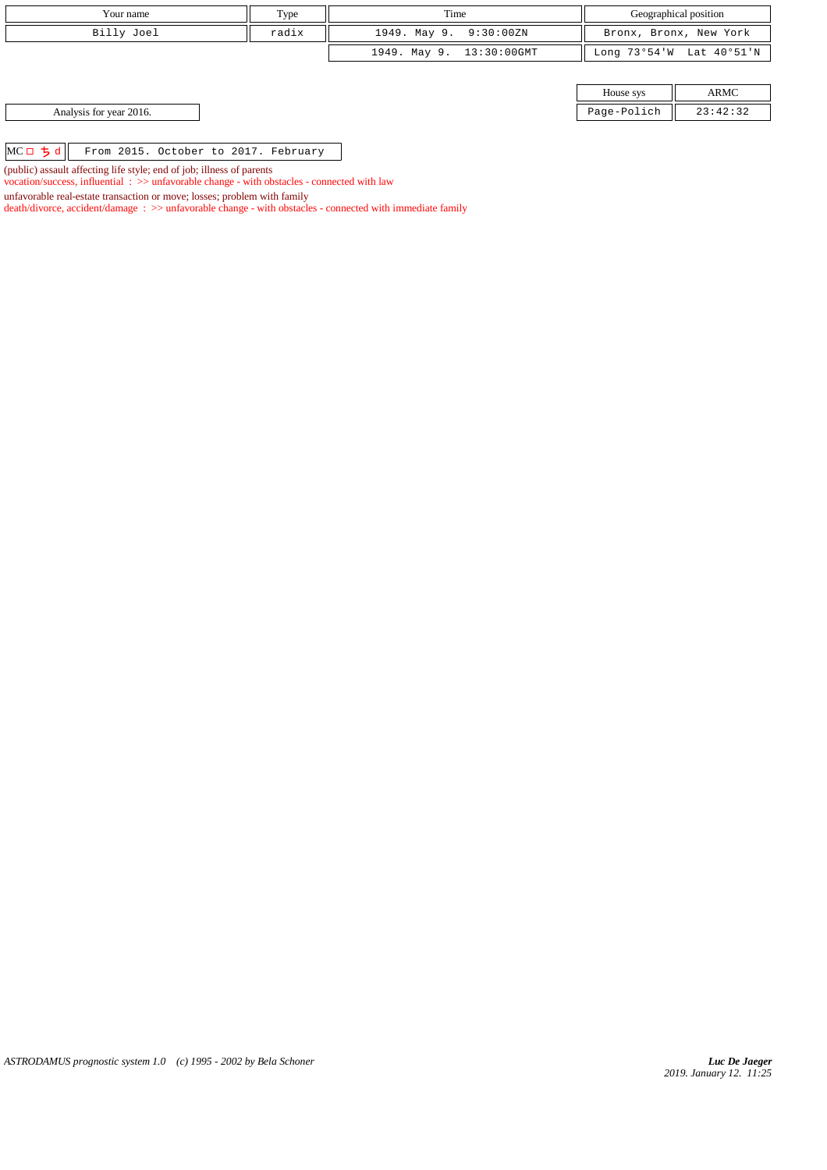| Your name                                                             | Type  | Time                     | Geographical position  |                          |  |
|-----------------------------------------------------------------------|-------|--------------------------|------------------------|--------------------------|--|
| Billy Joel                                                            | radix | 1949. May 9. 9:30:00ZN   | Bronx, Bronx, New York |                          |  |
|                                                                       |       | 1949. May 9. 13:30:00GMT |                        | Long 73°54'W Lat 40°51'N |  |
|                                                                       |       |                          |                        |                          |  |
|                                                                       |       |                          | House sys              | ARMC                     |  |
| Analysis for year 2016.                                               |       |                          | Page-Polich            | 23:42:32                 |  |
|                                                                       |       |                          |                        |                          |  |
| $MCD$ ちょ<br>From 2015. October to 2017. February                      |       |                          |                        |                          |  |
| (public) assault affecting life style; end of job; illness of parents |       |                          |                        |                          |  |

vocation/success, influential : >> unfavorable change - with obstacles - connected with law

death/divorce, accident/damage : >> unfavorable change - with obstacles - connected with immediate family

unfavorable real-estate transaction or move; losses; problem with family

*ASTRODAMUS prognostic system 1.0 (c) 1995 - 2002 by Bela Schoner*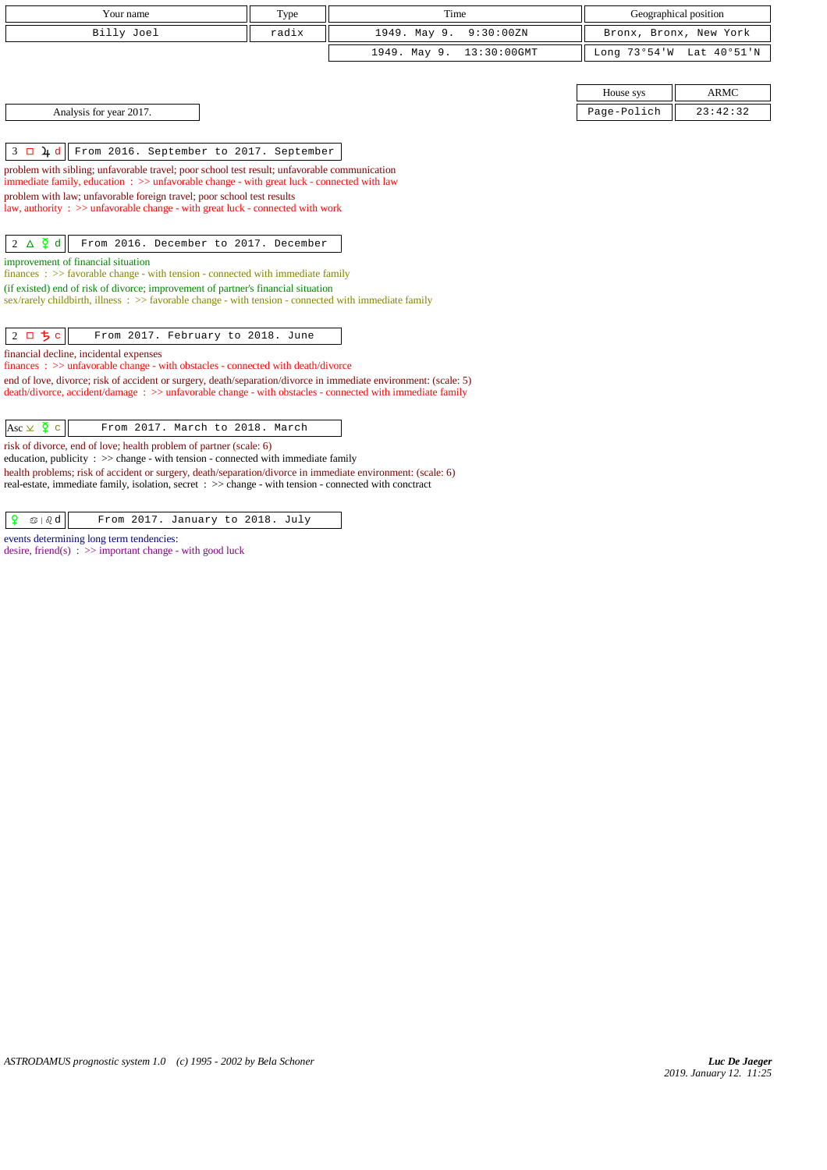| Your name                                                                                                                                                                                                             | Type  | Time                        |             | Geographical position    |
|-----------------------------------------------------------------------------------------------------------------------------------------------------------------------------------------------------------------------|-------|-----------------------------|-------------|--------------------------|
| Billy Joel                                                                                                                                                                                                            | radix | 9:30:00 ZN<br>1949. May 9.  |             | Bronx, Bronx, New York   |
|                                                                                                                                                                                                                       |       | 13:30:00GMT<br>1949. May 9. |             | Long 73°54'W Lat 40°51'N |
|                                                                                                                                                                                                                       |       |                             |             |                          |
|                                                                                                                                                                                                                       |       |                             | House sys   | <b>ARMC</b>              |
| Analysis for year 2017.                                                                                                                                                                                               |       |                             | Page-Polich | 23:42:32                 |
|                                                                                                                                                                                                                       |       |                             |             |                          |
| $3 \square 4d$<br>From 2016. September to 2017. September                                                                                                                                                             |       |                             |             |                          |
| problem with sibling; unfavorable travel; poor school test result; unfavorable communication                                                                                                                          |       |                             |             |                          |
| immediate family, education : >> unfavorable change - with great luck - connected with law<br>problem with law; unfavorable foreign travel; poor school test results                                                  |       |                             |             |                          |
| law, authority : $\gg$ unfavorable change - with great luck - connected with work                                                                                                                                     |       |                             |             |                          |
|                                                                                                                                                                                                                       |       |                             |             |                          |
| $2 \triangle \frac{5}{4}$ d<br>From 2016. December to 2017. December                                                                                                                                                  |       |                             |             |                          |
| improvement of financial situation<br>$finances : \gg$ favorable change - with tension - connected with immediate family                                                                                              |       |                             |             |                          |
| (if existed) end of risk of divorce; improvement of partner's financial situation                                                                                                                                     |       |                             |             |                          |
| $sex/rarely childbirth$ , illness : $>>$ favorable change - with tension - connected with immediate family                                                                                                            |       |                             |             |                          |
| 2 ロ ち c<br>From 2017. February to 2018. June                                                                                                                                                                          |       |                             |             |                          |
| financial decline, incidental expenses                                                                                                                                                                                |       |                             |             |                          |
| finances: >> unfavorable change - with obstacles - connected with death/divorce<br>end of love, divorce; risk of accident or surgery, death/separation/divorce in immediate environment: (scale: 5)                   |       |                             |             |                          |
| death/divorce, accident/damage : >> unfavorable change - with obstacles - connected with immediate family                                                                                                             |       |                             |             |                          |
|                                                                                                                                                                                                                       |       |                             |             |                          |
| Asc $\times$ $\overline{2}$ c<br>From 2017. March to 2018. March                                                                                                                                                      |       |                             |             |                          |
| risk of divorce, end of love; health problem of partner (scale: 6)<br>education, publicity : >> change - with tension - connected with immediate family                                                               |       |                             |             |                          |
| health problems; risk of accident or surgery, death/separation/divorce in immediate environment: (scale: 6)<br>real-estate, immediate family, isolation, secret : >> change - with tension - connected with conctract |       |                             |             |                          |
|                                                                                                                                                                                                                       |       |                             |             |                          |
| $\text{I} \otimes \text{I} \otimes \text{I}$<br>From 2017. January to 2018. July                                                                                                                                      |       |                             |             |                          |

events determining long term tendencies: desire, friend(s)  $\Rightarrow$  important change - with good luck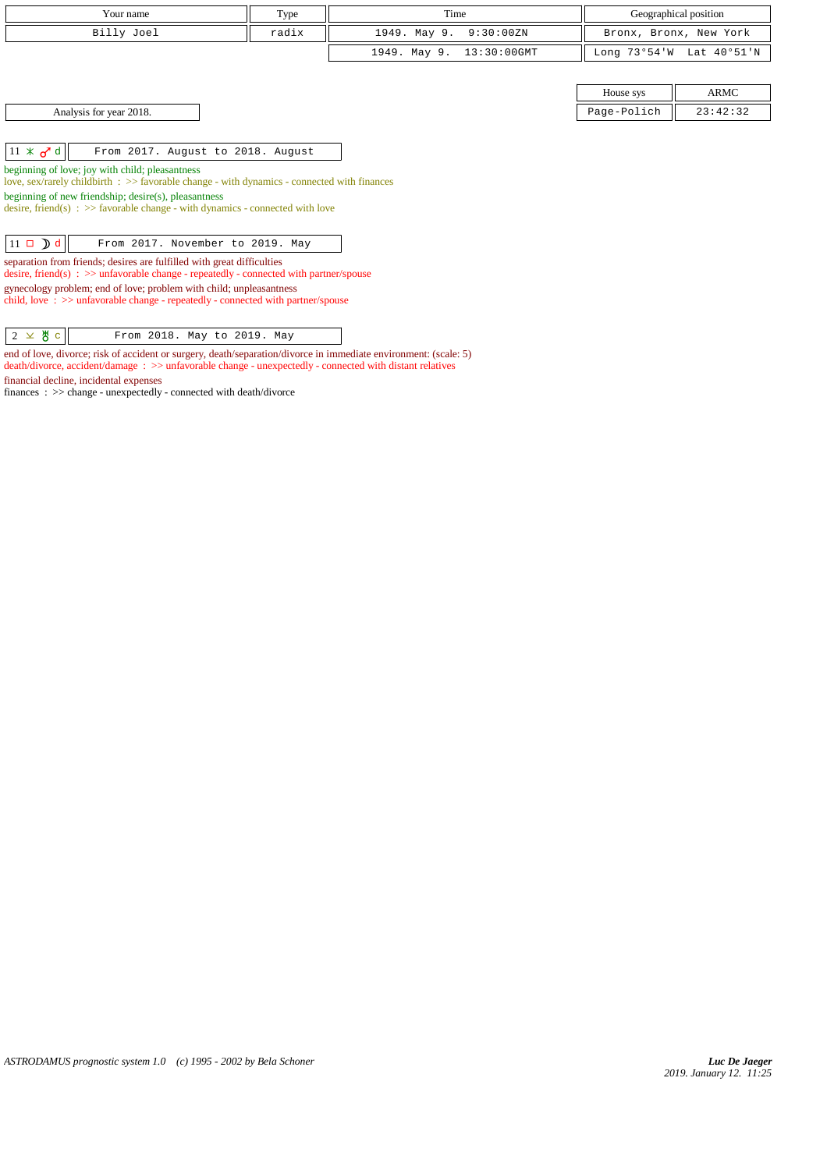| Your name                                                                                                                                                           | Type  | Time                           |              | Geographical position  |
|---------------------------------------------------------------------------------------------------------------------------------------------------------------------|-------|--------------------------------|--------------|------------------------|
| Billy Joel                                                                                                                                                          | radix | 1949. May 9.<br>9:30:00ZN      |              | Bronx, Bronx, New York |
|                                                                                                                                                                     |       | 1949. May 9.<br>$13:30:00$ GMT | Long 73°54'W | Lat 40°51'N            |
|                                                                                                                                                                     |       |                                |              |                        |
|                                                                                                                                                                     |       |                                | House sys    | ARMC                   |
| Analysis for year 2018.                                                                                                                                             |       |                                | Page-Polich  | 23:42:32               |
|                                                                                                                                                                     |       |                                |              |                        |
| $11 \times d d$<br>From 2017. August to 2018. August                                                                                                                |       |                                |              |                        |
| beginning of love; joy with child; pleasantness<br>love, sex/rarely childbirth : >> favorable change - with dynamics - connected with finances                      |       |                                |              |                        |
| beginning of new friendship; desire(s), pleasantness<br>desire, friend(s) : $\gg$ favorable change - with dynamics - connected with love                            |       |                                |              |                        |
|                                                                                                                                                                     |       |                                |              |                        |
| $11 \square$ d<br>From 2017. November to 2019. May                                                                                                                  |       |                                |              |                        |
| separation from friends; desires are fulfilled with great difficulties<br>desire, friend(s) : $\gg$ unfavorable change - repeatedly - connected with partner/spouse |       |                                |              |                        |
| gynecology problem; end of love; problem with child; unpleasantness<br>child, love: $\gg$ unfavorable change - repeatedly - connected with partner/spouse           |       |                                |              |                        |
| 2 $\times$ 뿅 $c$<br>From 2018. May to 2019. May                                                                                                                     |       |                                |              |                        |

end of love, divorce; risk of accident or surgery, death/separation/divorce in immediate environment: (scale: 5) death/divorce, accident/damage : >> unfavorable change - unexpectedly - connected with distant relatives financial decline, incidental expenses

finances : >> change - unexpectedly - connected with death/divorce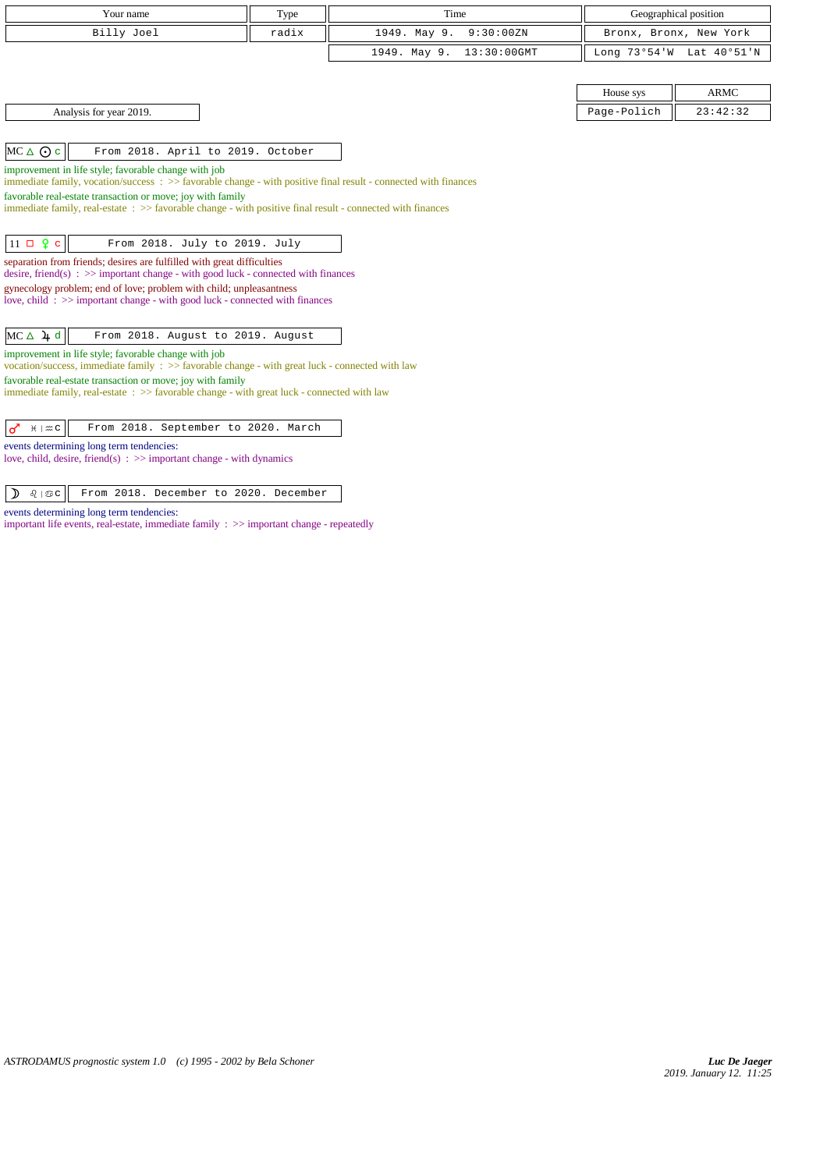| Your name                                                                                                                                                              | Type  | Time                        |             | Geographical position    |
|------------------------------------------------------------------------------------------------------------------------------------------------------------------------|-------|-----------------------------|-------------|--------------------------|
| Billy Joel                                                                                                                                                             | radix | 1949. May 9.<br>9:30:00 ZN  |             | Bronx, Bronx, New York   |
|                                                                                                                                                                        |       | 1949. May 9.<br>13:30:00GMT |             | Long 73°54'W Lat 40°51'N |
|                                                                                                                                                                        |       |                             |             |                          |
|                                                                                                                                                                        |       |                             | House sys   | <b>ARMC</b>              |
| Analysis for year 2019.                                                                                                                                                |       |                             | Page-Polich | 23:42:32                 |
|                                                                                                                                                                        |       |                             |             |                          |
| $MC \triangle O$ c<br>From 2018. April to 2019. October                                                                                                                |       |                             |             |                          |
| improvement in life style; favorable change with job<br>immediate family, vocation/success: >> favorable change - with positive final result - connected with finances |       |                             |             |                          |
| favorable real-estate transaction or move; joy with family                                                                                                             |       |                             |             |                          |
| immediate family, real-estate: >> favorable change - with positive final result - connected with finances                                                              |       |                             |             |                          |
| $11 \Box 2 c$<br>From 2018. July to 2019. July                                                                                                                         |       |                             |             |                          |
| separation from friends; desires are fulfilled with great difficulties<br>desire, friend(s) : $\gg$ important change - with good luck - connected with finances        |       |                             |             |                          |
| gynecology problem; end of love; problem with child; unpleasantness<br>love, child: >> important change - with good luck - connected with finances                     |       |                             |             |                          |
|                                                                                                                                                                        |       |                             |             |                          |
| $MC \triangle \ 4d$<br>From 2018. August to 2019. August                                                                                                               |       |                             |             |                          |
| improvement in life style; favorable change with job<br>vocation/success, immediate family $\Rightarrow$ favorable change - with great luck - connected with law       |       |                             |             |                          |
| favorable real-estate transaction or move; joy with family<br>immediate family, real-estate: >> favorable change - with great luck - connected with law                |       |                             |             |                          |
| From 2018. September to 2020. March<br>$H \mid \mathfrak{m} \subset$<br>♂                                                                                              |       |                             |             |                          |
| events determining long term tendencies:<br>love, child, desire, friend(s) : $\gg$ important change - with dynamics                                                    |       |                             |             |                          |

 $\boxed{\mathcal{D}$   $\theta$  |  $\mathfrak{S}c$  | From 2018. December to 2020. December

events determining long term tendencies:

important life events, real-estate, immediate family : >> important change - repeatedly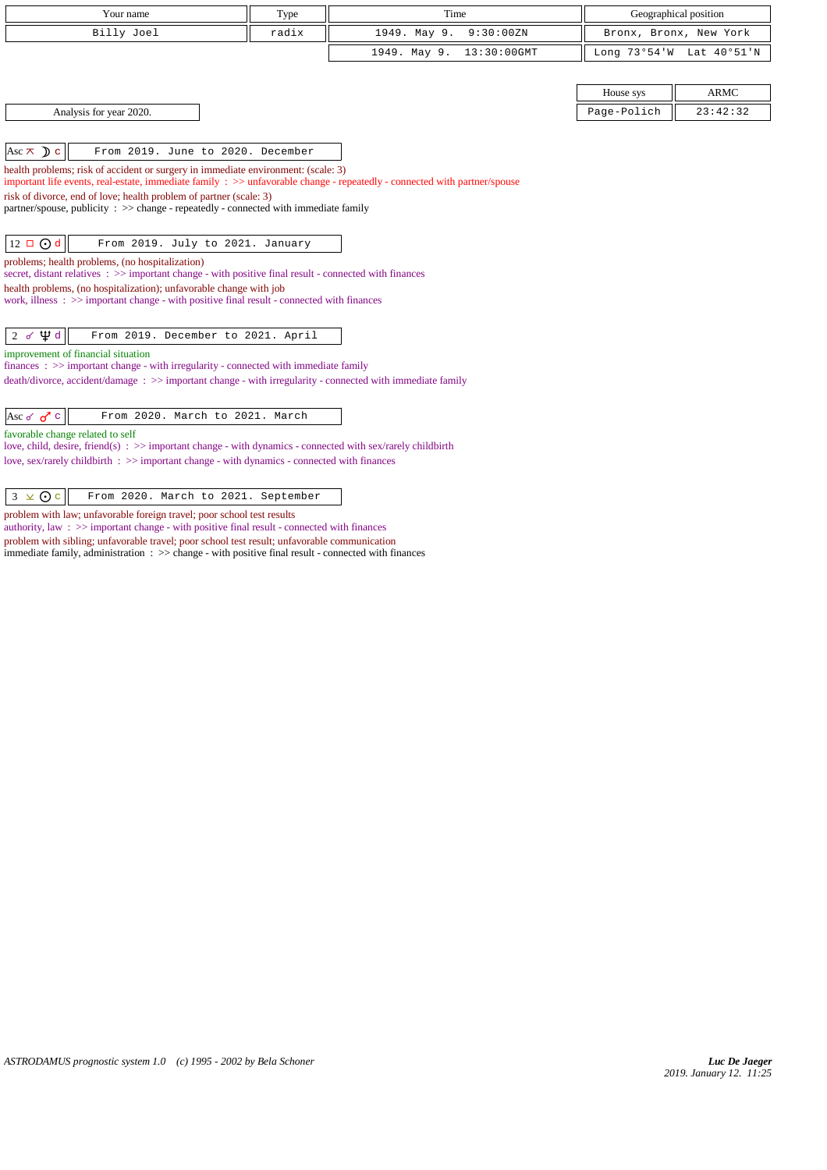| Your name                                                                                                                                                                                                      | Type  | Time                        |             | Geographical position    |
|----------------------------------------------------------------------------------------------------------------------------------------------------------------------------------------------------------------|-------|-----------------------------|-------------|--------------------------|
| Billy Joel                                                                                                                                                                                                     | radix | 1949. May 9.<br>9:30:00ZN   |             | Bronx, Bronx, New York   |
|                                                                                                                                                                                                                |       | 1949. May 9.<br>13:30:00GMT |             | Long 73°54'W Lat 40°51'N |
|                                                                                                                                                                                                                |       |                             |             |                          |
|                                                                                                                                                                                                                |       |                             |             | <b>ARMC</b>              |
|                                                                                                                                                                                                                |       |                             | House sys   |                          |
| Analysis for year 2020.                                                                                                                                                                                        |       |                             | Page-Polich | 23:42:32                 |
|                                                                                                                                                                                                                |       |                             |             |                          |
| Asc $\pi$ D c<br>From 2019. June to 2020. December                                                                                                                                                             |       |                             |             |                          |
| health problems; risk of accident or surgery in immediate environment: (scale: 3)<br>important life events, real-estate, immediate family : >> unfavorable change - repeatedly - connected with partner/spouse |       |                             |             |                          |
| risk of divorce, end of love; health problem of partner (scale: 3)                                                                                                                                             |       |                             |             |                          |
| partner/spouse, publicity : $\gg$ change - repeatedly - connected with immediate family                                                                                                                        |       |                             |             |                          |
|                                                                                                                                                                                                                |       |                             |             |                          |
| $12 \Box$ O d<br>From 2019. July to 2021. January                                                                                                                                                              |       |                             |             |                          |
| problems; health problems, (no hospitalization)                                                                                                                                                                |       |                             |             |                          |
| secret, distant relatives : >> important change - with positive final result - connected with finances<br>health problems, (no hospitalization); unfavorable change with job                                   |       |                             |             |                          |
| work, illness $\Rightarrow$ > important change - with positive final result - connected with finances                                                                                                          |       |                             |             |                          |
|                                                                                                                                                                                                                |       |                             |             |                          |
| $2 d \nleftrightarrow d$<br>From 2019. December to 2021. April                                                                                                                                                 |       |                             |             |                          |
| improvement of financial situation                                                                                                                                                                             |       |                             |             |                          |
| $finances : \gg important change - with irregularity - connected with immediate family$<br>$death/divorce, accident/damage : \gg important change - with irregularity - connected with immediate family$       |       |                             |             |                          |
|                                                                                                                                                                                                                |       |                             |             |                          |
| Asc of $\sigma$ c<br>From 2020. March to 2021. March                                                                                                                                                           |       |                             |             |                          |
| favorable change related to self                                                                                                                                                                               |       |                             |             |                          |
| love, child, desire, friend(s) : >> important change - with dynamics - connected with sex/rarely childbirth                                                                                                    |       |                             |             |                          |
| love, sex/rarely childbirth : >> important change - with dynamics - connected with finances                                                                                                                    |       |                             |             |                          |
|                                                                                                                                                                                                                |       |                             |             |                          |
| $3 \times 0c$<br>From 2020. March to 2021. September                                                                                                                                                           |       |                             |             |                          |
| problem with law; unfavorable foreign travel; poor school test results<br>authority, law $\Rightarrow$ important change - with positive final result - connected with finances                                 |       |                             |             |                          |

problem with sibling; unfavorable travel; poor school test result; unfavorable communication immediate family, administration : >> change - with positive final result - connected with finances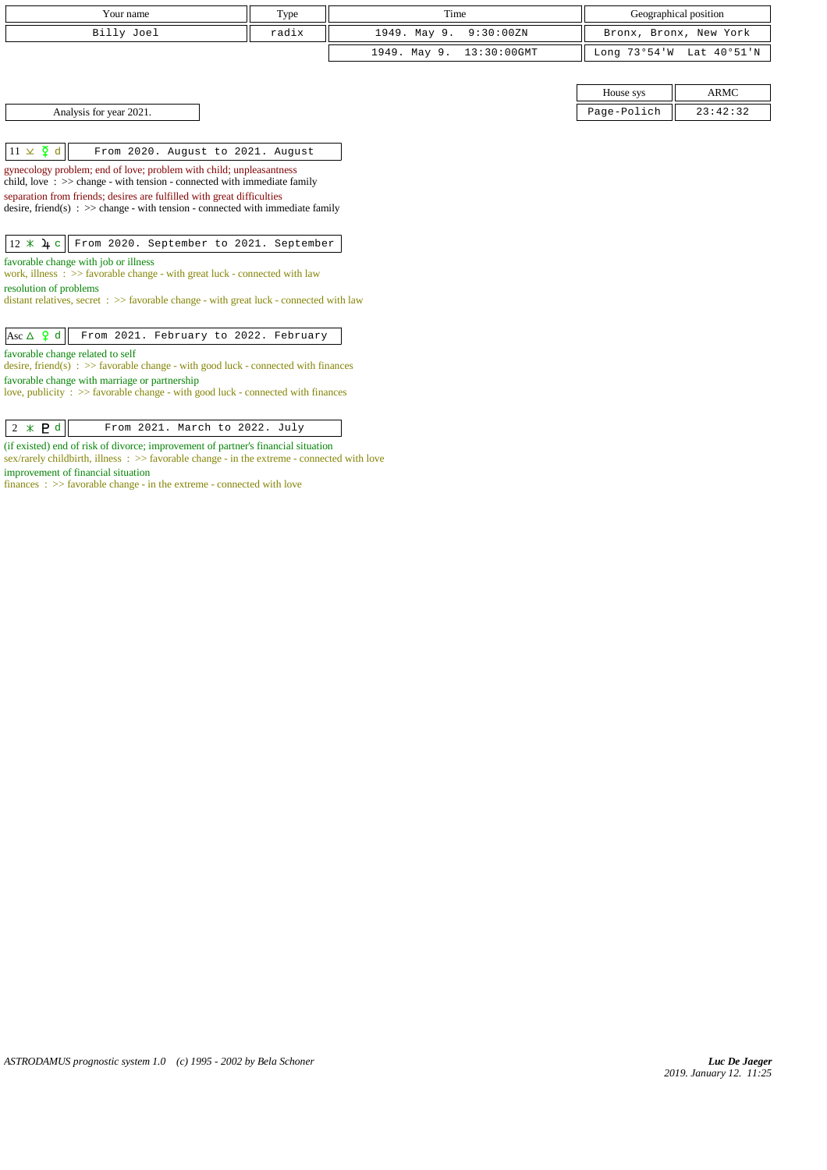| Your name                                                                                                                                                                                                                                                                                                                                                                                                                                                                                                                       | Type  | Time                       |             | Geographical position    |  |
|---------------------------------------------------------------------------------------------------------------------------------------------------------------------------------------------------------------------------------------------------------------------------------------------------------------------------------------------------------------------------------------------------------------------------------------------------------------------------------------------------------------------------------|-------|----------------------------|-------------|--------------------------|--|
| Billy Joel                                                                                                                                                                                                                                                                                                                                                                                                                                                                                                                      | radix | 1949. May 9.<br>9:30:00 ZN |             | Bronx, Bronx, New York   |  |
|                                                                                                                                                                                                                                                                                                                                                                                                                                                                                                                                 |       | 1949. May 9. 13:30:00GMT   |             | Long 73°54'W Lat 40°51'N |  |
|                                                                                                                                                                                                                                                                                                                                                                                                                                                                                                                                 |       |                            |             |                          |  |
|                                                                                                                                                                                                                                                                                                                                                                                                                                                                                                                                 |       |                            | House sys   | <b>ARMC</b>              |  |
| Analysis for year 2021.                                                                                                                                                                                                                                                                                                                                                                                                                                                                                                         |       |                            | Page-Polich | 23:42:32                 |  |
|                                                                                                                                                                                                                                                                                                                                                                                                                                                                                                                                 |       |                            |             |                          |  |
| $11 \times \xi$ d<br>From 2020. August to 2021. August                                                                                                                                                                                                                                                                                                                                                                                                                                                                          |       |                            |             |                          |  |
| gynecology problem; end of love; problem with child; unpleasantness<br>child, love $\Rightarrow$ $\Rightarrow$ change - with tension - connected with immediate family<br>separation from friends; desires are fulfilled with great difficulties<br>desire, friend(s) : $\gg$ change - with tension - connected with immediate family<br>$12 * 4c$<br>From 2020. September to 2021. September<br>favorable change with job or illness<br>work, illness $\Rightarrow$ >> favorable change - with great luck - connected with law |       |                            |             |                          |  |
| resolution of problems<br>distant relatives, secret $\Rightarrow$ >> favorable change - with great luck - connected with law                                                                                                                                                                                                                                                                                                                                                                                                    |       |                            |             |                          |  |
| Asc $\Delta$ 9 d<br>From 2021. February to 2022. February                                                                                                                                                                                                                                                                                                                                                                                                                                                                       |       |                            |             |                          |  |
| favorable change related to self<br>desire, friend(s) : $\gg$ favorable change - with good luck - connected with finances<br>favorable change with marriage or partnership<br>love, publicity $\Rightarrow$ favorable change - with good luck - connected with finances                                                                                                                                                                                                                                                         |       |                            |             |                          |  |

 $\begin{array}{|c|c|c|c|c|}\n\hline\n2 & \times & \mathbf{P} & \mathbf{d} & \text{From 2021. March to 2022. July}\n\hline\n\end{array}$ (if existed) end of risk of divorce; improvement of partner's financial situation sex/rarely childbirth, illness :  $\gg$  favorable change - in the extreme - connected with love improvement of financial situation

finances : >> favorable change - in the extreme - connected with love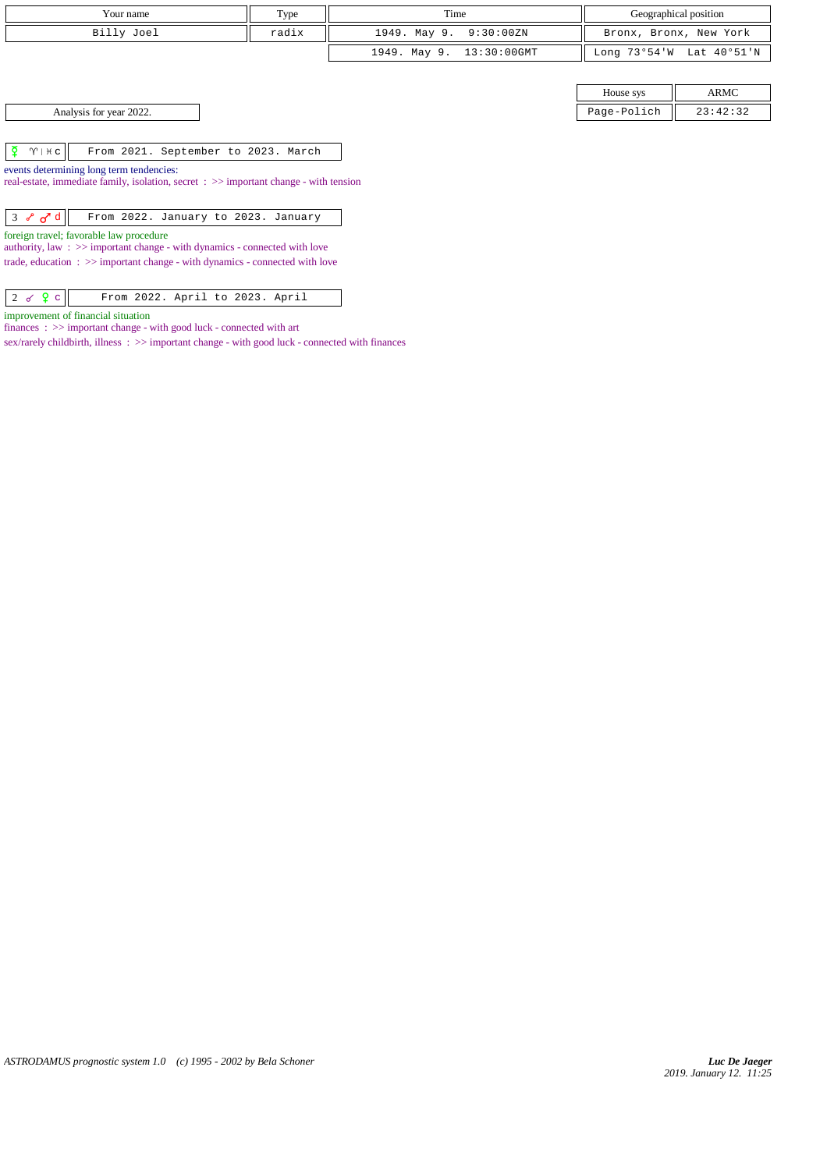| Your name                                                                                                                      | Type  | Time                        |              | Geographical position  |
|--------------------------------------------------------------------------------------------------------------------------------|-------|-----------------------------|--------------|------------------------|
| Billy Joel                                                                                                                     | radix | 1949. May 9.<br>9:30:00ZN   |              | Bronx, Bronx, New York |
|                                                                                                                                |       | 13:30:00GMT<br>1949. May 9. | Long 73°54'W | Lat 40°51'N            |
|                                                                                                                                |       |                             |              |                        |
|                                                                                                                                |       |                             | House sys    | <b>ARMC</b>            |
| Analysis for year 2022.                                                                                                        |       |                             | Page-Polich  | 23:42:32               |
|                                                                                                                                |       |                             |              |                        |
| ⊻<br>$\gamma$   $\star$ c<br>From 2021. September to 2023. March                                                               |       |                             |              |                        |
| events determining long term tendencies:                                                                                       |       |                             |              |                        |
| real-estate, immediate family, isolation, secret : >> important change - with tension                                          |       |                             |              |                        |
|                                                                                                                                |       |                             |              |                        |
| $3 \times d d$<br>From 2022. January to 2023. January                                                                          |       |                             |              |                        |
| foreign travel; favorable law procedure<br>authority, law $\Rightarrow$ important change - with dynamics - connected with love |       |                             |              |                        |
| trade, education $\Rightarrow$ important change - with dynamics - connected with love                                          |       |                             |              |                        |
|                                                                                                                                |       |                             |              |                        |

 $2 d Q c$  From 2022. April to 2023. April

improvement of financial situation

finances :  $\gg$  important change - with good luck - connected with art

sex/rarely childbirth, illness : >> important change - with good luck - connected with finances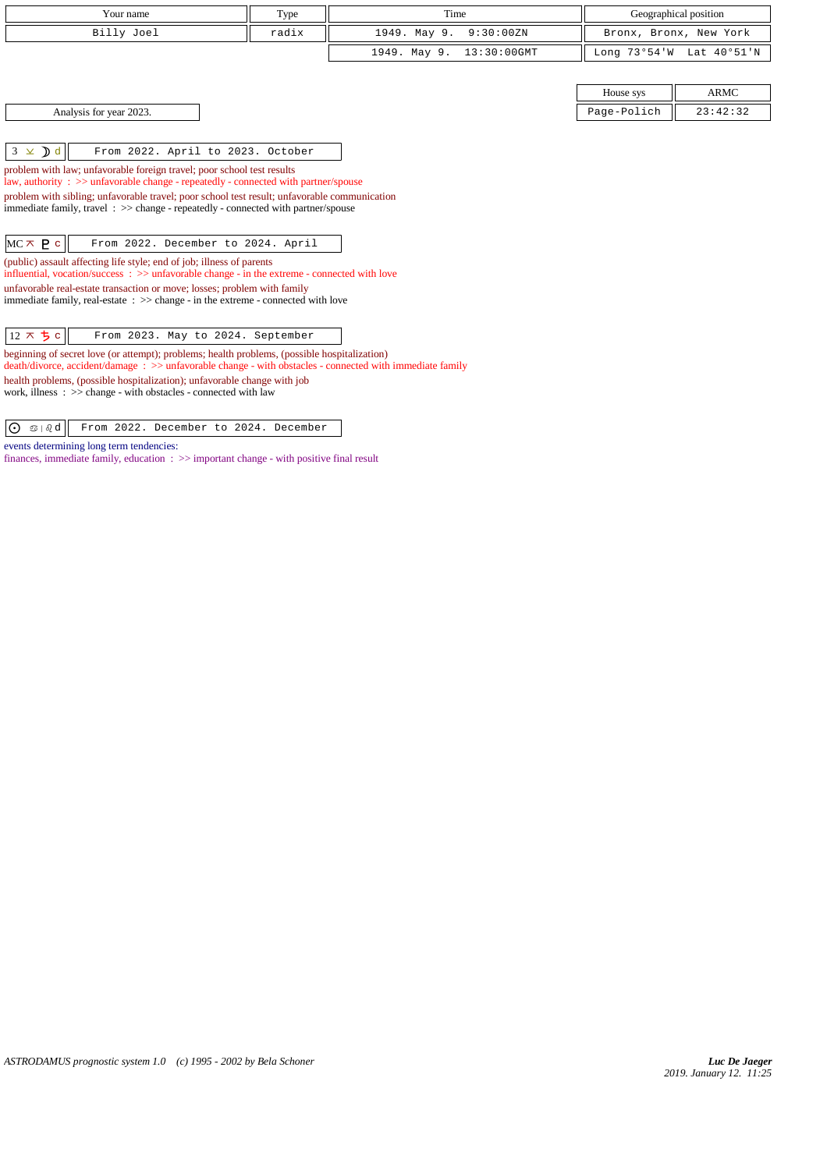| Your name                                                                                                                                                                         | Type  | Time                        |              | Geographical position  |
|-----------------------------------------------------------------------------------------------------------------------------------------------------------------------------------|-------|-----------------------------|--------------|------------------------|
| Billy Joel                                                                                                                                                                        | radix | 1949. May 9.<br>9:30:00ZN   |              | Bronx, Bronx, New York |
|                                                                                                                                                                                   |       | 13:30:00GMT<br>1949. May 9. | Long 73°54'W | Lat 40°51'N            |
|                                                                                                                                                                                   |       |                             |              |                        |
|                                                                                                                                                                                   |       |                             | House sys    | <b>ARMC</b>            |
| Analysis for year 2023.                                                                                                                                                           |       |                             | Page-Polich  | 23:42:32               |
|                                                                                                                                                                                   |       |                             |              |                        |
| $3 \times Dd$<br>From 2022. April to 2023. October                                                                                                                                |       |                             |              |                        |
| problem with law; unfavorable foreign travel; poor school test results<br>law, authority : $\gg$ unfavorable change - repeatedly - connected with partner/spouse                  |       |                             |              |                        |
| problem with sibling; unfavorable travel; poor school test result; unfavorable communication                                                                                      |       |                             |              |                        |
| immediate family, travel $\Rightarrow$ > $\Rightarrow$ change - repeatedly - connected with partner/spouse                                                                        |       |                             |              |                        |
|                                                                                                                                                                                   |       |                             |              |                        |
| $MC \times P$ c<br>From 2022. December to 2024. April                                                                                                                             |       |                             |              |                        |
| (public) assault affecting life style; end of job; illness of parents<br>influential, vocation/success $\Rightarrow$ >> unfavorable change - in the extreme - connected with love |       |                             |              |                        |
| unfavorable real-estate transaction or move; losses; problem with family                                                                                                          |       |                             |              |                        |
| immediate family, real-estate $\Rightarrow$ > $\Rightarrow$ change - in the extreme - connected with love                                                                         |       |                             |              |                        |
|                                                                                                                                                                                   |       |                             |              |                        |
| $12 \times 5$<br>From 2023. May to 2024. September                                                                                                                                |       |                             |              |                        |
| beginning of secret love (or attempt); problems; health problems, (possible hospitalization)                                                                                      |       |                             |              |                        |
| death/divorce, accident/damage: >> unfavorable change - with obstacles - connected with immediate family                                                                          |       |                             |              |                        |
| health problems, (possible hospitalization); unfavorable change with job                                                                                                          |       |                             |              |                        |

work, illness : >> change - with obstacles - connected with law

 $\boxed{O \text{ s}$   $\boxed{0 \text{ s}}$  From 2022. December to 2024. December

events determining long term tendencies:

finances, immediate family, education :  $\gg$  important change - with positive final result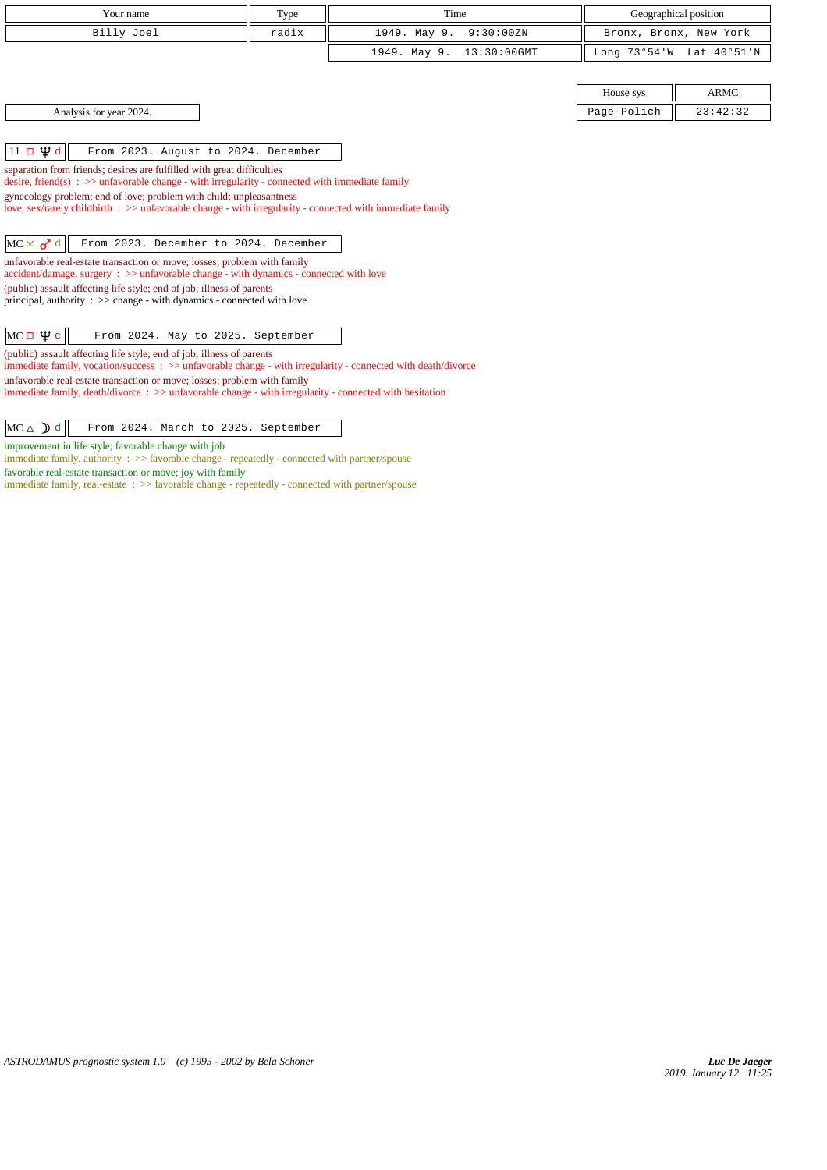| Your name                                                                                                                                                                                | Type  | Time                        |              | Geographical position  |
|------------------------------------------------------------------------------------------------------------------------------------------------------------------------------------------|-------|-----------------------------|--------------|------------------------|
| Billy Joel                                                                                                                                                                               | radix | 1949. May 9.<br>9:30:00ZN   |              | Bronx, Bronx, New York |
|                                                                                                                                                                                          |       | 1949. May 9.<br>13:30:00GMT | Long 73°54'W | Lat 40°51'N            |
|                                                                                                                                                                                          |       |                             |              |                        |
|                                                                                                                                                                                          |       |                             | House sys    | <b>ARMC</b>            |
| Analysis for year 2024.                                                                                                                                                                  |       |                             | Page-Polich  | 23:42:32               |
|                                                                                                                                                                                          |       |                             |              |                        |
| $11 \square \Psi d$<br>From 2023. August to 2024. December                                                                                                                               |       |                             |              |                        |
| separation from friends; desires are fulfilled with great difficulties                                                                                                                   |       |                             |              |                        |
| desire, friend(s) : $\gg$ unfavorable change - with irregularity - connected with immediate family<br>gynecology problem; end of love; problem with child; unpleasantness                |       |                             |              |                        |
| love, sex/rarely childbirth : >> unfavorable change - with irregularity - connected with immediate family                                                                                |       |                             |              |                        |
|                                                                                                                                                                                          |       |                             |              |                        |
| $MC \times d$<br>From 2023. December to 2024. December                                                                                                                                   |       |                             |              |                        |
| unfavorable real-estate transaction or move; losses; problem with family                                                                                                                 |       |                             |              |                        |
| accident/damage, surgery : >> unfavorable change - with dynamics - connected with love<br>(public) assault affecting life style; end of job; illness of parents                          |       |                             |              |                        |
| principal, authority $\Rightarrow$ $\Rightarrow$ change - with dynamics - connected with love                                                                                            |       |                             |              |                        |
|                                                                                                                                                                                          |       |                             |              |                        |
| $MC \Box \Psi c$<br>From 2024. May to 2025. September                                                                                                                                    |       |                             |              |                        |
| (public) assault affecting life style; end of job; illness of parents                                                                                                                    |       |                             |              |                        |
| immediate family, vocation/success: >> unfavorable change - with irregularity - connected with death/divorce<br>unfavorable real-estate transaction or move; losses; problem with family |       |                             |              |                        |
| immediate family, death/divorce: >> unfavorable change - with irregularity - connected with hesitation                                                                                   |       |                             |              |                        |
|                                                                                                                                                                                          |       |                             |              |                        |
| $MC \triangle D d$<br>From 2024. March to 2025. September                                                                                                                                |       |                             |              |                        |

improvement in life style; favorable change with job

immediate family, authority :  $\gg$  favorable change - repeatedly - connected with partner/spouse favorable real-estate transaction or move; joy with family

immediate family, real-estate :  $\gg$  favorable change - repeatedly - connected with partner/spouse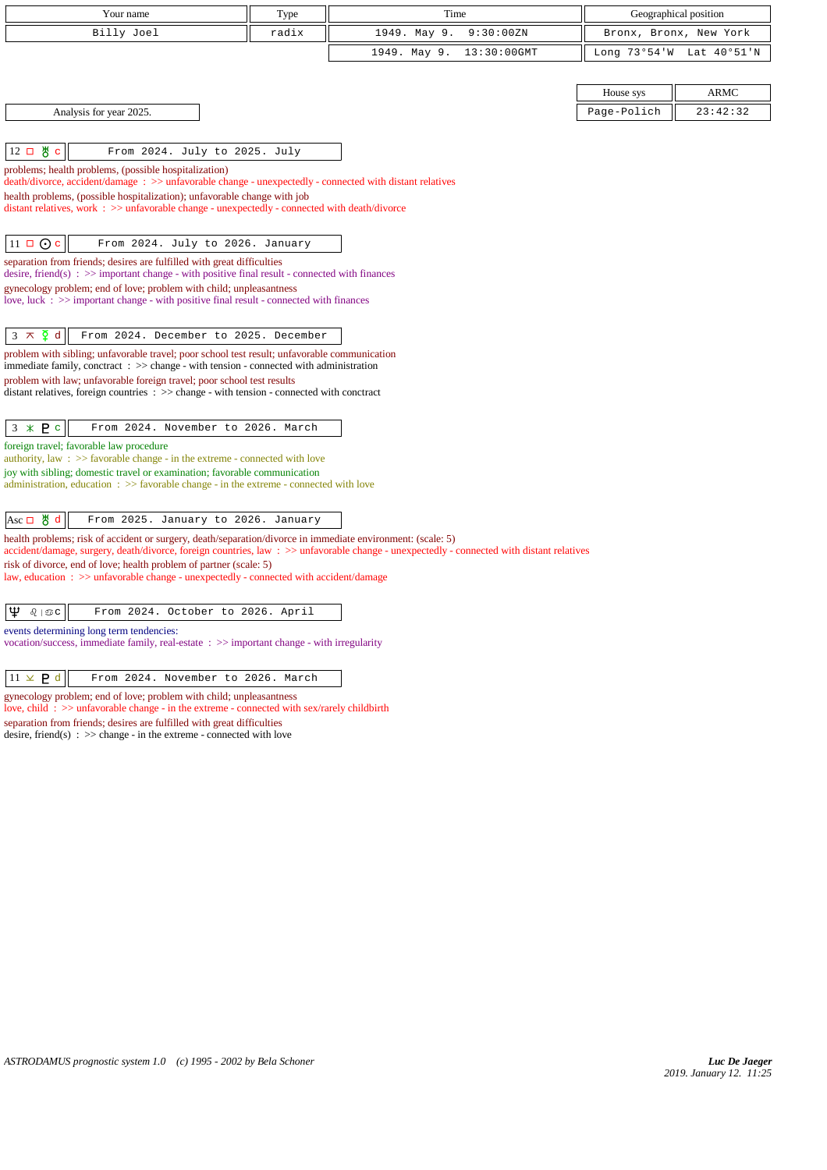| Your name                                                                                                                                                                                         | Type  | Time                                                                                                                                     |             | Geographical position    |
|---------------------------------------------------------------------------------------------------------------------------------------------------------------------------------------------------|-------|------------------------------------------------------------------------------------------------------------------------------------------|-------------|--------------------------|
| Billy Joel                                                                                                                                                                                        | radix | 1949. May 9.<br>9:30:00ZN                                                                                                                |             | Bronx, Bronx, New York   |
|                                                                                                                                                                                                   |       | 1949. May 9.<br>13:30:00GMT                                                                                                              |             | Long 73°54'W Lat 40°51'N |
|                                                                                                                                                                                                   |       |                                                                                                                                          |             |                          |
|                                                                                                                                                                                                   |       |                                                                                                                                          | House sys   | <b>ARMC</b>              |
| Analysis for year 2025.                                                                                                                                                                           |       |                                                                                                                                          | Page-Polich | 23:42:32                 |
|                                                                                                                                                                                                   |       |                                                                                                                                          |             |                          |
| ਲੂ ⊂<br>$12\Box$<br>From 2024. July to 2025. July                                                                                                                                                 |       |                                                                                                                                          |             |                          |
| problems; health problems, (possible hospitalization)<br>death/divorce, accident/damage: >> unfavorable change - unexpectedly - connected with distant relatives                                  |       |                                                                                                                                          |             |                          |
| health problems, (possible hospitalization); unfavorable change with job                                                                                                                          |       |                                                                                                                                          |             |                          |
| distant relatives, work $\Rightarrow$ >> unfavorable change - unexpectedly - connected with death/divorce                                                                                         |       |                                                                                                                                          |             |                          |
| $11 \Box \odot c$<br>From 2024. July to 2026. January                                                                                                                                             |       |                                                                                                                                          |             |                          |
| separation from friends; desires are fulfilled with great difficulties                                                                                                                            |       |                                                                                                                                          |             |                          |
| desire, friend(s) : $\gg$ important change - with positive final result - connected with finances<br>gynecology problem; end of love; problem with child; unpleasantness                          |       |                                                                                                                                          |             |                          |
| love, luck $\therefore$ $\Rightarrow$ important change - with positive final result - connected with finances                                                                                     |       |                                                                                                                                          |             |                          |
|                                                                                                                                                                                                   |       |                                                                                                                                          |             |                          |
| $\sum d$<br>$3 \times$<br>From 2024. December to 2025. December                                                                                                                                   |       |                                                                                                                                          |             |                          |
| problem with sibling; unfavorable travel; poor school test result; unfavorable communication<br>immediate family, conctract $\Rightarrow$ > change - with tension - connected with administration |       |                                                                                                                                          |             |                          |
| problem with law; unfavorable foreign travel; poor school test results                                                                                                                            |       |                                                                                                                                          |             |                          |
| distant relatives, foreign countries : >> change - with tension - connected with conctract                                                                                                        |       |                                                                                                                                          |             |                          |
| $3 * P c$<br>From 2024. November to 2026. March                                                                                                                                                   |       |                                                                                                                                          |             |                          |
| foreign travel; favorable law procedure                                                                                                                                                           |       |                                                                                                                                          |             |                          |
| authority, law $\Rightarrow$ 5 > favorable change - in the extreme - connected with love<br>joy with sibling; domestic travel or examination; favorable communication                             |       |                                                                                                                                          |             |                          |
| administration, education $\Rightarrow$ Savorable change - in the extreme - connected with love                                                                                                   |       |                                                                                                                                          |             |                          |
|                                                                                                                                                                                                   |       |                                                                                                                                          |             |                          |
| $Asc \Box$ # d<br>From 2025. January to 2026. January                                                                                                                                             |       |                                                                                                                                          |             |                          |
| health problems; risk of accident or surgery, death/separation/divorce in immediate environment: (scale: 5)                                                                                       |       | accident/damage, surgery, death/divorce, foreign countries, law: >> unfavorable change - unexpectedly - connected with distant relatives |             |                          |
| risk of divorce, end of love; health problem of partner (scale: 5)<br>law, education : >> unfavorable change - unexpectedly - connected with accident/damage                                      |       |                                                                                                                                          |             |                          |
|                                                                                                                                                                                                   |       |                                                                                                                                          |             |                          |
| Ψ<br>$Q \mid \mathfrak{D} C$<br>From 2024. October to 2026. April                                                                                                                                 |       |                                                                                                                                          |             |                          |
| events determining long term tendencies:                                                                                                                                                          |       |                                                                                                                                          |             |                          |
| vocation/success, immediate family, real-estate : >> important change - with irregularity                                                                                                         |       |                                                                                                                                          |             |                          |

 $\boxed{11 \times P d}$  From 2024. November to 2026. March

gynecology problem; end of love; problem with child; unpleasantness love, child : >> unfavorable change - in the extreme - connected with sex/rarely childbirth separation from friends; desires are fulfilled with great difficulties desire, friend(s)  $\therefore$  >> change - in the extreme - connected with love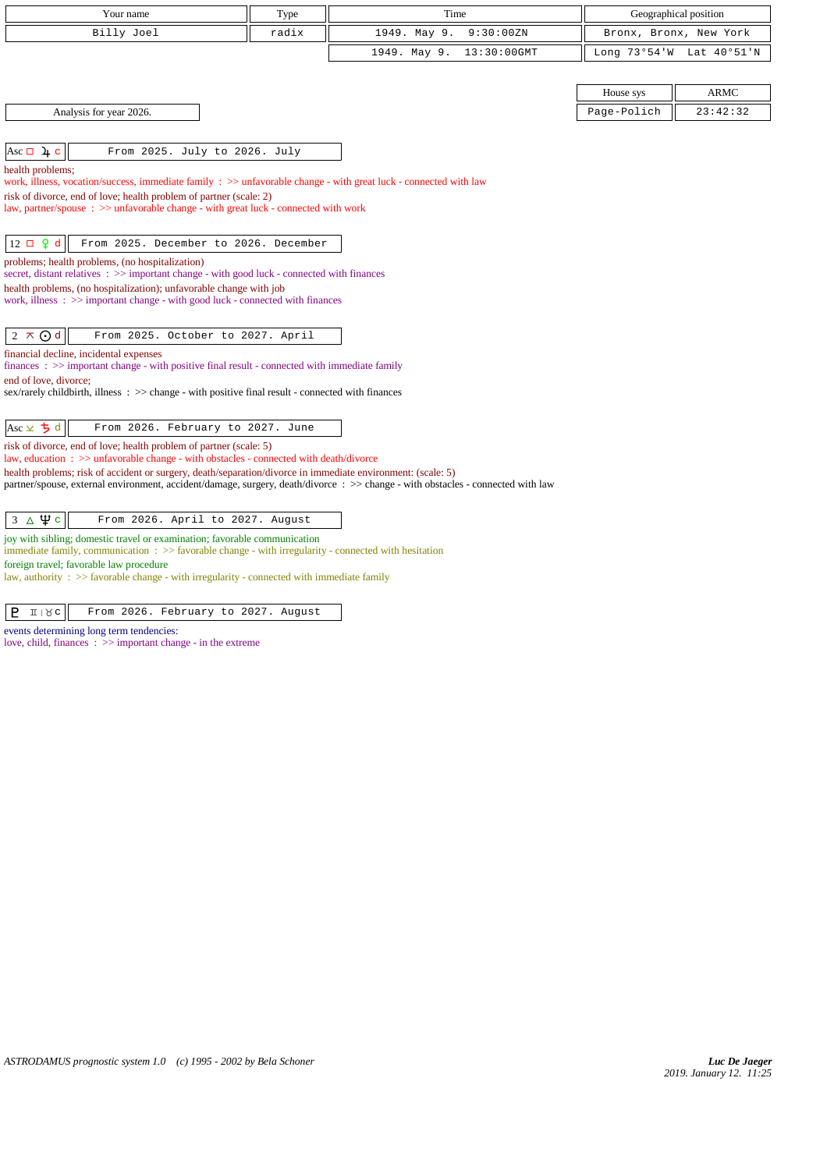| Your name                                                                                                                                                                          | Type  | Time                           |             | Geographical position    |
|------------------------------------------------------------------------------------------------------------------------------------------------------------------------------------|-------|--------------------------------|-------------|--------------------------|
| Billy Joel                                                                                                                                                                         | radix | 1949. May 9.<br>9:30:00 ZN     |             | Bronx, Bronx, New York   |
|                                                                                                                                                                                    |       | 1949. May 9.<br>$13:30:00$ GMT |             | Long 73°54'W Lat 40°51'N |
|                                                                                                                                                                                    |       |                                |             |                          |
|                                                                                                                                                                                    |       |                                | House sys   | <b>ARMC</b>              |
| Analysis for year 2026.                                                                                                                                                            |       |                                | Page-Polich | 23:42:32                 |
|                                                                                                                                                                                    |       |                                |             |                          |
| Asc $\Box$ 4 c<br>From 2025. July to 2026. July                                                                                                                                    |       |                                |             |                          |
| health problems;<br>work, illness, vocation/success, immediate family $\Rightarrow$ unfavorable change - with great luck - connected with law                                      |       |                                |             |                          |
| risk of divorce, end of love; health problem of partner (scale: 2)                                                                                                                 |       |                                |             |                          |
| law, partner/spouse : >> unfavorable change - with great luck - connected with work                                                                                                |       |                                |             |                          |
|                                                                                                                                                                                    |       |                                |             |                          |
| $12 \Box$ $9d$<br>From 2025. December to 2026. December                                                                                                                            |       |                                |             |                          |
| problems; health problems, (no hospitalization)<br>secret, distant relatives : >> important change - with good luck - connected with finances                                      |       |                                |             |                          |
| health problems, (no hospitalization); unfavorable change with job                                                                                                                 |       |                                |             |                          |
| work, illness $\Rightarrow$ important change - with good luck - connected with finances                                                                                            |       |                                |             |                          |
| $2 \times Qd$<br>From 2025. October to 2027. April                                                                                                                                 |       |                                |             |                          |
| financial decline, incidental expenses                                                                                                                                             |       |                                |             |                          |
| finances : $\gg$ important change - with positive final result - connected with immediate family<br>end of love, divorce;                                                          |       |                                |             |                          |
| sex/rarely childbirth, illness : >> change - with positive final result - connected with finances                                                                                  |       |                                |             |                          |
|                                                                                                                                                                                    |       |                                |             |                          |
| Asc $\times$ 5 d<br>From 2026. February to 2027. June                                                                                                                              |       |                                |             |                          |
| risk of divorce, end of love; health problem of partner (scale: 5)<br>law, education: $\gg$ unfavorable change - with obstacles - connected with death/divorce                     |       |                                |             |                          |
| health problems; risk of accident or surgery, death/separation/divorce in immediate environment: (scale: 5)                                                                        |       |                                |             |                          |
| partner/spouse, external environment, accident/damage, surgery, death/divorce: >> change - with obstacles - connected with law                                                     |       |                                |             |                          |
| $3\Delta\Psi c$<br>From 2026. April to 2027. August                                                                                                                                |       |                                |             |                          |
| joy with sibling; domestic travel or examination; favorable communication<br>immediate family, communication : >> favorable change - with irregularity - connected with hesitation |       |                                |             |                          |
| foreign travel; favorable law procedure                                                                                                                                            |       |                                |             |                          |

law, authority : >> favorable change - with irregularity - connected with immediate family

events determining long term tendencies: love, child, finances : >> important change - in the extreme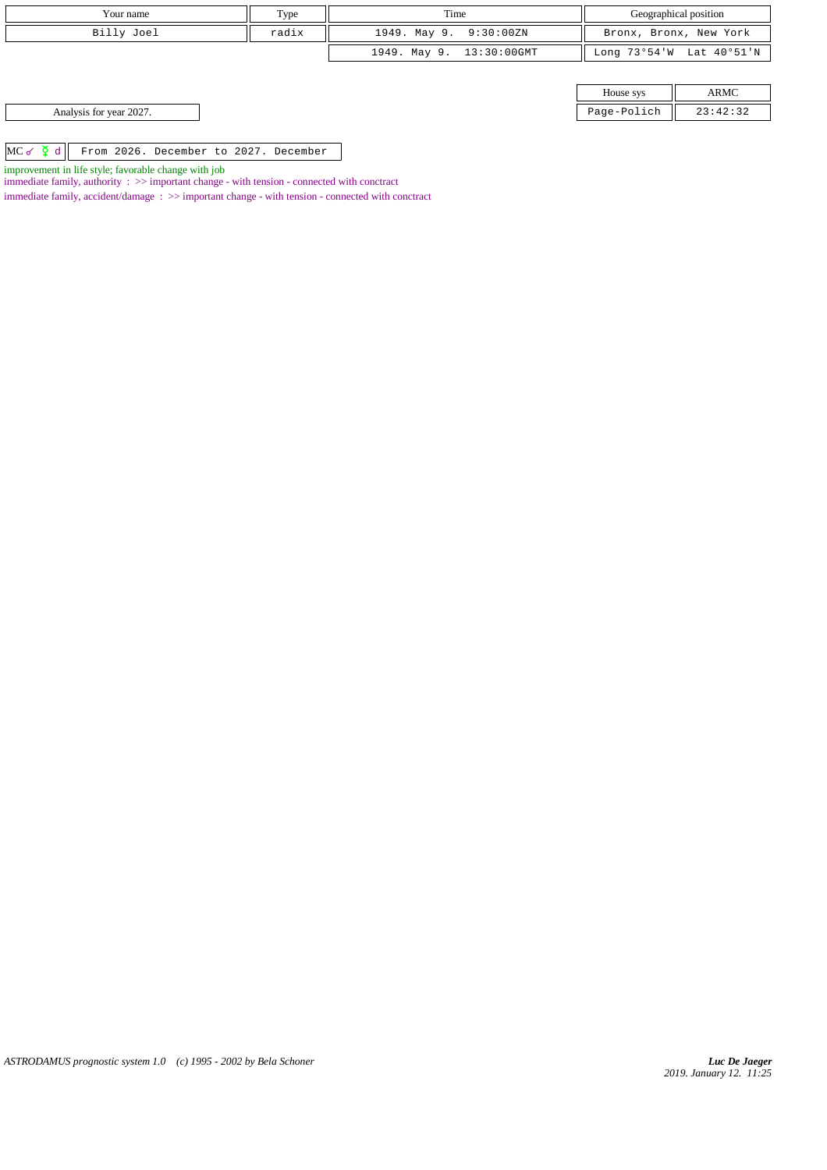| Your name                                                  | Type  | Time                     |                        | Geographical position    |
|------------------------------------------------------------|-------|--------------------------|------------------------|--------------------------|
| Billy Joel                                                 | radix | 1949. May 9. 9:30:00ZN   | Bronx, Bronx, New York |                          |
|                                                            |       | 1949. May 9. 13:30:00GMT |                        | Long 73°54'W Lat 40°51'N |
|                                                            |       |                          |                        |                          |
|                                                            |       |                          | House sys              | ARMC                     |
| Analysis for year 2027.                                    |       |                          | Page-Polich            | 23:42:32                 |
|                                                            |       |                          |                        |                          |
| $MC \circ \Phi d$<br>From 2026. December to 2027. December |       |                          |                        |                          |

improvement in life style; favorable change with job

immediate family, authority : >> important change - with tension - connected with conctract

 $\;$  immediate family, accident/damage  $\; : \; >>$  important change - with tension - connected with conctract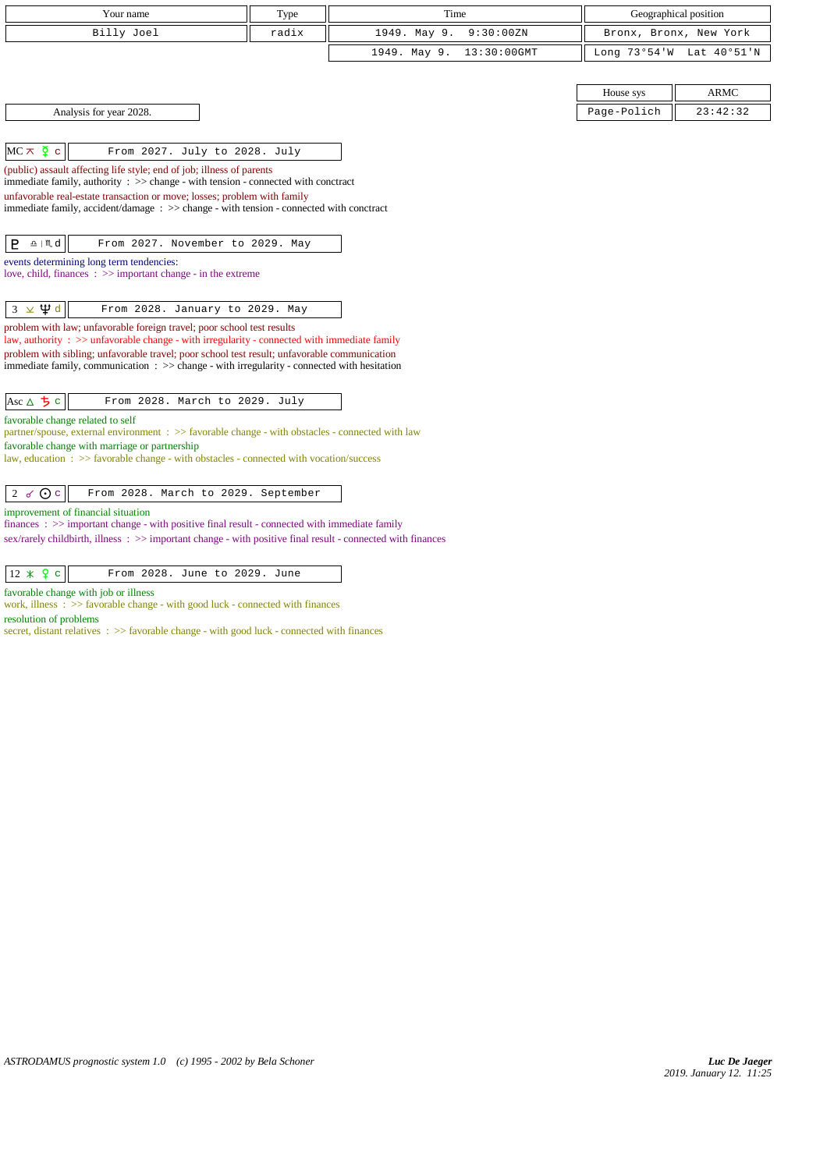| Your name                                                                                                                                                                                                            | Type  | Time                        |             | Geographical position    |
|----------------------------------------------------------------------------------------------------------------------------------------------------------------------------------------------------------------------|-------|-----------------------------|-------------|--------------------------|
| Billy Joel                                                                                                                                                                                                           | radix | 1949. May 9.<br>9:30:00ZN   |             | Bronx, Bronx, New York   |
|                                                                                                                                                                                                                      |       | 1949. May 9.<br>13:30:00GMT |             | Long 73°54'W Lat 40°51'N |
|                                                                                                                                                                                                                      |       |                             |             |                          |
|                                                                                                                                                                                                                      |       |                             | House sys   | <b>ARMC</b>              |
| Analysis for year 2028.                                                                                                                                                                                              |       |                             | Page-Polich | 23:42:32                 |
|                                                                                                                                                                                                                      |       |                             |             |                          |
| $MC \times \xi$ c<br>From 2027. July to 2028. July                                                                                                                                                                   |       |                             |             |                          |
| (public) assault affecting life style; end of job; illness of parents                                                                                                                                                |       |                             |             |                          |
| immediate family, authority $\Rightarrow$ $\Rightarrow$ change - with tension - connected with conctract<br>unfavorable real-estate transaction or move; losses; problem with family                                 |       |                             |             |                          |
| immediate family, accident/damage : >> change - with tension - connected with conctract                                                                                                                              |       |                             |             |                          |
|                                                                                                                                                                                                                      |       |                             |             |                          |
| $\underline{\mathbf{a}}$   $\mathbf{M}$ d<br>From 2027. November to 2029. May<br>P.                                                                                                                                  |       |                             |             |                          |
| events determining long term tendencies:                                                                                                                                                                             |       |                             |             |                          |
| love, child, finances $\Rightarrow$ important change - in the extreme                                                                                                                                                |       |                             |             |                          |
| $3 \times \Psi d$<br>From 2028. January to 2029. May                                                                                                                                                                 |       |                             |             |                          |
| problem with law; unfavorable foreign travel; poor school test results                                                                                                                                               |       |                             |             |                          |
| law, authority : $\gg$ unfavorable change - with irregularity - connected with immediate family                                                                                                                      |       |                             |             |                          |
| problem with sibling; unfavorable travel; poor school test result; unfavorable communication<br>immediate family, communication $\Rightarrow$ > $\Rightarrow$ change - with irregularity - connected with hesitation |       |                             |             |                          |
|                                                                                                                                                                                                                      |       |                             |             |                          |
| Asc $\triangle$ 5 c<br>From 2028. March to 2029. July                                                                                                                                                                |       |                             |             |                          |
| favorable change related to self                                                                                                                                                                                     |       |                             |             |                          |
| partner/spouse, external environment : >> favorable change - with obstacles - connected with law                                                                                                                     |       |                             |             |                          |
| favorable change with marriage or partnership<br>law, education: >> favorable change - with obstacles - connected with vocation/success                                                                              |       |                             |             |                          |
|                                                                                                                                                                                                                      |       |                             |             |                          |
| 2 $\sigma$ O c<br>From 2028. March to 2029. September                                                                                                                                                                |       |                             |             |                          |
| improvement of financial situation                                                                                                                                                                                   |       |                             |             |                          |
| finances : $\gg$ important change - with positive final result - connected with immediate family                                                                                                                     |       |                             |             |                          |
| sex/rarely childbirth, illness: >> important change - with positive final result - connected with finances                                                                                                           |       |                             |             |                          |

| $ 12 \times 9 \text{ c} $<br>From 2028. June to 2029. June |
|------------------------------------------------------------|
|------------------------------------------------------------|

favorable change with job or illness

work, illness : >> favorable change - with good luck - connected with finances resolution of problems

secret, distant relatives :  $>$  favorable change - with good luck - connected with finances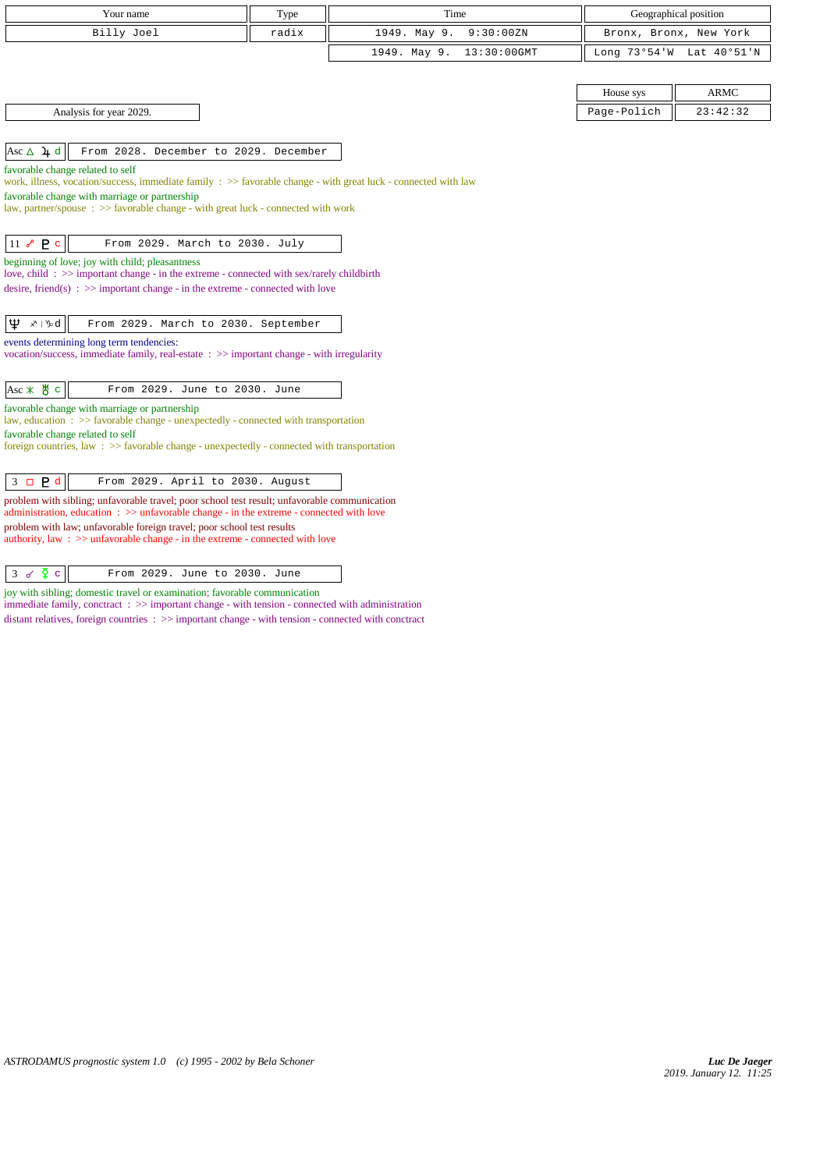| Your name                                                                                                                                                                                                         | Type  | Time                           |             | Geographical position    |
|-------------------------------------------------------------------------------------------------------------------------------------------------------------------------------------------------------------------|-------|--------------------------------|-------------|--------------------------|
| Billy Joel                                                                                                                                                                                                        | radix | 1949. May 9.<br>9:30:00ZN      |             | Bronx, Bronx, New York   |
|                                                                                                                                                                                                                   |       | $13:30:00$ GMT<br>1949. May 9. |             | Long 73°54'W Lat 40°51'N |
|                                                                                                                                                                                                                   |       |                                |             |                          |
|                                                                                                                                                                                                                   |       |                                | House sys   | <b>ARMC</b>              |
| Analysis for year 2029.                                                                                                                                                                                           |       |                                | Page-Polich | 23:42:32                 |
|                                                                                                                                                                                                                   |       |                                |             |                          |
| Asc $\Delta$ 4 d<br>From 2028. December to 2029. December                                                                                                                                                         |       |                                |             |                          |
| favorable change related to self<br>work, illness, vocation/success, immediate family : >> favorable change - with great luck - connected with law                                                                |       |                                |             |                          |
| favorable change with marriage or partnership                                                                                                                                                                     |       |                                |             |                          |
| law, partner/spouse : >> favorable change - with great luck - connected with work                                                                                                                                 |       |                                |             |                          |
|                                                                                                                                                                                                                   |       |                                |             |                          |
| $11 \times P$ c<br>From 2029. March to 2030. July                                                                                                                                                                 |       |                                |             |                          |
| beginning of love; joy with child; pleasantness<br>love, child: $\gg$ important change - in the extreme - connected with sex/rarely childbirth                                                                    |       |                                |             |                          |
| desire, friend(s) : $\gg$ important change - in the extreme - connected with love                                                                                                                                 |       |                                |             |                          |
|                                                                                                                                                                                                                   |       |                                |             |                          |
| ∣Ψ<br>$x \upharpoonright y_0$ d<br>From 2029. March to 2030. September                                                                                                                                            |       |                                |             |                          |
| events determining long term tendencies:<br>vocation/success, immediate family, real-estate : >> important change - with irregularity                                                                             |       |                                |             |                          |
|                                                                                                                                                                                                                   |       |                                |             |                          |
| $Asc \times \overset{\text{H}}{\circ} c$<br>From 2029. June to 2030. June                                                                                                                                         |       |                                |             |                          |
| favorable change with marriage or partnership                                                                                                                                                                     |       |                                |             |                          |
| law, education: >> favorable change - unexpectedly - connected with transportation                                                                                                                                |       |                                |             |                          |
| favorable change related to self<br>foreign countries, law: >> favorable change - unexpectedly - connected with transportation                                                                                    |       |                                |             |                          |
|                                                                                                                                                                                                                   |       |                                |             |                          |
| $\overline{3}$<br>$\Box$ $P$ d<br>From 2029. April to 2030. August                                                                                                                                                |       |                                |             |                          |
| problem with sibling; unfavorable travel; poor school test result; unfavorable communication<br>administration, education $\Rightarrow$ > $\Rightarrow$ unfavorable change - in the extreme - connected with love |       |                                |             |                          |
| problem with law; unfavorable foreign travel; poor school test results                                                                                                                                            |       |                                |             |                          |
| authority, law $\Rightarrow$ >> unfavorable change - in the extreme - connected with love                                                                                                                         |       |                                |             |                          |
|                                                                                                                                                                                                                   |       |                                |             |                          |

 $\begin{array}{|c|c|c|c|c|}\n3 & 6 & 2 & 6 \\
\hline\n\end{array}$  From 2029. June to 2030. June

joy with sibling; domestic travel or examination; favorable communication

immediate family, conctract : >> important change - with tension - connected with administration distant relatives, foreign countries : >> important change - with tension - connected with conctract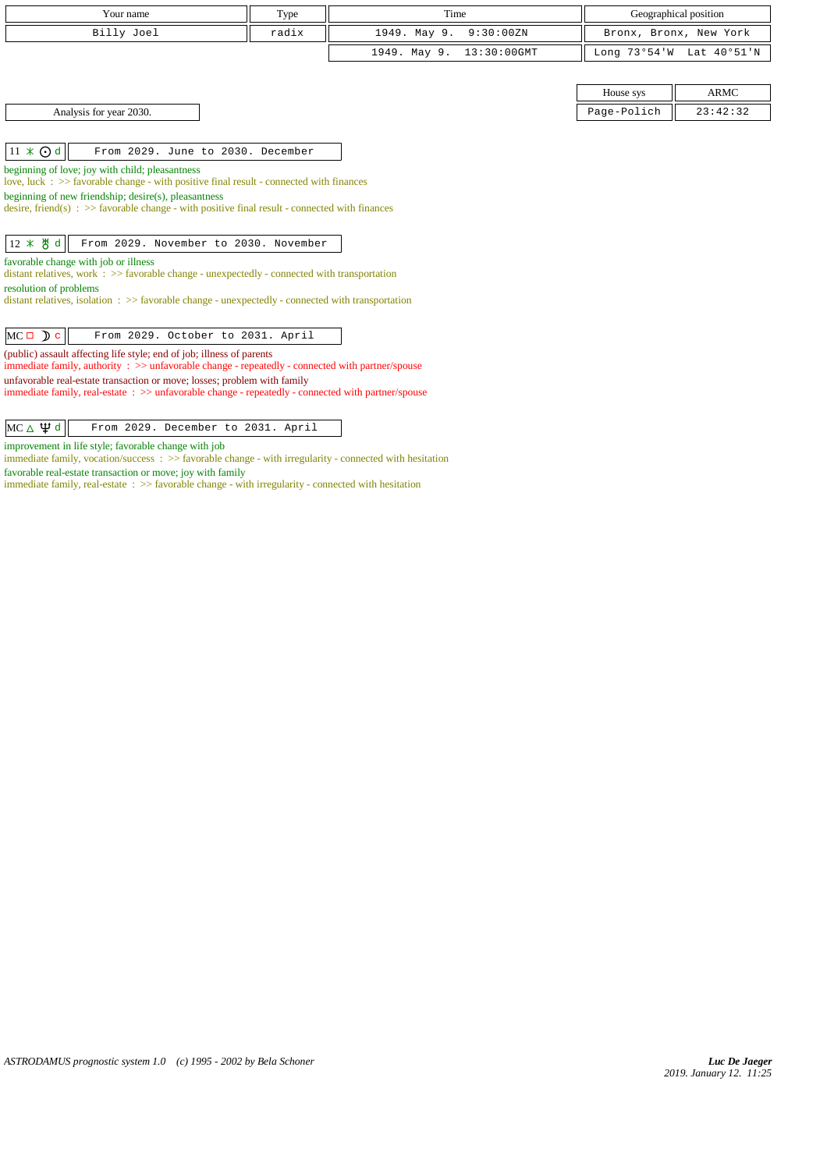| Your name                                                                                                                                                                     | Type  | Time                           |              | Geographical position  |  |
|-------------------------------------------------------------------------------------------------------------------------------------------------------------------------------|-------|--------------------------------|--------------|------------------------|--|
| Billy Joel                                                                                                                                                                    | radix | 1949. May 9.<br>9:30:00 ZN     |              | Bronx, Bronx, New York |  |
|                                                                                                                                                                               |       | 1949. May 9.<br>$13:30:00$ GMT | Long 73°54'W | Lat 40°51'N            |  |
|                                                                                                                                                                               |       |                                |              |                        |  |
|                                                                                                                                                                               |       |                                | House sys    | ARMC                   |  |
| Analysis for year 2030.                                                                                                                                                       |       |                                | Page-Polich  | 23:42:32               |  |
|                                                                                                                                                                               |       |                                |              |                        |  |
| $11 \times Qd$<br>From 2029. June to 2030. December                                                                                                                           |       |                                |              |                        |  |
| beginning of love; joy with child; pleasantness                                                                                                                               |       |                                |              |                        |  |
| love, luck $\div$ $\Rightarrow$ favorable change - with positive final result - connected with finances<br>beginning of new friendship; desire(s), pleasantness               |       |                                |              |                        |  |
| desire, friend(s) : $\gg$ favorable change - with positive final result - connected with finances                                                                             |       |                                |              |                        |  |
|                                                                                                                                                                               |       |                                |              |                        |  |
| 12 * 5 d<br>From 2029. November to 2030. November                                                                                                                             |       |                                |              |                        |  |
| favorable change with job or illness                                                                                                                                          |       |                                |              |                        |  |
| distant relatives, work $\Rightarrow$ Savorable change - unexpectedly - connected with transportation<br>resolution of problems                                               |       |                                |              |                        |  |
| distant relatives, isolation $\Rightarrow$ >> favorable change - unexpectedly - connected with transportation                                                                 |       |                                |              |                        |  |
|                                                                                                                                                                               |       |                                |              |                        |  |
| $MC \Box$ $C$<br>From 2029. October to 2031. April                                                                                                                            |       |                                |              |                        |  |
| (public) assault affecting life style; end of job; illness of parents                                                                                                         |       |                                |              |                        |  |
| immediate family, authority : >> unfavorable change - repeatedly - connected with partner/spouse                                                                              |       |                                |              |                        |  |
| unfavorable real-estate transaction or move; losses; problem with family<br>immediate family, real-estate: >> unfavorable change - repeatedly - connected with partner/spouse |       |                                |              |                        |  |
|                                                                                                                                                                               |       |                                |              |                        |  |
| МС $\Delta$ $\uplus$ d<br>From 2029. December to 2031. April                                                                                                                  |       |                                |              |                        |  |

improvement in life style; favorable change with job

immediate family, vocation/success : >> favorable change - with irregularity - connected with hesitation favorable real-estate transaction or move; joy with family

immediate family, real-estate : >> favorable change - with irregularity - connected with hesitation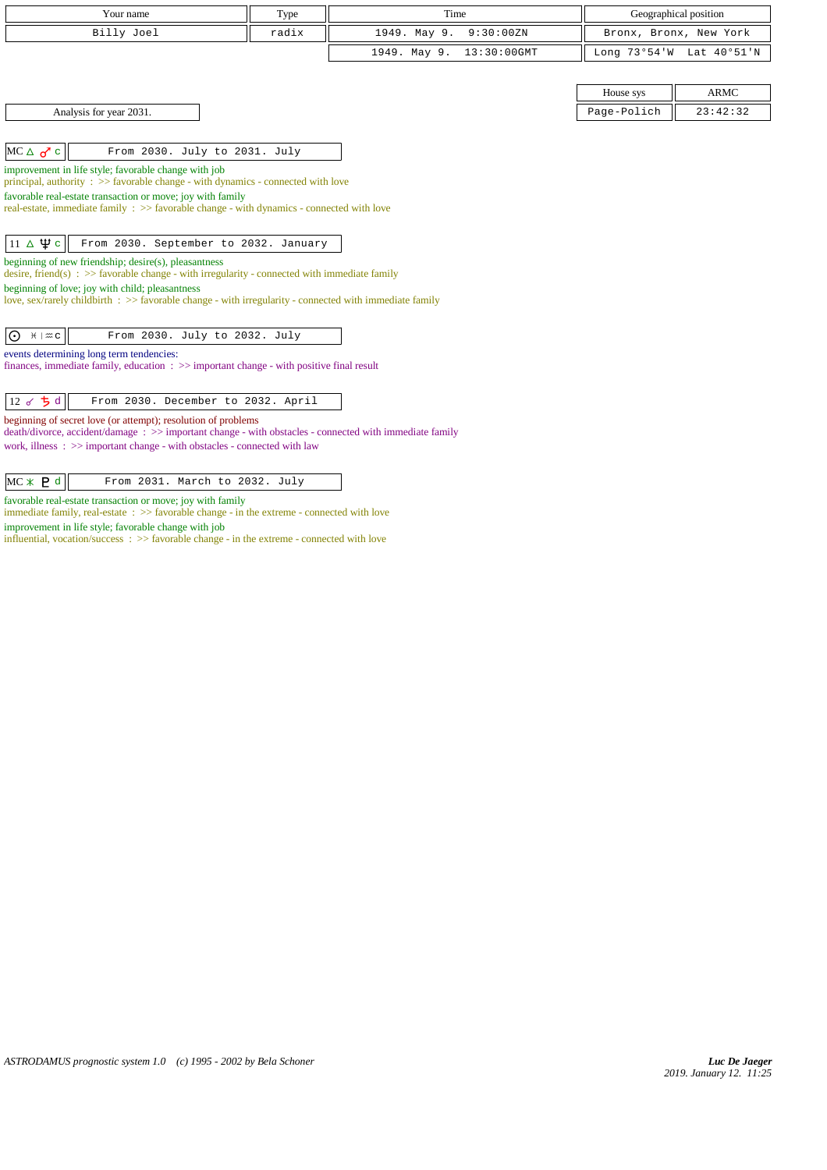| Your name                                                                                                                                                                                                                                                                                                                                                                                                                                                                                                                                                                                                                                                                                             | Type  | Time                        |             | Geographical position    |  |
|-------------------------------------------------------------------------------------------------------------------------------------------------------------------------------------------------------------------------------------------------------------------------------------------------------------------------------------------------------------------------------------------------------------------------------------------------------------------------------------------------------------------------------------------------------------------------------------------------------------------------------------------------------------------------------------------------------|-------|-----------------------------|-------------|--------------------------|--|
| Billy Joel                                                                                                                                                                                                                                                                                                                                                                                                                                                                                                                                                                                                                                                                                            | radix | 1949. May 9.<br>9:30:00ZN   |             | Bronx, Bronx, New York   |  |
|                                                                                                                                                                                                                                                                                                                                                                                                                                                                                                                                                                                                                                                                                                       |       | 1949. May 9.<br>13:30:00GMT |             | Long 73°54'W Lat 40°51'N |  |
|                                                                                                                                                                                                                                                                                                                                                                                                                                                                                                                                                                                                                                                                                                       |       |                             |             |                          |  |
|                                                                                                                                                                                                                                                                                                                                                                                                                                                                                                                                                                                                                                                                                                       |       |                             | House sys   | <b>ARMC</b>              |  |
| Analysis for year 2031.                                                                                                                                                                                                                                                                                                                                                                                                                                                                                                                                                                                                                                                                               |       |                             | Page-Polich | 23:42:32                 |  |
|                                                                                                                                                                                                                                                                                                                                                                                                                                                                                                                                                                                                                                                                                                       |       |                             |             |                          |  |
| $MC \triangle \sigma^{\prime}$ c<br>From 2030. July to 2031. July                                                                                                                                                                                                                                                                                                                                                                                                                                                                                                                                                                                                                                     |       |                             |             |                          |  |
| improvement in life style; favorable change with job<br>principal, authority $\Rightarrow$ Savorable change - with dynamics - connected with love<br>favorable real-estate transaction or move; joy with family<br>real-estate, immediate family : >> favorable change - with dynamics - connected with love<br>$11 \Delta \Psi c$<br>From 2030. September to 2032. January<br>beginning of new friendship; desire(s), pleasantness<br>desire, friend(s) : $\gg$ favorable change - with irregularity - connected with immediate family<br>beginning of love; joy with child; pleasantness<br>love, sex/rarely childbirth : >> favorable change - with irregularity - connected with immediate family |       |                             |             |                          |  |
| From 2030. July to 2032. July<br>$\odot$ $H \uplus C$<br>events determining long term tendencies:<br>finances, immediate family, education $\Rightarrow$ important change - with positive final result<br>12 o ち d<br>From 2030. December to 2032. April<br>beginning of secret love (or attempt); resolution of problems<br>death/divorce, accident/damage: >> important change - with obstacles - connected with immediate family<br>work, illness $\Rightarrow$ >> important change - with obstacles - connected with law                                                                                                                                                                          |       |                             |             |                          |  |

| $MC \times P d$ |  | From 2031. March to 2032. July |  |  |
|-----------------|--|--------------------------------|--|--|

favorable real-estate transaction or move; joy with family

immediate family, real-estate : >> favorable change - in the extreme - connected with love improvement in life style; favorable change with job

influential, vocation/success : >> favorable change - in the extreme - connected with love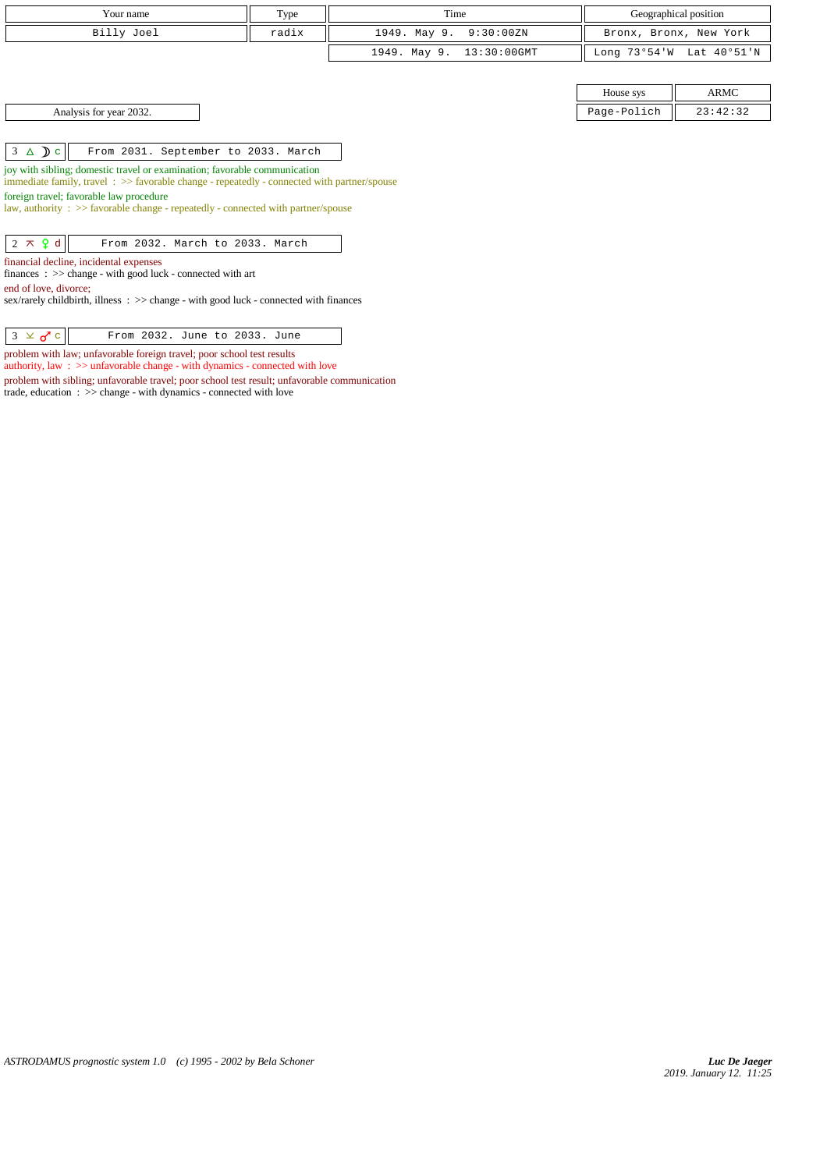| Your name                                                                                                                                                               | Type                                | Time                           |              | Geographical position  |  |  |  |
|-------------------------------------------------------------------------------------------------------------------------------------------------------------------------|-------------------------------------|--------------------------------|--------------|------------------------|--|--|--|
| Billy Joel                                                                                                                                                              | radix                               | 1949. May 9.<br>9:30:00ZN      |              | Bronx, Bronx, New York |  |  |  |
|                                                                                                                                                                         |                                     | 1949. May 9.<br>$13:30:00$ GMT | Long 73°54'W | Lat 40°51'N            |  |  |  |
|                                                                                                                                                                         |                                     |                                |              |                        |  |  |  |
|                                                                                                                                                                         |                                     |                                | House sys    | ARMC                   |  |  |  |
| Page-Polich<br>23:42:32<br>Analysis for year 2032.                                                                                                                      |                                     |                                |              |                        |  |  |  |
|                                                                                                                                                                         |                                     |                                |              |                        |  |  |  |
| $3 \triangle \mathbf{D}c$                                                                                                                                               | From 2031. September to 2033. March |                                |              |                        |  |  |  |
| joy with sibling; domestic travel or examination; favorable communication<br>immediate family, travel: >> favorable change - repeatedly - connected with partner/spouse |                                     |                                |              |                        |  |  |  |
| foreign travel; favorable law procedure<br>law, authority : $\gg$ favorable change - repeatedly - connected with partner/spouse                                         |                                     |                                |              |                        |  |  |  |
|                                                                                                                                                                         |                                     |                                |              |                        |  |  |  |
| $2 \times 9d$<br>From 2032. March to 2033. March                                                                                                                        |                                     |                                |              |                        |  |  |  |
| financial decline, incidental expenses                                                                                                                                  |                                     |                                |              |                        |  |  |  |
| finances : $\gg$ change - with good luck - connected with art                                                                                                           |                                     |                                |              |                        |  |  |  |
| end of love, divorce;                                                                                                                                                   |                                     |                                |              |                        |  |  |  |
| sex/rarely childbirth, illness : >> change - with good luck - connected with finances                                                                                   |                                     |                                |              |                        |  |  |  |
|                                                                                                                                                                         |                                     |                                |              |                        |  |  |  |
| $3 \times 0$ c<br>From 2032. June to 2033. June                                                                                                                         |                                     |                                |              |                        |  |  |  |

problem with law; unfavorable foreign travel; poor school test results authority, law :  $\gg$  unfavorable change - with dynamics - connected with love

trade, education : >> change - with dynamics - connected with love

problem with sibling; unfavorable travel; poor school test result; unfavorable communication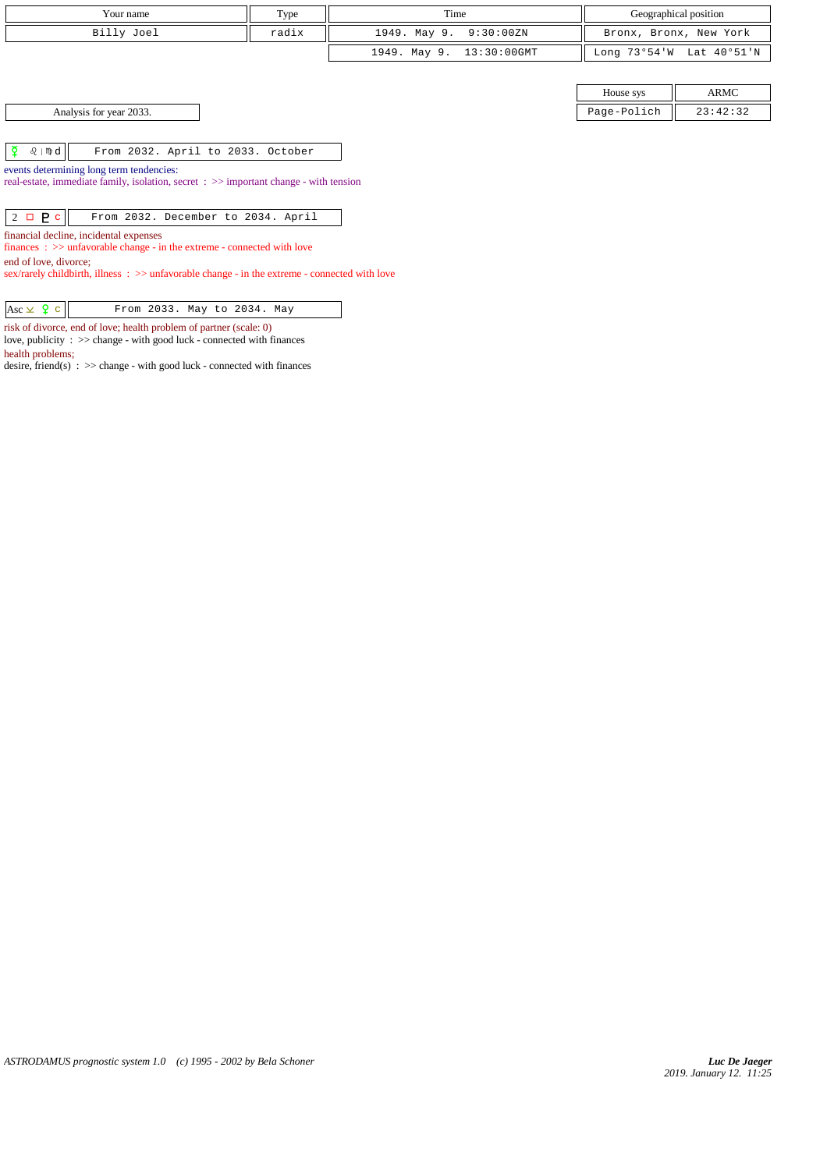| Your name                                                                                                                                                                                                                                      | Type  | Time                        |              | Geographical position  |  |  |
|------------------------------------------------------------------------------------------------------------------------------------------------------------------------------------------------------------------------------------------------|-------|-----------------------------|--------------|------------------------|--|--|
| Billy Joel                                                                                                                                                                                                                                     | radix | 1949. May 9.<br>9:30:00ZN   |              | Bronx, Bronx, New York |  |  |
|                                                                                                                                                                                                                                                |       | 1949. May 9.<br>13:30:00GMT | Long 73°54'W | Lat 40°51'N            |  |  |
|                                                                                                                                                                                                                                                |       |                             |              |                        |  |  |
|                                                                                                                                                                                                                                                |       |                             | House sys    | <b>ARMC</b>            |  |  |
| Analysis for year 2033.                                                                                                                                                                                                                        |       |                             | Page-Polich  | 23:42:32               |  |  |
|                                                                                                                                                                                                                                                |       |                             |              |                        |  |  |
| ₹<br>$\Omega$   mp $d$  <br>From 2032. April to 2033. October                                                                                                                                                                                  |       |                             |              |                        |  |  |
| events determining long term tendencies:<br>real-estate, immediate family, isolation, secret : >> important change - with tension                                                                                                              |       |                             |              |                        |  |  |
| $2 \Box P c$<br>From 2032. December to 2034. April                                                                                                                                                                                             |       |                             |              |                        |  |  |
| financial decline, incidental expenses<br>$finances : \gg$ unfavorable change - in the extreme - connected with love<br>end of love, divorce;<br>sex/rarely childbirth, illness : >> unfavorable change - in the extreme - connected with love |       |                             |              |                        |  |  |

 $\begin{array}{|c|c|c|c|c|}\n\hline \text{Asc} & \text{Q} & \text{From 2033. May to 2034. May}\n\end{array}$ 

risk of divorce, end of love; health problem of partner (scale: 0)

love, publicity : >> change - with good luck - connected with finances

health problems;

desire,  $friend(s)$  :  $\gg$  change - with good luck - connected with finances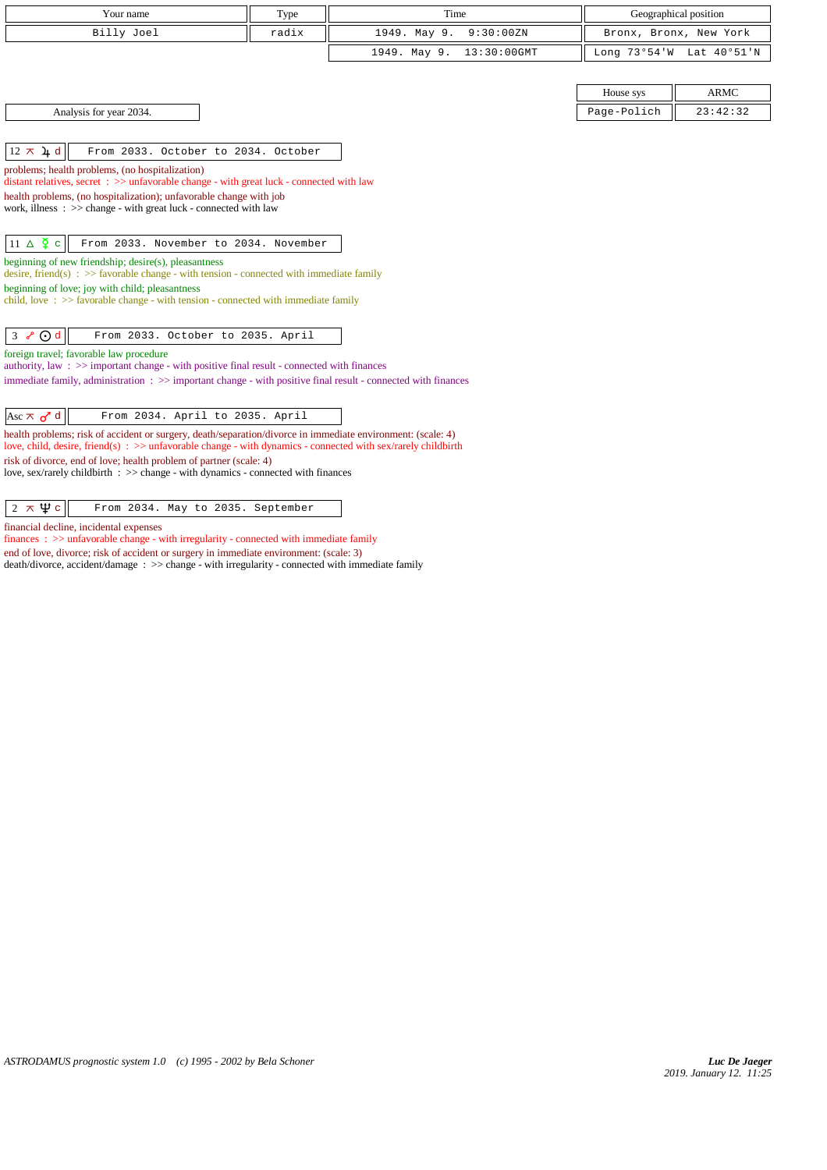| Your name                                                                                                                                                                                                                                                                                                                                                                                                                                                                                                                               | Type  | Time                        |             | Geographical position    |
|-----------------------------------------------------------------------------------------------------------------------------------------------------------------------------------------------------------------------------------------------------------------------------------------------------------------------------------------------------------------------------------------------------------------------------------------------------------------------------------------------------------------------------------------|-------|-----------------------------|-------------|--------------------------|
| Billy Joel                                                                                                                                                                                                                                                                                                                                                                                                                                                                                                                              | radix | 1949. May 9.<br>9:30:00ZN   |             | Bronx, Bronx, New York   |
|                                                                                                                                                                                                                                                                                                                                                                                                                                                                                                                                         |       | 1949. May 9.<br>13:30:00GMT |             | Long 73°54'W Lat 40°51'N |
|                                                                                                                                                                                                                                                                                                                                                                                                                                                                                                                                         |       |                             |             |                          |
|                                                                                                                                                                                                                                                                                                                                                                                                                                                                                                                                         |       |                             | House sys   | <b>ARMC</b>              |
| Analysis for year 2034.                                                                                                                                                                                                                                                                                                                                                                                                                                                                                                                 |       |                             | Page-Polich | 23:42:32                 |
|                                                                                                                                                                                                                                                                                                                                                                                                                                                                                                                                         |       |                             |             |                          |
| $12 \times 4$ d<br>From 2033. October to 2034. October                                                                                                                                                                                                                                                                                                                                                                                                                                                                                  |       |                             |             |                          |
| problems; health problems, (no hospitalization)<br>distant relatives, secret : >> unfavorable change - with great luck - connected with law                                                                                                                                                                                                                                                                                                                                                                                             |       |                             |             |                          |
| health problems, (no hospitalization); unfavorable change with job                                                                                                                                                                                                                                                                                                                                                                                                                                                                      |       |                             |             |                          |
| work, illness: >> change - with great luck - connected with law                                                                                                                                                                                                                                                                                                                                                                                                                                                                         |       |                             |             |                          |
|                                                                                                                                                                                                                                                                                                                                                                                                                                                                                                                                         |       |                             |             |                          |
| $11 \triangle \frac{5}{7}$ c<br>From 2033. November to 2034. November                                                                                                                                                                                                                                                                                                                                                                                                                                                                   |       |                             |             |                          |
| beginning of new friendship; desire(s), pleasantness<br>desire, friend(s) : $\gg$ favorable change - with tension - connected with immediate family                                                                                                                                                                                                                                                                                                                                                                                     |       |                             |             |                          |
| beginning of love; joy with child; pleasantness                                                                                                                                                                                                                                                                                                                                                                                                                                                                                         |       |                             |             |                          |
| child, love: >> favorable change - with tension - connected with immediate family                                                                                                                                                                                                                                                                                                                                                                                                                                                       |       |                             |             |                          |
| $\odot$ d<br>$\mathbf{3}$<br>From 2033. October to 2035. April<br>$\mathcal{S}$                                                                                                                                                                                                                                                                                                                                                                                                                                                         |       |                             |             |                          |
| foreign travel; favorable law procedure                                                                                                                                                                                                                                                                                                                                                                                                                                                                                                 |       |                             |             |                          |
| authority, law: >> important change - with positive final result - connected with finances                                                                                                                                                                                                                                                                                                                                                                                                                                              |       |                             |             |                          |
| immediate family, administration : >> important change - with positive final result - connected with finances                                                                                                                                                                                                                                                                                                                                                                                                                           |       |                             |             |                          |
| Asc $\pi$ o <sup>r</sup> d<br>From 2034. April to 2035. April                                                                                                                                                                                                                                                                                                                                                                                                                                                                           |       |                             |             |                          |
| health problems; risk of accident or surgery, death/separation/divorce in immediate environment: (scale: 4)<br>love, child, desire, friend(s) $\Rightarrow$ and $\Rightarrow$ and $\Rightarrow$ and $\Rightarrow$ and $\Rightarrow$ and $\Rightarrow$ and $\Rightarrow$ and $\Rightarrow$ and $\Rightarrow$ and $\Rightarrow$ and $\Rightarrow$ and $\Rightarrow$ and $\Rightarrow$ and $\Rightarrow$ and $\Rightarrow$ and $\Rightarrow$ and $\Rightarrow$ and $\Rightarrow$ and $\Rightarrow$ and $\Rightarrow$ and $\Rightarrow$ and |       |                             |             |                          |
| risk of divorce, end of love; health problem of partner (scale: 4)                                                                                                                                                                                                                                                                                                                                                                                                                                                                      |       |                             |             |                          |
| love, sex/rarely childbirth : >> change - with dynamics - connected with finances                                                                                                                                                                                                                                                                                                                                                                                                                                                       |       |                             |             |                          |
|                                                                                                                                                                                                                                                                                                                                                                                                                                                                                                                                         |       |                             |             |                          |
| $2 \times \Psi$ c<br>From 2034. May to 2035. September                                                                                                                                                                                                                                                                                                                                                                                                                                                                                  |       |                             |             |                          |
| financial decline, incidental expenses<br>والمسوار وعوله ومسمية واعتبر الروعو وسووري ومشروا ومرمسة واعتبرت والوسوار والواسوريوكسير ورواري والموس                                                                                                                                                                                                                                                                                                                                                                                        |       |                             |             |                          |

finances :  $>\!\!>$  unfavorable change - with irregularity - connected with immediate family end of love, divorce; risk of accident or surgery in immediate environment: (scale: 3) death/divorce, accident/damage : >> change - with irregularity - connected with immediate family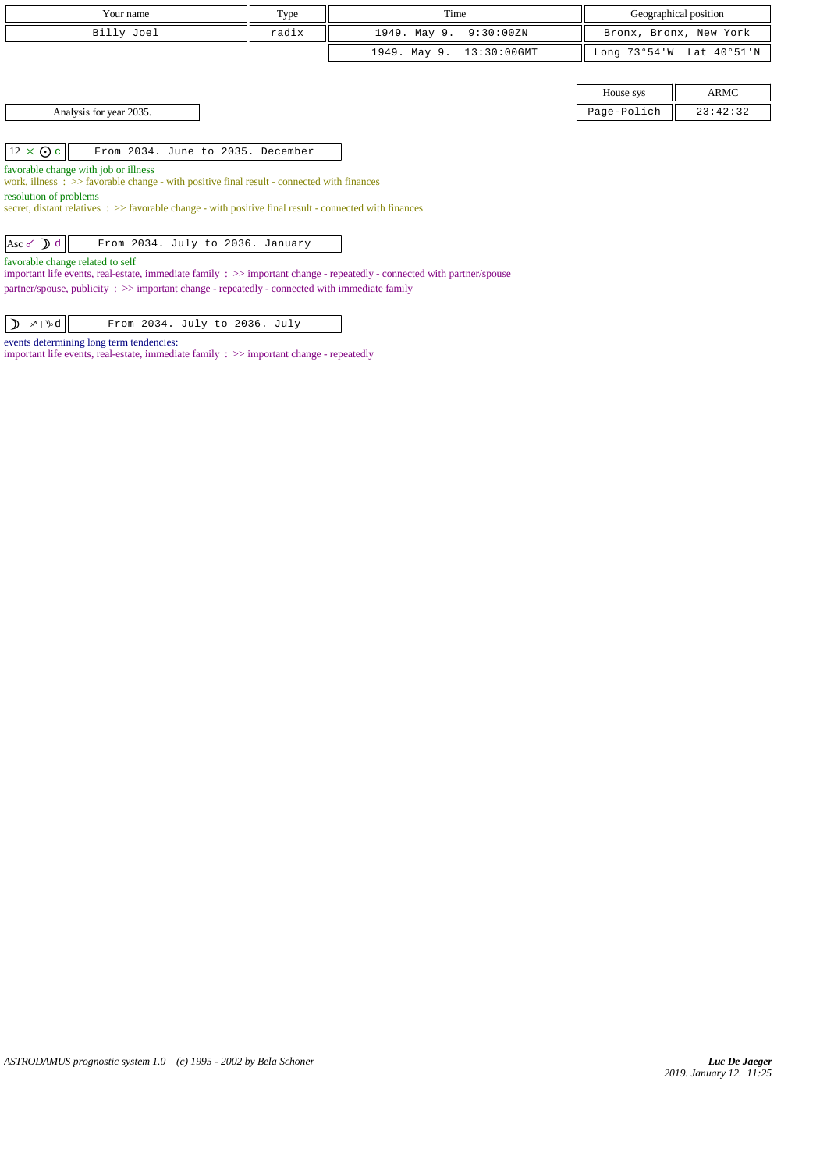| Your name                                                                                                                                                   | Type  | Time                        |              | Geographical position  |  |  |
|-------------------------------------------------------------------------------------------------------------------------------------------------------------|-------|-----------------------------|--------------|------------------------|--|--|
| Billy Joel                                                                                                                                                  | radix | 1949. May 9.<br>9:30:00ZN   |              | Bronx, Bronx, New York |  |  |
|                                                                                                                                                             |       | 1949. May 9.<br>13:30:00GMT | Long 73°54'W | Lat 40°51'N            |  |  |
|                                                                                                                                                             |       |                             |              |                        |  |  |
|                                                                                                                                                             |       |                             | House sys    | ARMC                   |  |  |
| Analysis for year 2035.                                                                                                                                     |       |                             | Page-Polich  | 23:42:32               |  |  |
|                                                                                                                                                             |       |                             |              |                        |  |  |
| $12 \times Q$ c<br>From 2034. June to 2035. December                                                                                                        |       |                             |              |                        |  |  |
| favorable change with job or illness                                                                                                                        |       |                             |              |                        |  |  |
| work, illness $\Rightarrow$ Savorable change - with positive final result - connected with finances<br>resolution of problems                               |       |                             |              |                        |  |  |
| secret, distant relatives : >> favorable change - with positive final result - connected with finances                                                      |       |                             |              |                        |  |  |
| Asc $\delta$ d<br>From 2034. July to 2036. January                                                                                                          |       |                             |              |                        |  |  |
| favorable change related to self<br>important life events, real-estate, immediate family : >> important change - repeatedly - connected with partner/spouse |       |                             |              |                        |  |  |
| partner/spouse, publicity $\therefore$ >> important change - repeatedly - connected with immediate family                                                   |       |                             |              |                        |  |  |

| $\left  \sum_{\alpha} x_{\alpha} \right $<br>From 2034. July to 2036. July |
|----------------------------------------------------------------------------|
|----------------------------------------------------------------------------|

events determining long term tendencies:

important life events, real-estate, immediate family : >> important change - repeatedly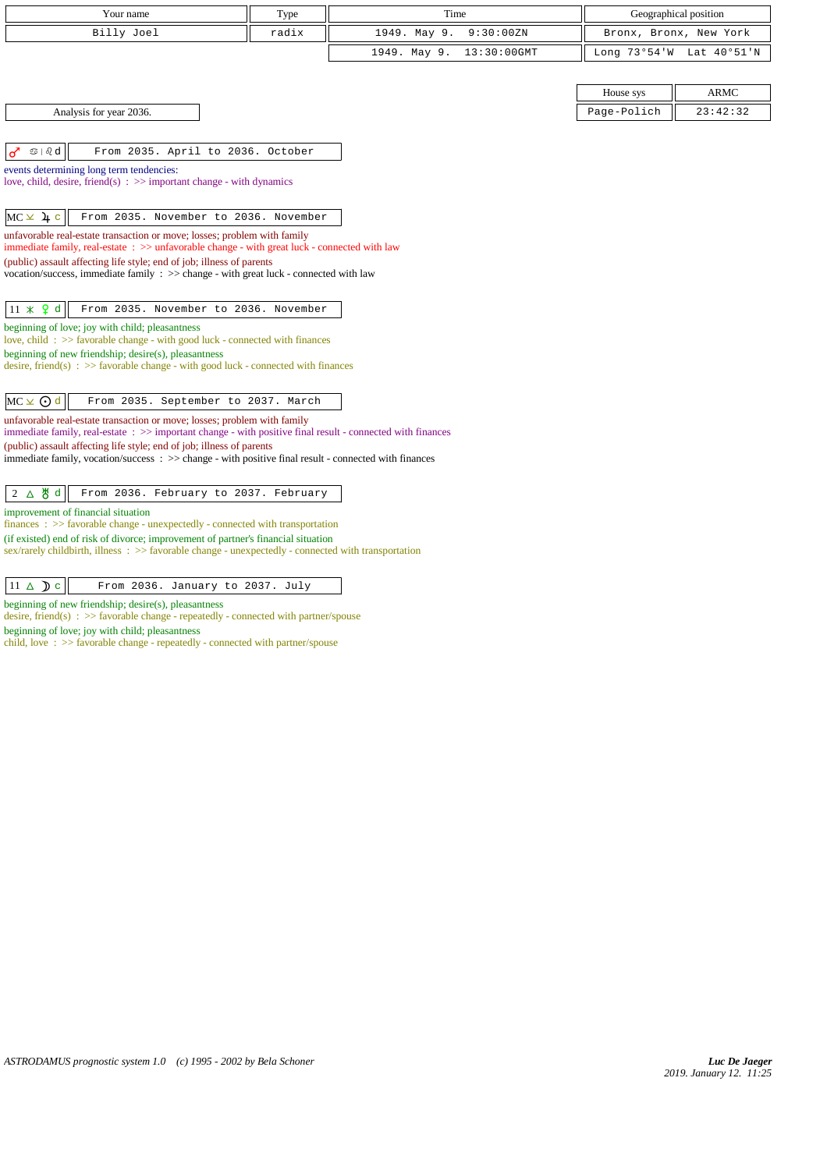| Your name                                                                                                                                                                     | Type  | Time                           |             | Geographical position    |
|-------------------------------------------------------------------------------------------------------------------------------------------------------------------------------|-------|--------------------------------|-------------|--------------------------|
| Billy Joel                                                                                                                                                                    | radix | 1949. May 9.<br>9:30:00ZN      |             | Bronx, Bronx, New York   |
|                                                                                                                                                                               |       | $13:30:00$ GMT<br>1949. May 9. |             | Long 73°54'W Lat 40°51'N |
|                                                                                                                                                                               |       |                                |             |                          |
|                                                                                                                                                                               |       |                                | House sys   | <b>ARMC</b>              |
| Analysis for year 2036.                                                                                                                                                       |       |                                | Page-Polich | 23:42:32                 |
|                                                                                                                                                                               |       |                                |             |                          |
| $\circledcirc$   $\circledcirc$ d<br>From 2035. April to 2036. October<br>♂                                                                                                   |       |                                |             |                          |
| events determining long term tendencies:<br>love, child, desire, friend(s) : $\gg$ important change - with dynamics                                                           |       |                                |             |                          |
|                                                                                                                                                                               |       |                                |             |                          |
| $MC \times 4$ c<br>From 2035. November to 2036. November                                                                                                                      |       |                                |             |                          |
| unfavorable real-estate transaction or move; losses; problem with family                                                                                                      |       |                                |             |                          |
| immediate family, real-estate : >> unfavorable change - with great luck - connected with law<br>(public) assault affecting life style; end of job; illness of parents         |       |                                |             |                          |
| vocation/success, immediate family $\Rightarrow$ change - with great luck - connected with law                                                                                |       |                                |             |                          |
|                                                                                                                                                                               |       |                                |             |                          |
| $11 \times 9$ d<br>From 2035. November to 2036. November                                                                                                                      |       |                                |             |                          |
| beginning of love; joy with child; pleasantness<br>love, child: >> favorable change - with good luck - connected with finances                                                |       |                                |             |                          |
| beginning of new friendship; desire(s), pleasantness                                                                                                                          |       |                                |             |                          |
| desire, friend(s) : $\gg$ favorable change - with good luck - connected with finances                                                                                         |       |                                |             |                          |
| $MC \times Q$ d<br>From 2035. September to 2037. March                                                                                                                        |       |                                |             |                          |
| unfavorable real-estate transaction or move; losses; problem with family                                                                                                      |       |                                |             |                          |
| immediate family, real-estate: >> important change - with positive final result - connected with finances                                                                     |       |                                |             |                          |
| (public) assault affecting life style; end of job; illness of parents<br>immediate family, vocation/success: >> change - with positive final result - connected with finances |       |                                |             |                          |
|                                                                                                                                                                               |       |                                |             |                          |
| $2$ $\Delta$ 5 d<br>From 2036. February to 2037. February                                                                                                                     |       |                                |             |                          |
| improvement of financial situation<br>$finances : \gg$ favorable change - unexpectedly - connected with transportation                                                        |       |                                |             |                          |
| (if existed) end of risk of divorce; improvement of partner's financial situation                                                                                             |       |                                |             |                          |
| sex/rarely childbirth, illness: >> favorable change - unexpectedly - connected with transportation                                                                            |       |                                |             |                          |
|                                                                                                                                                                               |       |                                |             |                          |

 $\boxed{11 \Delta$   $\triangleright$  c  $\boxed{\phantom{1}$  From 2036. January to 2037. July

beginning of new friendship; desire(s), pleasantness desire, friend(s) : >> favorable change - repeatedly - connected with partner/spouse beginning of love; joy with child; pleasantness

child, love : >> favorable change - repeatedly - connected with partner/spouse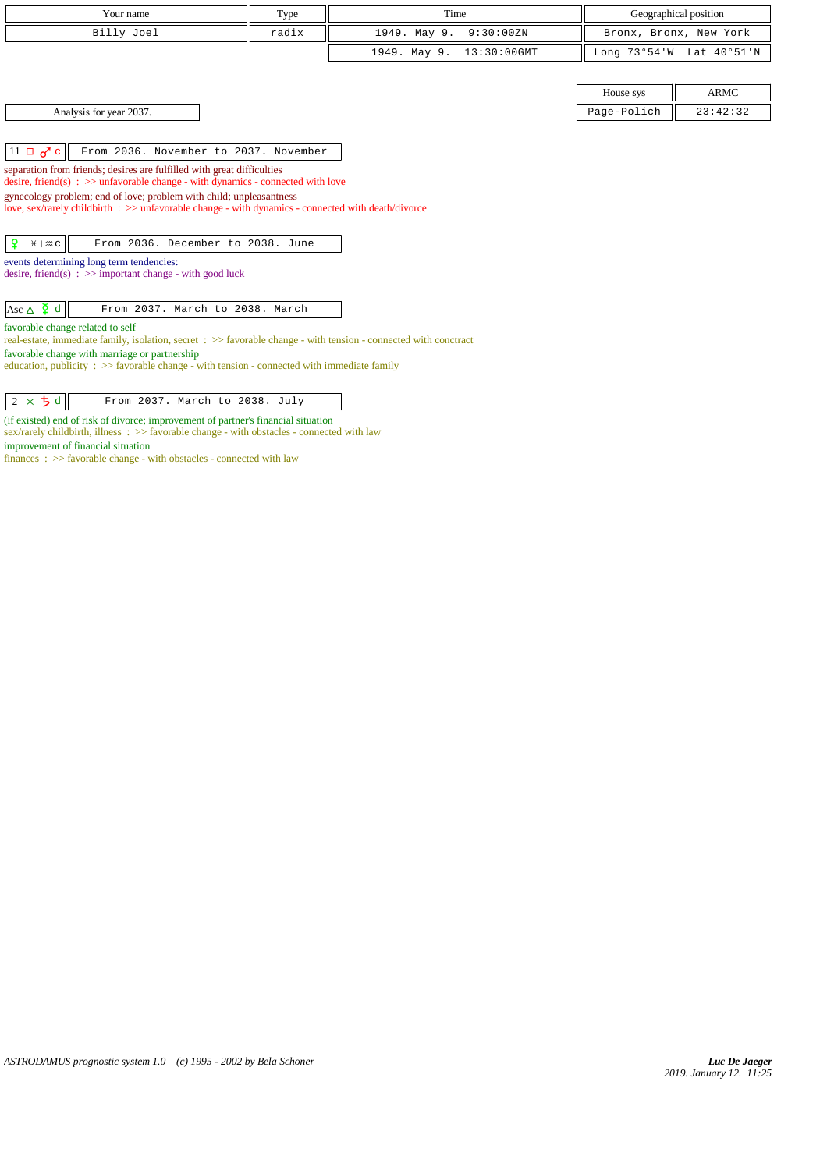| Your name                                                                                                                                                                                                                                                                                            | Type  | Time                           |             | Geographical position    |  |  |
|------------------------------------------------------------------------------------------------------------------------------------------------------------------------------------------------------------------------------------------------------------------------------------------------------|-------|--------------------------------|-------------|--------------------------|--|--|
| Billy Joel                                                                                                                                                                                                                                                                                           | radix | 1949. May 9.<br>9:30:00ZN      |             | Bronx, Bronx, New York   |  |  |
|                                                                                                                                                                                                                                                                                                      |       | $13:30:00$ GMT<br>1949. May 9. |             | Long 73°54'W Lat 40°51'N |  |  |
|                                                                                                                                                                                                                                                                                                      |       |                                |             |                          |  |  |
|                                                                                                                                                                                                                                                                                                      |       |                                | House sys   | <b>ARMC</b>              |  |  |
| Analysis for year 2037.                                                                                                                                                                                                                                                                              |       |                                | Page-Polich | 23:42:32                 |  |  |
|                                                                                                                                                                                                                                                                                                      |       |                                |             |                          |  |  |
| $11 \Box \sigma$ <sup>c</sup><br>From 2036. November to 2037. November                                                                                                                                                                                                                               |       |                                |             |                          |  |  |
| separation from friends; desires are fulfilled with great difficulties<br>desire, friend(s) : $\gg$ unfavorable change - with dynamics - connected with love                                                                                                                                         |       |                                |             |                          |  |  |
| gynecology problem; end of love; problem with child; unpleasantness<br>love, sex/rarely childbirth : >> unfavorable change - with dynamics - connected with death/divorce                                                                                                                            |       |                                |             |                          |  |  |
| ¥<br>From 2036. December to 2038. June<br>$H \mid \mathfrak{m}$ C                                                                                                                                                                                                                                    |       |                                |             |                          |  |  |
| events determining long term tendencies:<br>desire, friend(s) : $\gg$ important change - with good luck                                                                                                                                                                                              |       |                                |             |                          |  |  |
| Asc $\Delta$ $\Phi$ d<br>From 2037. March to 2038. March                                                                                                                                                                                                                                             |       |                                |             |                          |  |  |
| favorable change related to self<br>real-estate, immediate family, isolation, secret : >> favorable change - with tension - connected with conctract<br>favorable change with marriage or partnership<br>education, publicity : >> favorable change - with tension - connected with immediate family |       |                                |             |                          |  |  |
| $2 * 5 d$<br>From 2037. March to 2038. July                                                                                                                                                                                                                                                          |       |                                |             |                          |  |  |

(if existed) end of risk of divorce; improvement of partner's financial situation sex/rarely childbirth, illness : >> favorable change - with obstacles - connected with law improvement of financial situation

finances : >> favorable change - with obstacles - connected with law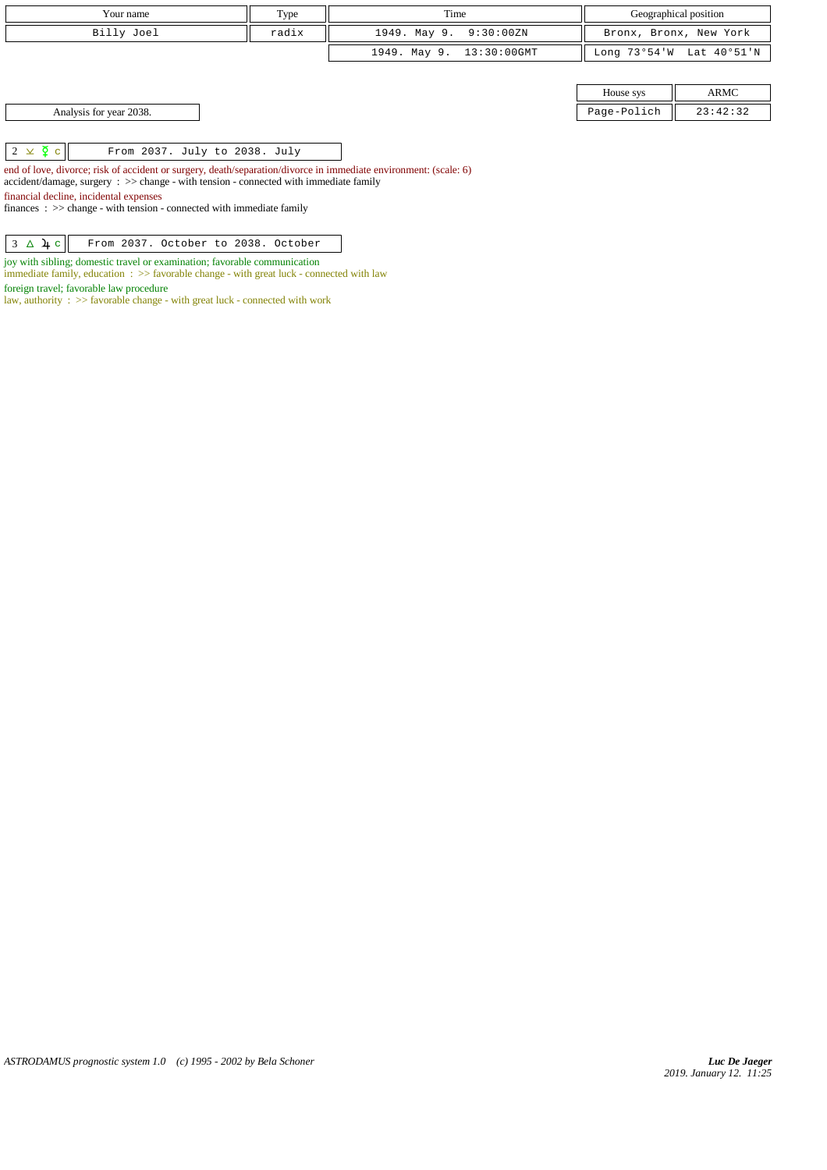| Type<br>Your name                                          |                                 | Time                     | Geographical position |                          |
|------------------------------------------------------------|---------------------------------|--------------------------|-----------------------|--------------------------|
| Billy Joel                                                 | radix<br>1949. May 9. 9:30:00ZN |                          |                       | Bronx, Bronx, New York   |
|                                                            |                                 | 1949. May 9. 13:30:00GMT |                       | Long 73°54'W Lat 40°51'N |
|                                                            |                                 |                          |                       |                          |
|                                                            |                                 |                          | House sys             | ARMC                     |
| Analysis for year 2038.                                    |                                 |                          | Page-Polich           | 23:42:32                 |
|                                                            |                                 |                          |                       |                          |
| $2 \times \overline{2}$ c<br>From 2037. July to 2038. July |                                 |                          |                       |                          |

end of love, divorce; risk of accident or surgery, death/separation/divorce in immediate environment: (scale: 6) accident/damage, surgery : >> change - with tension - connected with immediate family financial decline, incidental expenses

finances : >> change - with tension - connected with immediate family

| $3 \Delta \mu c$ From 2037. October to 2038. October |  |  |  |  |  |  |
|------------------------------------------------------|--|--|--|--|--|--|
|------------------------------------------------------|--|--|--|--|--|--|

joy with sibling; domestic travel or examination; favorable communication immediate family, education : >> favorable change - with great luck - connected with law

foreign travel; favorable law procedure

law, authority :  $\gg$  favorable change - with great luck - connected with work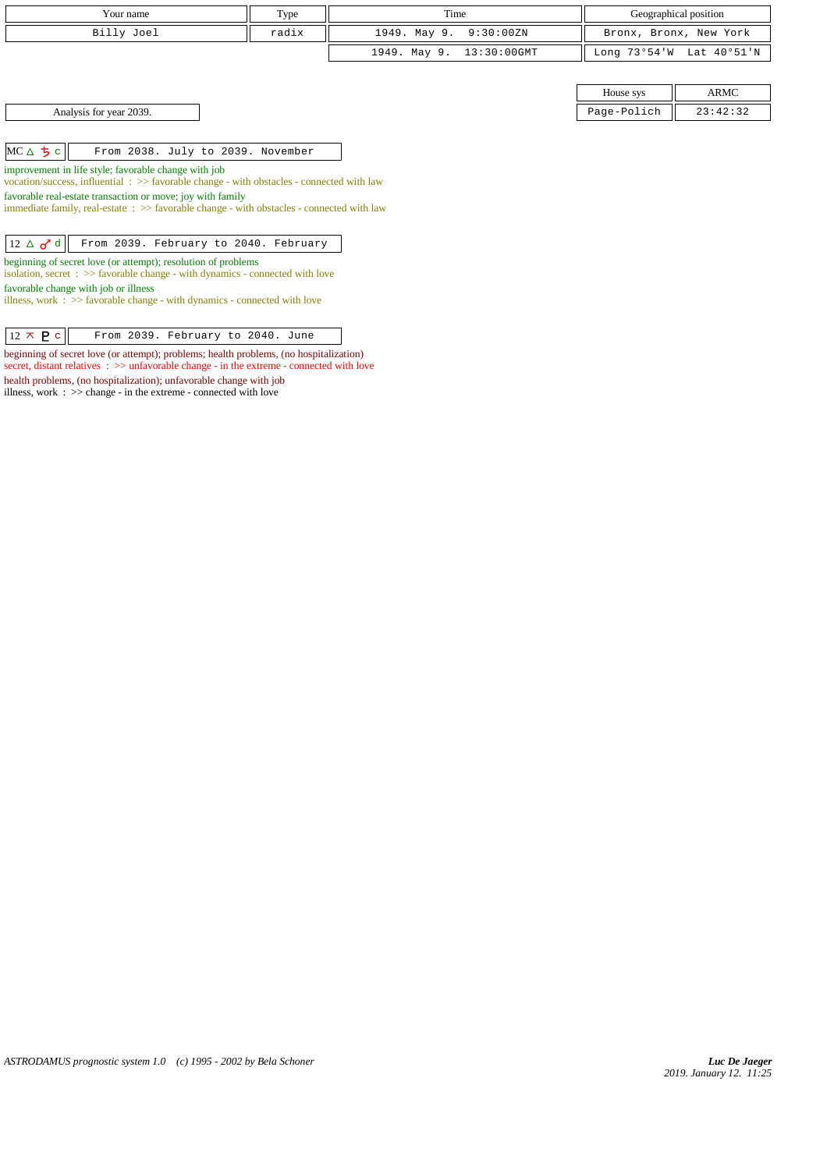| Your name                                                                                                                                              | Type  | Time                           |              | Geographical position  |  |  |
|--------------------------------------------------------------------------------------------------------------------------------------------------------|-------|--------------------------------|--------------|------------------------|--|--|
| Billy Joel                                                                                                                                             | radix | 1949. May 9.<br>9:30:00ZN      |              | Bronx, Bronx, New York |  |  |
|                                                                                                                                                        |       | 1949. May 9.<br>$13:30:00$ GMT | Long 73°54'W | Lat 40°51'N            |  |  |
|                                                                                                                                                        |       |                                |              |                        |  |  |
|                                                                                                                                                        |       |                                | House sys    | <b>ARMC</b>            |  |  |
| Analysis for year 2039.                                                                                                                                |       |                                | Page-Polich  | 23:42:32               |  |  |
|                                                                                                                                                        |       |                                |              |                        |  |  |
| $MC \triangle \frac{1}{2}c$<br>From 2038. July to 2039. November                                                                                       |       |                                |              |                        |  |  |
| improvement in life style; favorable change with job                                                                                                   |       |                                |              |                        |  |  |
| vocation/success, influential: >> favorable change - with obstacles - connected with law<br>favorable real-estate transaction or move; joy with family |       |                                |              |                        |  |  |
| immediate family, real-estate $\Rightarrow$ > favorable change - with obstacles - connected with law                                                   |       |                                |              |                        |  |  |
|                                                                                                                                                        |       |                                |              |                        |  |  |
| $12 \triangle \sigma^{\dagger}$ d<br>From 2039. February to 2040. February                                                                             |       |                                |              |                        |  |  |
| beginning of secret love (or attempt); resolution of problems<br>isolation, secret : >> favorable change - with dynamics - connected with love         |       |                                |              |                        |  |  |
| favorable change with job or illness                                                                                                                   |       |                                |              |                        |  |  |
| illness, work $\Rightarrow$ > favorable change - with dynamics - connected with love                                                                   |       |                                |              |                        |  |  |
|                                                                                                                                                        |       |                                |              |                        |  |  |
| $12 \times P$ c<br>From 2039. February to 2040. June                                                                                                   |       |                                |              |                        |  |  |

beginning of secret love (or attempt); problems; health problems, (no hospitalization) secret, distant relatives : >> unfavorable change - in the extreme - connected with love

health problems, (no hospitalization); unfavorable change with job illness, work : >> change - in the extreme - connected with love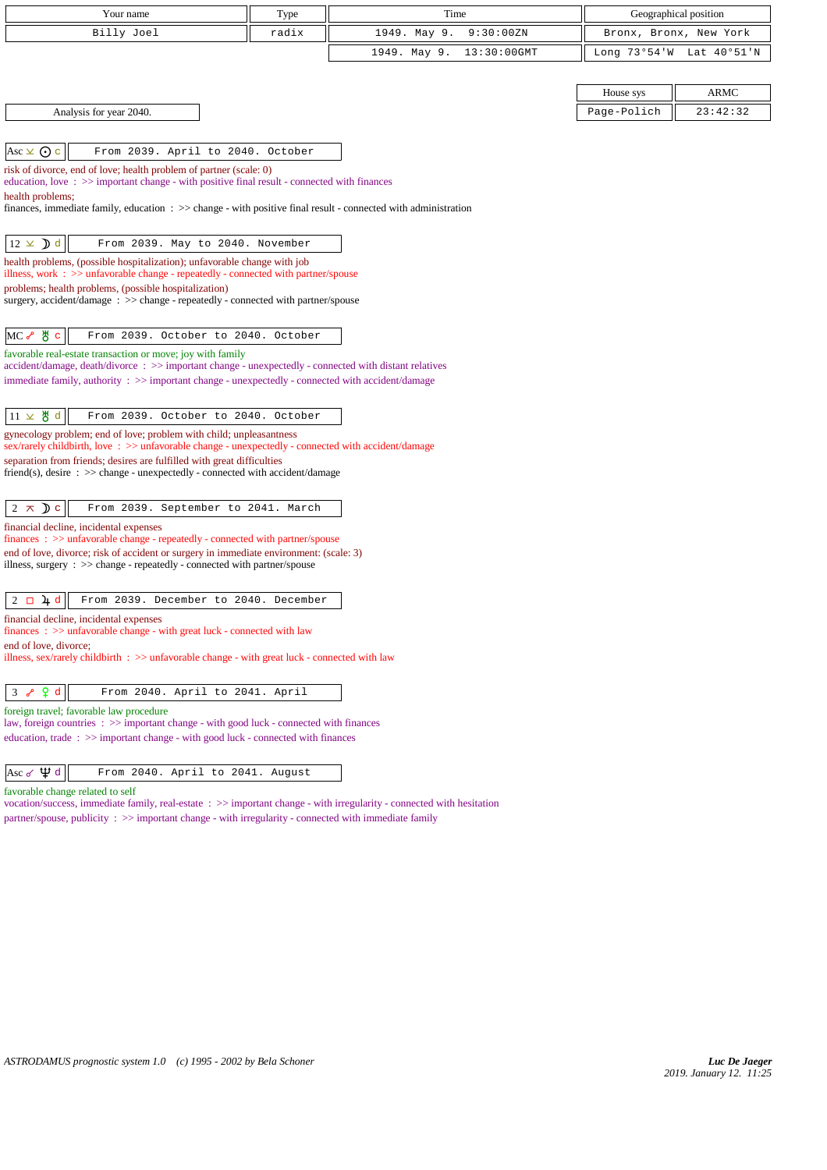| Your name                                                                                                                                                                                                                                                                                                  | Type  | Time                        |             | Geographical position    |
|------------------------------------------------------------------------------------------------------------------------------------------------------------------------------------------------------------------------------------------------------------------------------------------------------------|-------|-----------------------------|-------------|--------------------------|
| Billy Joel                                                                                                                                                                                                                                                                                                 | radix | 1949. May 9.<br>9:30:00ZN   |             | Bronx, Bronx, New York   |
|                                                                                                                                                                                                                                                                                                            |       | 1949. May 9.<br>13:30:00GMT |             | Long 73°54'W Lat 40°51'N |
|                                                                                                                                                                                                                                                                                                            |       |                             |             |                          |
|                                                                                                                                                                                                                                                                                                            |       |                             | House sys   | ARMC                     |
| Analysis for year 2040.                                                                                                                                                                                                                                                                                    |       |                             | Page-Polich | 23:42:32                 |
|                                                                                                                                                                                                                                                                                                            |       |                             |             |                          |
| Asc $\times$ $\odot$ c<br>From 2039. April to 2040. October                                                                                                                                                                                                                                                |       |                             |             |                          |
| risk of divorce, end of love; health problem of partner (scale: 0)<br>education, love: $\gg$ important change - with positive final result - connected with finances<br>health problems;<br>finances, immediate family, education : >> change - with positive final result - connected with administration |       |                             |             |                          |
| $12 \times$ <b>)</b> d<br>From 2039. May to 2040. November                                                                                                                                                                                                                                                 |       |                             |             |                          |
| health problems, (possible hospitalization); unfavorable change with job                                                                                                                                                                                                                                   |       |                             |             |                          |
| illness, work $\Rightarrow$ > $\Rightarrow$ unfavorable change - repeatedly - connected with partner/spouse<br>problems; health problems, (possible hospitalization)                                                                                                                                       |       |                             |             |                          |
| surgery, accident/damage: >> change - repeatedly - connected with partner/spouse                                                                                                                                                                                                                           |       |                             |             |                          |
|                                                                                                                                                                                                                                                                                                            |       |                             |             |                          |
| $MC \rightarrow$ 5 $\sigma$<br>From 2039. October to 2040. October                                                                                                                                                                                                                                         |       |                             |             |                          |
| favorable real-estate transaction or move; joy with family<br>accident/damage, death/divorce: >> important change - unexpectedly - connected with distant relatives                                                                                                                                        |       |                             |             |                          |
| immediate family, authority : >> important change - unexpectedly - connected with accident/damage                                                                                                                                                                                                          |       |                             |             |                          |
|                                                                                                                                                                                                                                                                                                            |       |                             |             |                          |
| $11 \times$ 붕 d<br>From 2039. October to 2040. October                                                                                                                                                                                                                                                     |       |                             |             |                          |
| gynecology problem; end of love; problem with child; unpleasantness<br>sex/rarely childbirth, love: >> unfavorable change - unexpectedly - connected with accident/damage                                                                                                                                  |       |                             |             |                          |
| separation from friends; desires are fulfilled with great difficulties<br>friend(s), desire $\Rightarrow$ > change - unexpectedly - connected with accident/damage                                                                                                                                         |       |                             |             |                          |
| $2 \times D c$<br>From 2039. September to 2041. March                                                                                                                                                                                                                                                      |       |                             |             |                          |
| financial decline, incidental expenses                                                                                                                                                                                                                                                                     |       |                             |             |                          |
| finances: >> unfavorable change - repeatedly - connected with partner/spouse<br>end of love, divorce; risk of accident or surgery in immediate environment: (scale: 3)                                                                                                                                     |       |                             |             |                          |
| illness, surgery $\therefore$ $\gg$ change - repeatedly - connected with partner/spouse                                                                                                                                                                                                                    |       |                             |             |                          |
|                                                                                                                                                                                                                                                                                                            |       |                             |             |                          |
| $2 \Box 4 d$<br>From 2039. December to 2040. December                                                                                                                                                                                                                                                      |       |                             |             |                          |
| financial decline, incidental expenses<br>finances: >> unfavorable change - with great luck - connected with law                                                                                                                                                                                           |       |                             |             |                          |
| end of love, divorce:                                                                                                                                                                                                                                                                                      |       |                             |             |                          |
| illness, sex/rarely childbirth $\therefore$ >> unfavorable change - with great luck - connected with law                                                                                                                                                                                                   |       |                             |             |                          |
| Q d<br>From 2040. April to 2041. April<br>3 <sub>o</sub>                                                                                                                                                                                                                                                   |       |                             |             |                          |
| foreign travel; favorable law procedure                                                                                                                                                                                                                                                                    |       |                             |             |                          |
| law, foreign countries : >> important change - with good luck - connected with finances                                                                                                                                                                                                                    |       |                             |             |                          |
| education, trade: >> important change - with good luck - connected with finances                                                                                                                                                                                                                           |       |                             |             |                          |
| Asc $\sigma \psi d$<br>From 2040. April to 2041. August                                                                                                                                                                                                                                                    |       |                             |             |                          |

favorable change related to self

vocation/success, immediate family, real-estate : >> important change - with irregularity - connected with hesitation partner/spouse, publicity : >> important change - with irregularity - connected with immediate family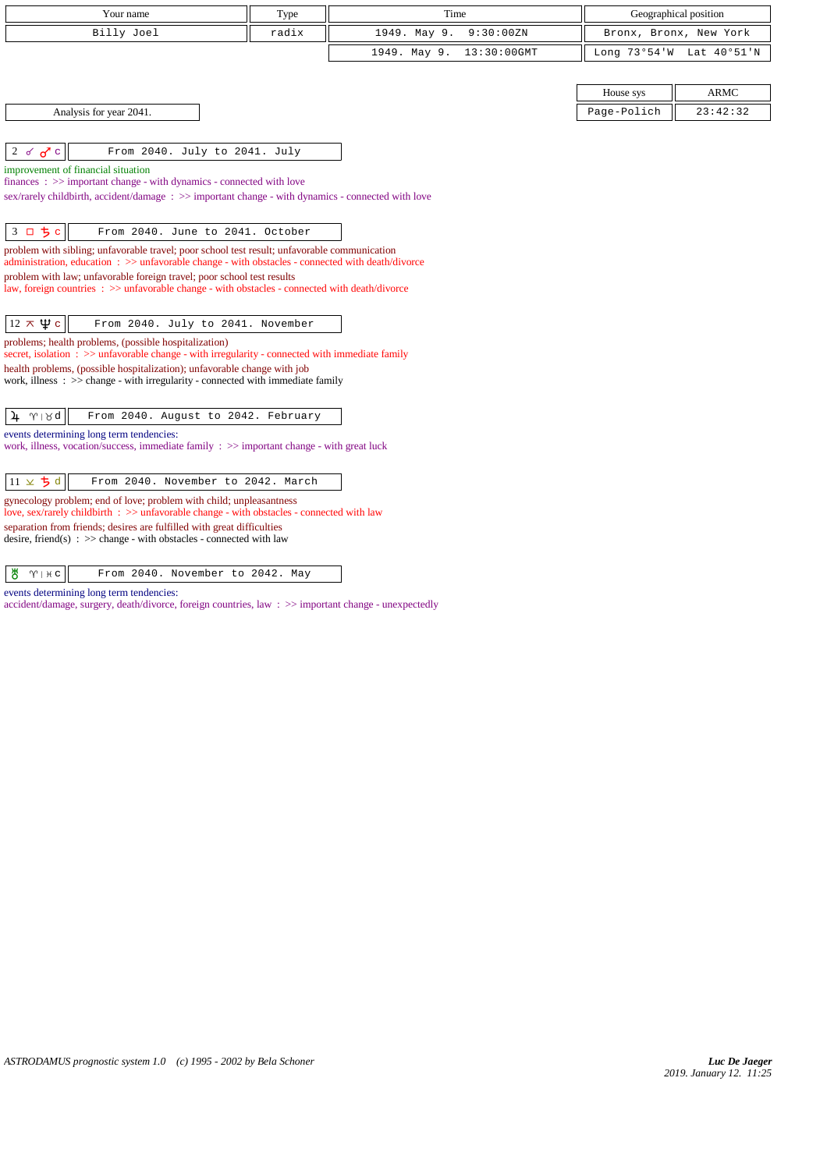| Your name                                                                                                                                                                                           | Type  | Time                           |                        | Geographical position    |
|-----------------------------------------------------------------------------------------------------------------------------------------------------------------------------------------------------|-------|--------------------------------|------------------------|--------------------------|
| Billy Joel                                                                                                                                                                                          | radix | 1949. May 9.<br>9:30:00ZN      | Bronx, Bronx, New York |                          |
|                                                                                                                                                                                                     |       | 1949. May 9.<br>$13:30:00$ GMT |                        | Long 73°54'W Lat 40°51'N |
|                                                                                                                                                                                                     |       |                                |                        |                          |
|                                                                                                                                                                                                     |       |                                | House sys              | <b>ARMC</b>              |
| Analysis for year 2041.                                                                                                                                                                             |       |                                | Page-Polich            | 23:42:32                 |
|                                                                                                                                                                                                     |       |                                |                        |                          |
| 2 $\sigma$ $\sigma$ $\sigma$<br>From 2040. July to 2041. July                                                                                                                                       |       |                                |                        |                          |
| improvement of financial situation<br>$finances : \gg important change - with dynamics - connected with love$                                                                                       |       |                                |                        |                          |
| sex/rarely childbirth, accident/damage: $\gg$ important change - with dynamics - connected with love                                                                                                |       |                                |                        |                          |
|                                                                                                                                                                                                     |       |                                |                        |                          |
| 3 口 ち c<br>From 2040. June to 2041. October                                                                                                                                                         |       |                                |                        |                          |
| problem with sibling; unfavorable travel; poor school test result; unfavorable communication<br>administration, education: $\gg$ unfavorable change - with obstacles - connected with death/divorce |       |                                |                        |                          |
| problem with law; unfavorable foreign travel; poor school test results                                                                                                                              |       |                                |                        |                          |
| law, foreign countries : >> unfavorable change - with obstacles - connected with death/divorce                                                                                                      |       |                                |                        |                          |
|                                                                                                                                                                                                     |       |                                |                        |                          |
| $12 \times \Psi$ c<br>From 2040. July to 2041. November                                                                                                                                             |       |                                |                        |                          |
| problems; health problems, (possible hospitalization)<br>secret, isolation $\Rightarrow$ >> unfavorable change - with irregularity - connected with immediate family                                |       |                                |                        |                          |
| health problems, (possible hospitalization); unfavorable change with job                                                                                                                            |       |                                |                        |                          |
| work, illness $\Rightarrow$ $\Rightarrow$ change - with irregularity - connected with immediate family                                                                                              |       |                                |                        |                          |
| $\gamma \mid \beta d$<br>From 2040. August to 2042. February<br>4                                                                                                                                   |       |                                |                        |                          |
| events determining long term tendencies:                                                                                                                                                            |       |                                |                        |                          |
| work, illness, vocation/success, immediate family $\Rightarrow$ important change - with great luck                                                                                                  |       |                                |                        |                          |
|                                                                                                                                                                                                     |       |                                |                        |                          |
| $11 \times 5d$<br>From 2040. November to 2042. March                                                                                                                                                |       |                                |                        |                          |
| gynecology problem; end of love; problem with child; unpleasantness<br>love, sex/rarely childbirth : >> unfavorable change - with obstacles - connected with law                                    |       |                                |                        |                          |
| separation from friends; desires are fulfilled with great difficulties                                                                                                                              |       |                                |                        |                          |

desire, friend(s) : >> change - with obstacles - connected with law

| $\frac{1}{2}$ |  |  |  | From 2040. November to 2042. May |  |  |  |  |
|---------------|--|--|--|----------------------------------|--|--|--|--|
|---------------|--|--|--|----------------------------------|--|--|--|--|

events determining long term tendencies:

accident/damage, surgery, death/divorce, foreign countries, law : >> important change - unexpectedly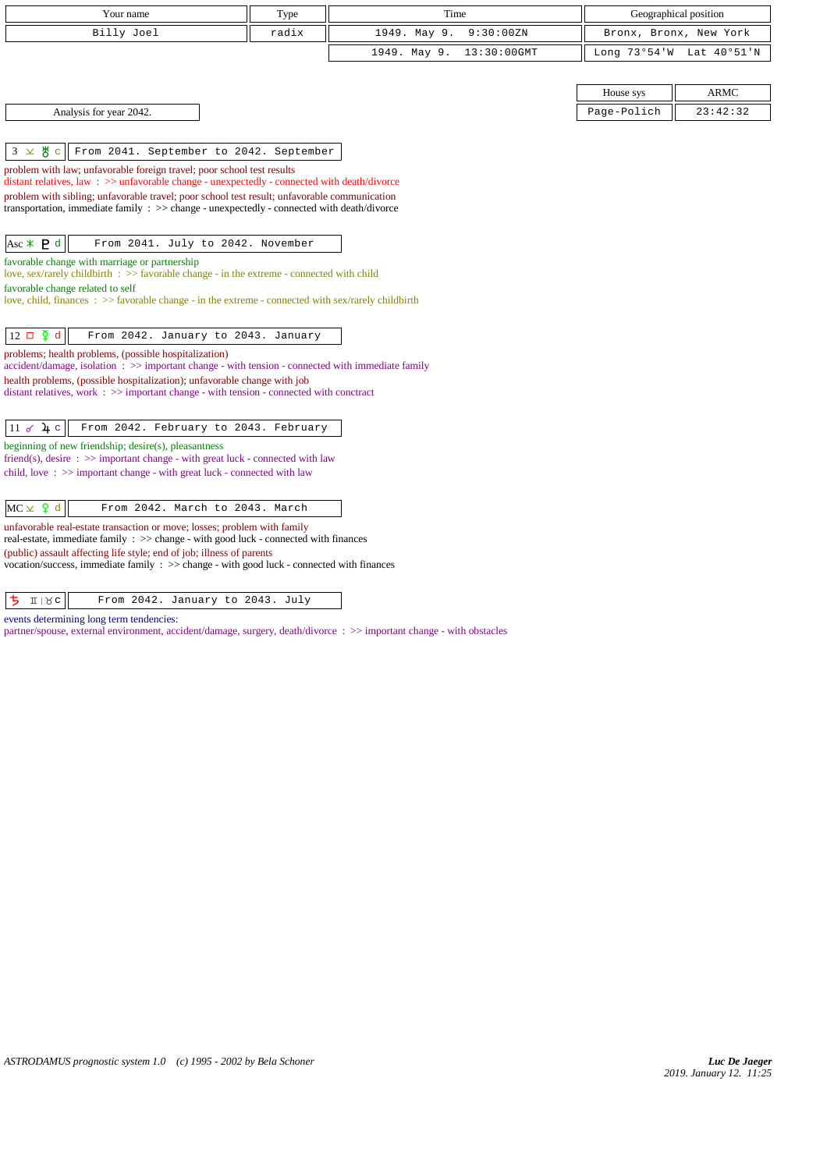| Your name                                                                                                                                                                                                         | Type  | Time                        |              | Geographical position  |
|-------------------------------------------------------------------------------------------------------------------------------------------------------------------------------------------------------------------|-------|-----------------------------|--------------|------------------------|
| Billy Joel                                                                                                                                                                                                        | radix | 1949. May 9.<br>9:30:00ZN   |              | Bronx, Bronx, New York |
|                                                                                                                                                                                                                   |       | 1949. May 9.<br>13:30:00GMT | Long 73°54'W | Lat 40°51'N            |
|                                                                                                                                                                                                                   |       |                             |              |                        |
|                                                                                                                                                                                                                   |       |                             | House sys    | <b>ARMC</b>            |
| Analysis for year 2042.                                                                                                                                                                                           |       |                             | Page-Polich  | 23:42:32               |
| ზ<br>$3 \times$<br>From 2041. September to 2042. September<br>$\mathbf C$                                                                                                                                         |       |                             |              |                        |
| problem with law; unfavorable foreign travel; poor school test results                                                                                                                                            |       |                             |              |                        |
| distant relatives, law: >> unfavorable change - unexpectedly - connected with death/divorce                                                                                                                       |       |                             |              |                        |
| problem with sibling; unfavorable travel; poor school test result; unfavorable communication<br>transportation, immediate family $\Rightarrow$ $\Rightarrow$ change - unexpectedly - connected with death/divorce |       |                             |              |                        |
|                                                                                                                                                                                                                   |       |                             |              |                        |
| Asc $*$ <b>P</b> d<br>From 2041. July to 2042. November                                                                                                                                                           |       |                             |              |                        |
| favorable change with marriage or partnership                                                                                                                                                                     |       |                             |              |                        |
| love, sex/rarely childbirth $\Rightarrow$ favorable change - in the extreme - connected with child<br>favorable change related to self                                                                            |       |                             |              |                        |
| love, child, finances $\Rightarrow$ favorable change - in the extreme - connected with sex/rarely childbirth                                                                                                      |       |                             |              |                        |
|                                                                                                                                                                                                                   |       |                             |              |                        |
| $12 \Box \Phi d$<br>From 2042. January to 2043. January                                                                                                                                                           |       |                             |              |                        |
| problems; health problems, (possible hospitalization)<br>accident/damage, isolation: >> important change - with tension - connected with immediate family                                                         |       |                             |              |                        |
| health problems, (possible hospitalization); unfavorable change with job                                                                                                                                          |       |                             |              |                        |
| distant relatives, work $\Rightarrow$ > important change - with tension - connected with conctract                                                                                                                |       |                             |              |                        |
| From 2042. February to 2043. February<br>$11 \times 4c$                                                                                                                                                           |       |                             |              |                        |
| beginning of new friendship; desire(s), pleasantness                                                                                                                                                              |       |                             |              |                        |
| friend(s), desire $\Rightarrow$ important change - with great luck - connected with law                                                                                                                           |       |                             |              |                        |
| child, love: $\gg$ important change - with great luck - connected with law                                                                                                                                        |       |                             |              |                        |
|                                                                                                                                                                                                                   |       |                             |              |                        |
| $MC \times 9 d$<br>From 2042. March to 2043. March                                                                                                                                                                |       |                             |              |                        |
| unfavorable real-estate transaction or move; losses; problem with family<br>real-estate, immediate family : >> change - with good luck - connected with finances                                                  |       |                             |              |                        |
| (public) assault affecting life style; end of job; illness of parents                                                                                                                                             |       |                             |              |                        |
| vocation/success, immediate family : >> change - with good luck - connected with finances                                                                                                                         |       |                             |              |                        |
|                                                                                                                                                                                                                   |       |                             |              |                        |
| <b>ち III8c</b><br>From 2042. January to 2043. July                                                                                                                                                                |       |                             |              |                        |

events determining long term tendencies:

partner/spouse, external environment, accident/damage, surgery, death/divorce : >> important change - with obstacles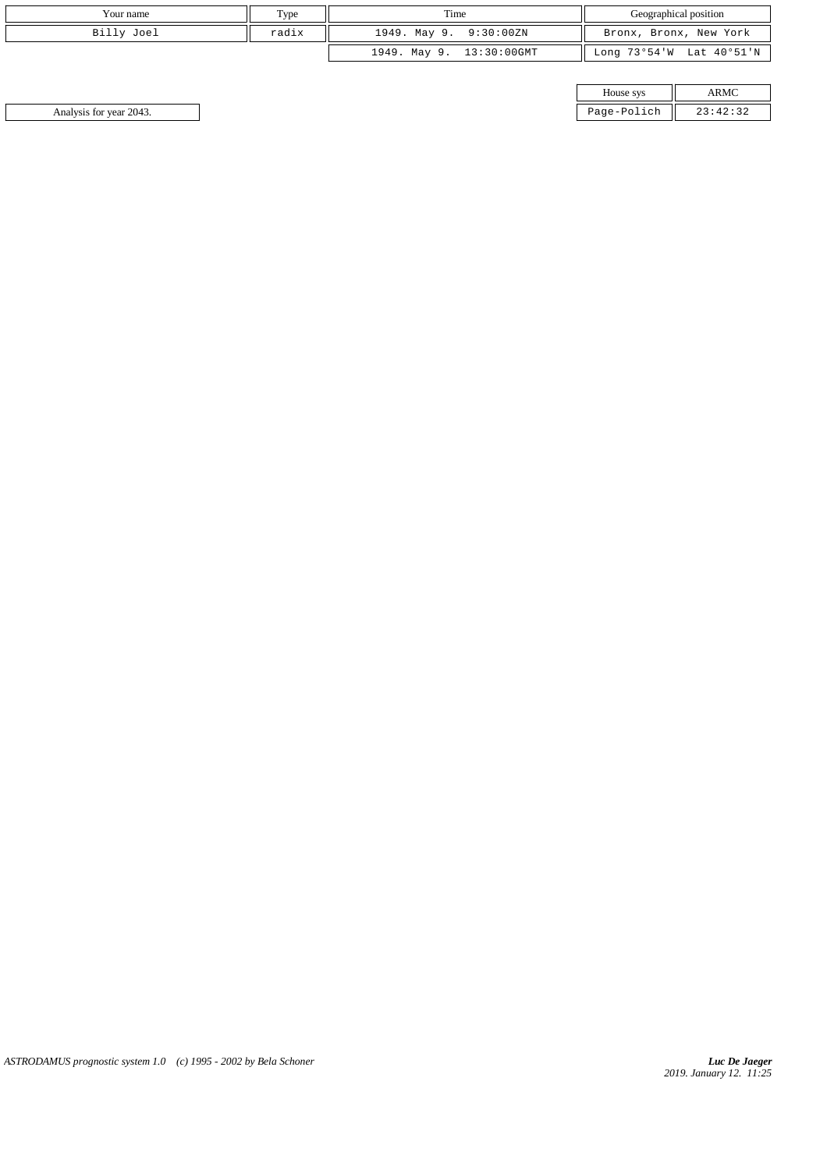| Your name  | Type  | Time                     | Geographical position    |
|------------|-------|--------------------------|--------------------------|
| Billy Joel | radix | 1949. May 9. 9:30:00ZN   | Bronx, Bronx, New York   |
|            |       | 1949. May 9. 13:30:00GMT | Long 73°54'W Lat 40°51'N |

| House sys   |          |
|-------------|----------|
| Page-Polich | 23:42:32 |

Analysis for year 2043. Page-Polich 23:42:32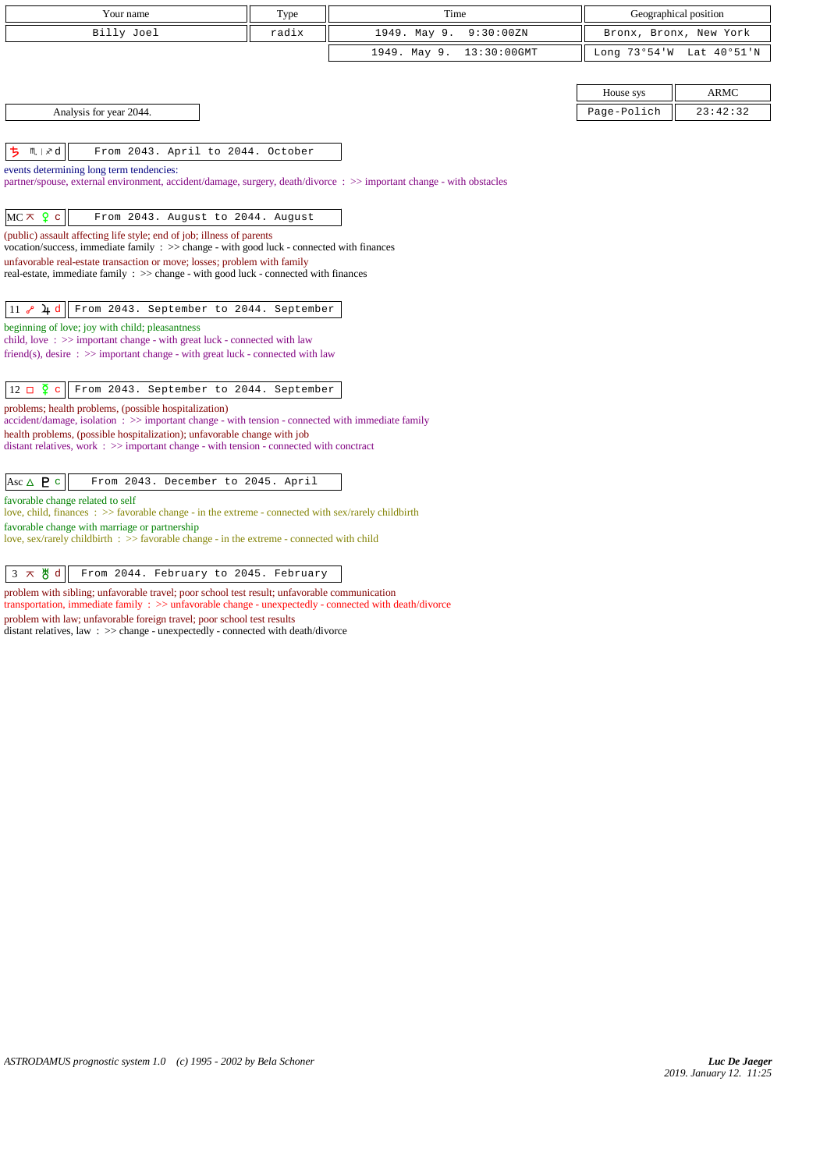| Your name                                                                                                                                                                   | Type  | Time                        | Geographical position  |             |
|-----------------------------------------------------------------------------------------------------------------------------------------------------------------------------|-------|-----------------------------|------------------------|-------------|
| Billy Joel                                                                                                                                                                  | radix | 1949. May 9.<br>9:30:00ZN   | Bronx, Bronx, New York |             |
|                                                                                                                                                                             |       | 1949. May 9.<br>13:30:00GMT | Long 73°54'W           | Lat 40°51'N |
|                                                                                                                                                                             |       |                             |                        |             |
|                                                                                                                                                                             |       |                             | House sys              | <b>ARMC</b> |
| Analysis for year 2044.                                                                                                                                                     |       |                             | Page-Polich            | 23:42:32    |
|                                                                                                                                                                             |       |                             |                        |             |
| ち<br>$M \mid x$ d<br>From 2043. April to 2044. October                                                                                                                      |       |                             |                        |             |
| events determining long term tendencies:                                                                                                                                    |       |                             |                        |             |
| partner/spouse, external environment, accident/damage, surgery, death/divorce: >> important change - with obstacles                                                         |       |                             |                        |             |
|                                                                                                                                                                             |       |                             |                        |             |
| $MC \times 9$ c<br>From 2043. August to 2044. August                                                                                                                        |       |                             |                        |             |
| (public) assault affecting life style; end of job; illness of parents<br>vocation/success, immediate family $\Rightarrow$ change - with good luck - connected with finances |       |                             |                        |             |
| unfavorable real-estate transaction or move; losses; problem with family                                                                                                    |       |                             |                        |             |
| real-estate, immediate family : >> change - with good luck - connected with finances                                                                                        |       |                             |                        |             |
|                                                                                                                                                                             |       |                             |                        |             |
| $11$ $8$ $4$ d<br>From 2043. September to 2044. September<br>beginning of love; joy with child; pleasantness                                                                |       |                             |                        |             |
| child, love: $\gg$ important change - with great luck - connected with law                                                                                                  |       |                             |                        |             |
| friend(s), desire $\Rightarrow$ important change - with great luck - connected with law                                                                                     |       |                             |                        |             |
|                                                                                                                                                                             |       |                             |                        |             |
| $12 \Box \overline{2}$<br>From 2043. September to 2044. September<br>$\mathbf{C}$                                                                                           |       |                             |                        |             |
| problems; health problems, (possible hospitalization)<br>$accident/damage$ , isolation : $\gg$ important change - with tension - connected with immediate family            |       |                             |                        |             |
| health problems, (possible hospitalization); unfavorable change with job                                                                                                    |       |                             |                        |             |
| distant relatives, work $\Rightarrow$ > important change - with tension - connected with conctract                                                                          |       |                             |                        |             |
|                                                                                                                                                                             |       |                             |                        |             |
| Asc $\triangle$ <b>P</b> c<br>From 2043. December to 2045. April                                                                                                            |       |                             |                        |             |
| favorable change related to self<br>love, child, finances : $\gg$ favorable change - in the extreme - connected with sex/rarely childbirth                                  |       |                             |                        |             |
| favorable change with marriage or partnership                                                                                                                               |       |                             |                        |             |
| love, sex/rarely childbirth $\therefore$ >> favorable change - in the extreme - connected with child                                                                        |       |                             |                        |             |
| $3 \times 8$ d<br>From 2044. February to 2045. February                                                                                                                     |       |                             |                        |             |
| problem with sibling; unfavorable travel; poor school test result; unfavorable communication                                                                                |       |                             |                        |             |
| transportation, immediate family $\Rightarrow$ >> unfavorable change - unexpectedly - connected with death/divorce                                                          |       |                             |                        |             |
| problem with law; unfavorable foreign travel; poor school test results                                                                                                      |       |                             |                        |             |

distant relatives, law : >> change - unexpectedly - connected with death/divorce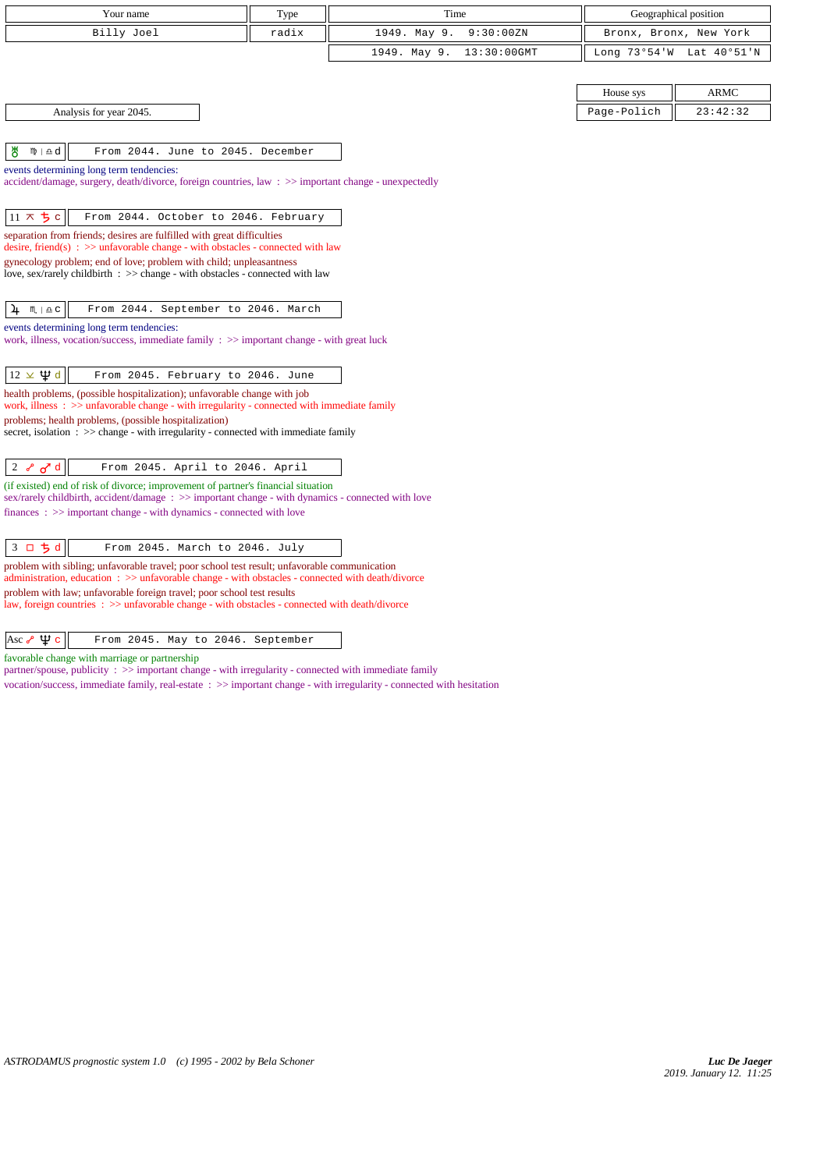| Your name                                                                                                                                                                                        | Type  | Time                        |              | Geographical position  |  |
|--------------------------------------------------------------------------------------------------------------------------------------------------------------------------------------------------|-------|-----------------------------|--------------|------------------------|--|
| Billy Joel                                                                                                                                                                                       | radix | 1949. May 9.<br>9:30:00ZN   |              | Bronx, Bronx, New York |  |
|                                                                                                                                                                                                  |       | 1949. May 9.<br>13:30:00GMT | Long 73°54'W | Lat 40°51'N            |  |
|                                                                                                                                                                                                  |       |                             |              |                        |  |
|                                                                                                                                                                                                  |       |                             | House sys    | <b>ARMC</b>            |  |
| Analysis for year 2045.                                                                                                                                                                          |       |                             | Page-Polich  | 23:42:32               |  |
|                                                                                                                                                                                                  |       |                             |              |                        |  |
| ₩<br>$m \mid \overline{v}$ d<br>From 2044. June to 2045. December                                                                                                                                |       |                             |              |                        |  |
| events determining long term tendencies:                                                                                                                                                         |       |                             |              |                        |  |
| accident/damage, surgery, death/divorce, foreign countries, law: >> important change - unexpectedly                                                                                              |       |                             |              |                        |  |
| $11 \times 5c$<br>From 2044. October to 2046. February                                                                                                                                           |       |                             |              |                        |  |
| separation from friends; desires are fulfilled with great difficulties                                                                                                                           |       |                             |              |                        |  |
| desire, friend(s) : $\gg$ unfavorable change - with obstacles - connected with law                                                                                                               |       |                             |              |                        |  |
| gynecology problem; end of love; problem with child; unpleasantness<br>love, sex/rarely childbirth : >> change - with obstacles - connected with law                                             |       |                             |              |                        |  |
|                                                                                                                                                                                                  |       |                             |              |                        |  |
| 4<br>$M \rvert \triangleq C$<br>From 2044. September to 2046. March                                                                                                                              |       |                             |              |                        |  |
| events determining long term tendencies:                                                                                                                                                         |       |                             |              |                        |  |
| work, illness, vocation/success, immediate family $\Rightarrow$ important change - with great luck                                                                                               |       |                             |              |                        |  |
| $12 \times \Psi d$<br>From 2045. February to 2046. June                                                                                                                                          |       |                             |              |                        |  |
| health problems, (possible hospitalization); unfavorable change with job                                                                                                                         |       |                             |              |                        |  |
| work, illness : $\gg$ unfavorable change - with irregularity - connected with immediate family                                                                                                   |       |                             |              |                        |  |
| problems; health problems, (possible hospitalization)<br>secret, isolation $\Rightarrow$ > $\Rightarrow$ change - with irregularity - connected with immediate family                            |       |                             |              |                        |  |
|                                                                                                                                                                                                  |       |                             |              |                        |  |
| 2 $\delta$ o <sup>d</sup><br>From 2045. April to 2046. April                                                                                                                                     |       |                             |              |                        |  |
| (if existed) end of risk of divorce; improvement of partner's financial situation                                                                                                                |       |                             |              |                        |  |
| sex/rarely childbirth, accident/damage: >> important change - with dynamics - connected with love<br>$finances: \gg important change - with dynamics - connected with love$                      |       |                             |              |                        |  |
|                                                                                                                                                                                                  |       |                             |              |                        |  |
| 3 口 ち d<br>From 2045. March to 2046. July                                                                                                                                                        |       |                             |              |                        |  |
| problem with sibling; unfavorable travel; poor school test result; unfavorable communication<br>administration, education: >> unfavorable change - with obstacles - connected with death/divorce |       |                             |              |                        |  |
| problem with law; unfavorable foreign travel; poor school test results                                                                                                                           |       |                             |              |                        |  |

law, foreign countries : >> unfavorable change - with obstacles - connected with death/divorce

favorable change with marriage or partnership

partner/spouse, publicity : >> important change - with irregularity - connected with immediate family

vocation/success, immediate family, real-estate : >> important change - with irregularity - connected with hesitation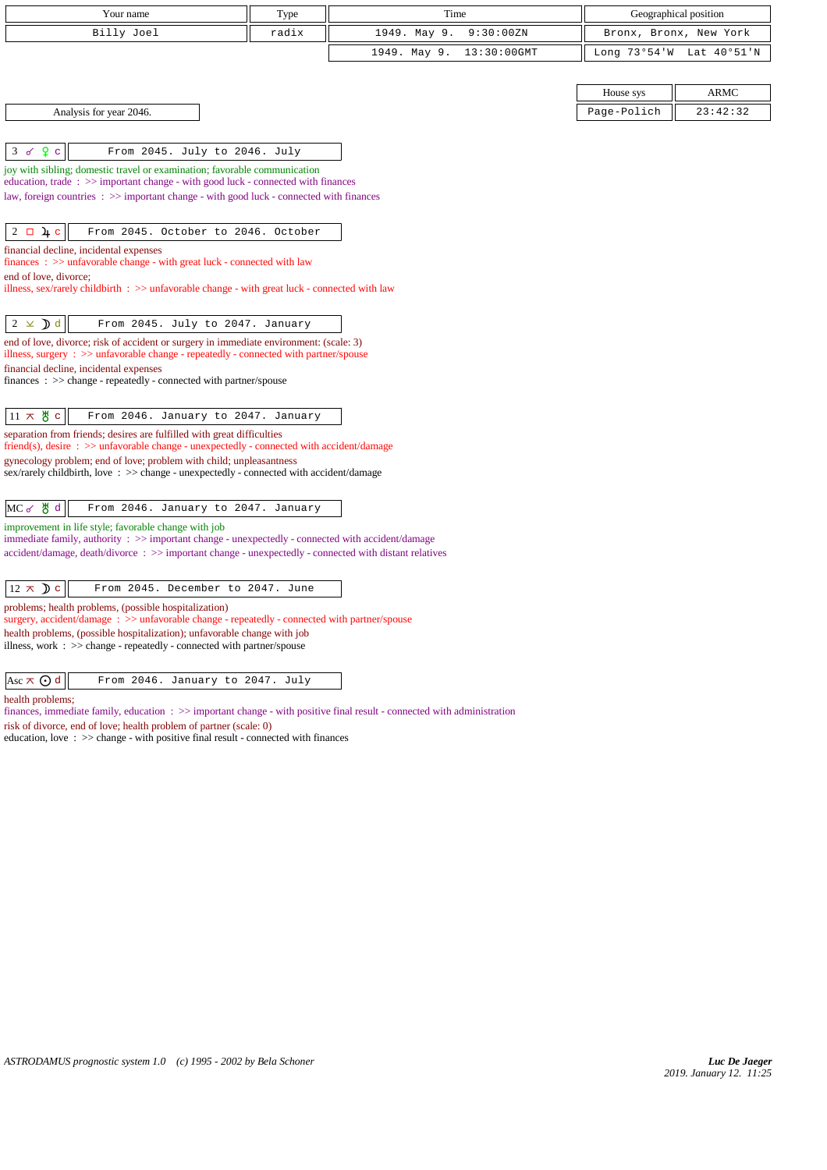| Your name                                                                                                                                                                                                  | Type  | Time                           |              | Geographical position  |
|------------------------------------------------------------------------------------------------------------------------------------------------------------------------------------------------------------|-------|--------------------------------|--------------|------------------------|
| Billy Joel                                                                                                                                                                                                 | radix | 1949. May 9.<br>9:30:00ZN      |              | Bronx, Bronx, New York |
|                                                                                                                                                                                                            |       | 1949. May 9.<br>$13:30:00$ GMT | Long 73°54'W | Lat $40°51'$ N         |
|                                                                                                                                                                                                            |       |                                |              |                        |
|                                                                                                                                                                                                            |       |                                | House sys    | <b>ARMC</b>            |
| Analysis for year 2046.                                                                                                                                                                                    |       |                                | Page-Polich  | 23:42:32               |
|                                                                                                                                                                                                            |       |                                |              |                        |
| Q <sub>c</sub><br>3<br>From 2045. July to 2046. July<br>ক                                                                                                                                                  |       |                                |              |                        |
| joy with sibling; domestic travel or examination; favorable communication<br>education, trade: $\gg$ important change - with good luck - connected with finances                                           |       |                                |              |                        |
| law, foreign countries : >> important change - with good luck - connected with finances                                                                                                                    |       |                                |              |                        |
|                                                                                                                                                                                                            |       |                                |              |                        |
| $2 \Box 4 c$<br>From 2045. October to 2046. October                                                                                                                                                        |       |                                |              |                        |
| financial decline, incidental expenses                                                                                                                                                                     |       |                                |              |                        |
| $finances : \gg$ unfavorable change - with great luck - connected with law<br>end of love, divorce;                                                                                                        |       |                                |              |                        |
| illness, sex/rarely childbirth $\therefore$ >> unfavorable change - with great luck - connected with law                                                                                                   |       |                                |              |                        |
|                                                                                                                                                                                                            |       |                                |              |                        |
| $2 \times d$<br>From 2045. July to 2047. January                                                                                                                                                           |       |                                |              |                        |
| end of love, divorce; risk of accident or surgery in immediate environment: (scale: 3)<br>illness, surgery : >> unfavorable change - repeatedly - connected with partner/spouse                            |       |                                |              |                        |
| financial decline, incidental expenses                                                                                                                                                                     |       |                                |              |                        |
| $finances : \gg change - repeatedly - connected with partner/spouse$                                                                                                                                       |       |                                |              |                        |
| $11 \times 8$ c<br>From 2046. January to 2047. January                                                                                                                                                     |       |                                |              |                        |
| separation from friends; desires are fulfilled with great difficulties                                                                                                                                     |       |                                |              |                        |
| $friend(s)$ , desire : $\gg$ unfavorable change - unexpectedly - connected with accident/damage                                                                                                            |       |                                |              |                        |
| gynecology problem; end of love; problem with child; unpleasantness<br>sex/rarely childbirth, love : >> change - unexpectedly - connected with accident/damage                                             |       |                                |              |                        |
|                                                                                                                                                                                                            |       |                                |              |                        |
| MC of 5 d<br>From 2046. January to 2047. January                                                                                                                                                           |       |                                |              |                        |
| improvement in life style; favorable change with job                                                                                                                                                       |       |                                |              |                        |
| immediate family, authority : >> important change - unexpectedly - connected with accident/damage<br>accident/damage, death/divorce: >> important change - unexpectedly - connected with distant relatives |       |                                |              |                        |
|                                                                                                                                                                                                            |       |                                |              |                        |
| $12 \times D c$<br>From 2045. December to 2047. June                                                                                                                                                       |       |                                |              |                        |
| problems; health problems, (possible hospitalization)                                                                                                                                                      |       |                                |              |                        |
| surgery, accident/damage: $\gg$ unfavorable change - repeatedly - connected with partner/spouse<br>health problems, (possible hospitalization); unfavorable change with job                                |       |                                |              |                        |
| illness, work $\therefore$ >> change - repeatedly - connected with partner/spouse                                                                                                                          |       |                                |              |                        |
|                                                                                                                                                                                                            |       |                                |              |                        |
| Asc $\pi$ $\odot$ d<br>From 2046. January to 2047. July                                                                                                                                                    |       |                                |              |                        |

health problems;

finances, immediate family, education : >> important change - with positive final result - connected with administration

risk of divorce, end of love; health problem of partner (scale: 0)

education, love : >> change - with positive final result - connected with finances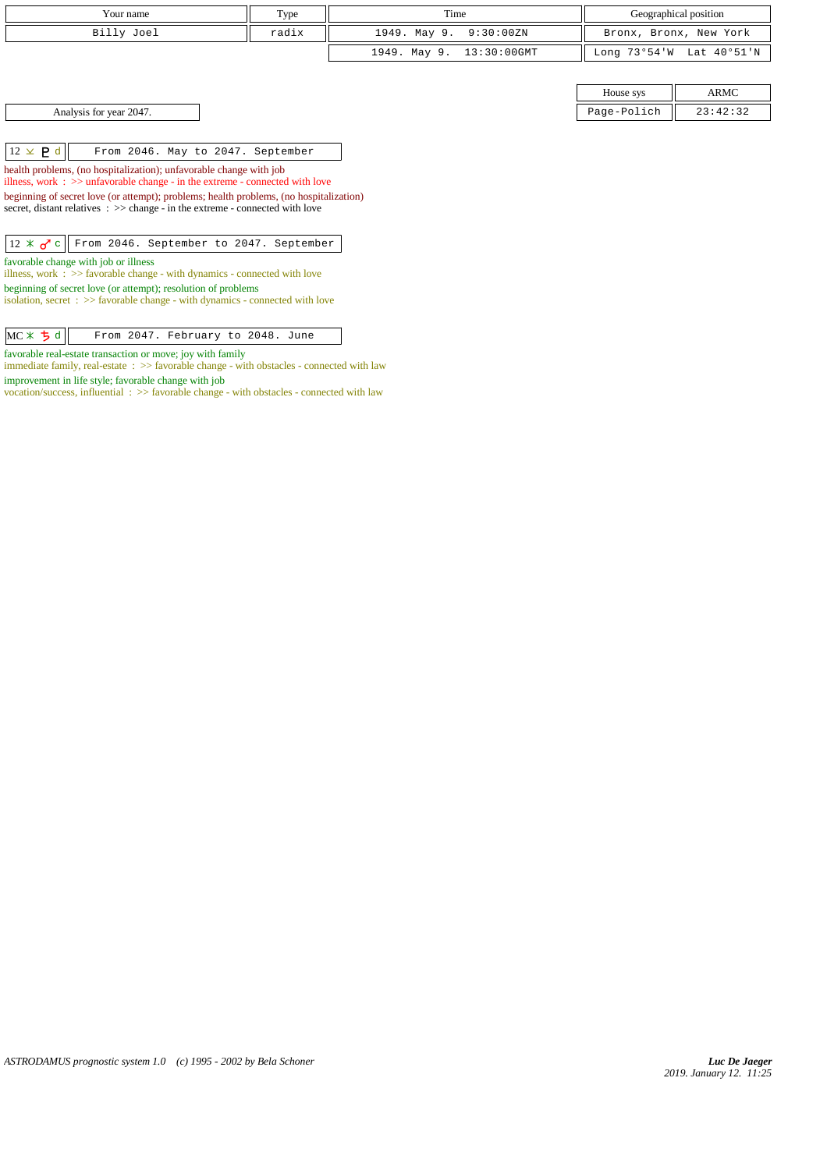| Your name                                                                                                                                                                                                                                                                                                                                                                                        | Type  | Time                        |              | Geographical position  |
|--------------------------------------------------------------------------------------------------------------------------------------------------------------------------------------------------------------------------------------------------------------------------------------------------------------------------------------------------------------------------------------------------|-------|-----------------------------|--------------|------------------------|
|                                                                                                                                                                                                                                                                                                                                                                                                  |       |                             |              |                        |
| Billy Joel                                                                                                                                                                                                                                                                                                                                                                                       | radix | 1949. May 9.<br>9:30:00ZN   |              | Bronx, Bronx, New York |
|                                                                                                                                                                                                                                                                                                                                                                                                  |       | 1949. May 9.<br>13:30:00GMT | Long 73°54'W | Lat 40°51'N            |
|                                                                                                                                                                                                                                                                                                                                                                                                  |       |                             |              |                        |
|                                                                                                                                                                                                                                                                                                                                                                                                  |       |                             | House sys    | ARMC                   |
| Analysis for year 2047.                                                                                                                                                                                                                                                                                                                                                                          |       |                             | Page-Polich  | 23:42:32               |
| $12 \times P d$<br>From 2046. May to 2047. September<br>health problems, (no hospitalization); unfavorable change with job<br>illness, work $\Rightarrow$ >> unfavorable change - in the extreme - connected with love<br>beginning of secret love (or attempt); problems; health problems, (no hospitalization)<br>secret, distant relatives : >> change - in the extreme - connected with love |       |                             |              |                        |
| 12 $\angle$ $\sigma$ c From 2046. September to 2047. September<br>favorable change with job or illness<br>illness, work $\Rightarrow$ 5 > favorable change - with dynamics - connected with love<br>beginning of secret love (or attempt); resolution of problems<br>isolation, secret $\Rightarrow$ >> favorable change - with dynamics - connected with love                                   |       |                             |              |                        |
| $MC \times 5d$<br>From 2047. February to 2048. June                                                                                                                                                                                                                                                                                                                                              |       |                             |              |                        |

favorable real-estate transaction or move; joy with family

immediate family, real-estate : >> favorable change - with obstacles - connected with law improvement in life style; favorable change with job

vocation/success, influential : >> favorable change - with obstacles - connected with law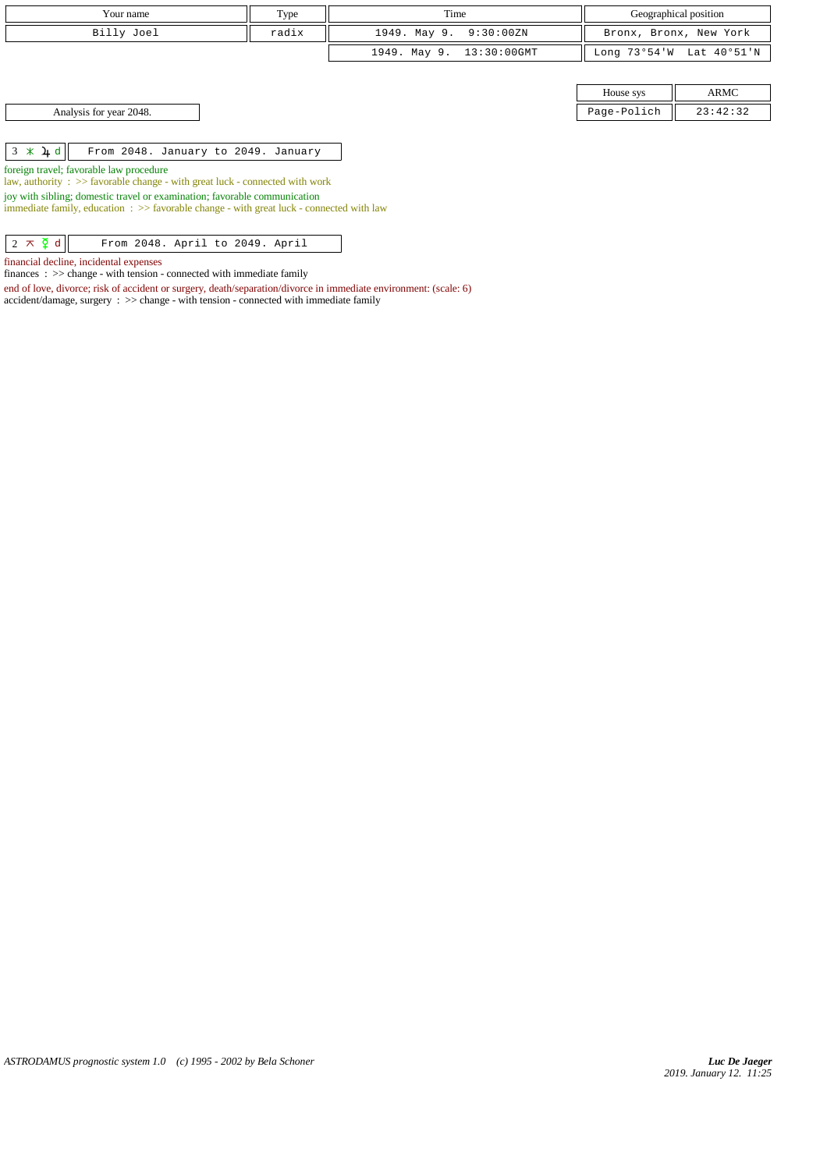| Your name                                                                                                                                                                      | Type  | Time                        |           | Geographical position    |  |  |
|--------------------------------------------------------------------------------------------------------------------------------------------------------------------------------|-------|-----------------------------|-----------|--------------------------|--|--|
| Billy Joel                                                                                                                                                                     | radix | 1949. May 9.<br>9:30:00ZN   |           | Bronx, Bronx, New York   |  |  |
|                                                                                                                                                                                |       | 1949. May 9.<br>13:30:00GMT |           | Long 73°54'W Lat 40°51'N |  |  |
|                                                                                                                                                                                |       |                             |           |                          |  |  |
|                                                                                                                                                                                |       |                             | House sys | ARMC                     |  |  |
| Page-Polich<br>Analysis for year 2048.<br>23:42:32                                                                                                                             |       |                             |           |                          |  |  |
|                                                                                                                                                                                |       |                             |           |                          |  |  |
| $3 \times 1 d$<br>From 2048. January to 2049. January                                                                                                                          |       |                             |           |                          |  |  |
| foreign travel; favorable law procedure<br>law, authority : $\gg$ favorable change - with great luck - connected with work                                                     |       |                             |           |                          |  |  |
| joy with sibling; domestic travel or examination; favorable communication<br>immediate family, education $\Rightarrow$ Savorable change - with great luck - connected with law |       |                             |           |                          |  |  |
|                                                                                                                                                                                |       |                             |           |                          |  |  |

 $\begin{array}{|c|c|c|c|c|}\n\hline\n2 \times \check{Q} & \text{d} & \text{From 2048. April to 2049. April}\n\hline\n\end{array}$ 

financial decline, incidental expenses

finances : >> change - with tension - connected with immediate family

end of love, divorce; risk of accident or surgery, death/separation/divorce in immediate environment: (scale: 6)

accident/damage, surgery : >> change - with tension - connected with immediate family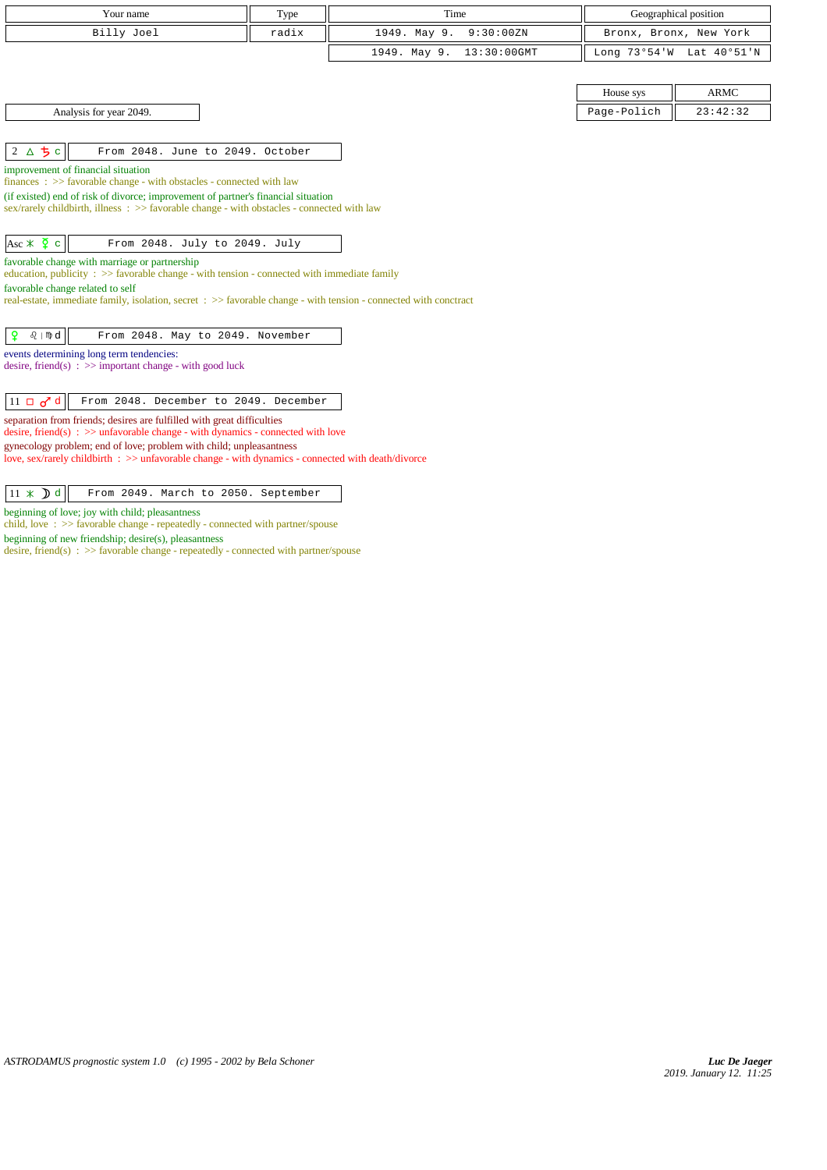|                                                                                                                                                                                 |       | Time                        |                        |             |
|---------------------------------------------------------------------------------------------------------------------------------------------------------------------------------|-------|-----------------------------|------------------------|-------------|
| Your name                                                                                                                                                                       | Type  |                             | Geographical position  |             |
| Billy Joel                                                                                                                                                                      | radix | 1949. May 9.<br>9:30:00 ZN  | Bronx, Bronx, New York |             |
|                                                                                                                                                                                 |       | 1949. May 9.<br>13:30:00GMT | Long 73°54'W           | Lat 40°51'N |
|                                                                                                                                                                                 |       |                             |                        |             |
|                                                                                                                                                                                 |       |                             | House sys              | <b>ARMC</b> |
| Analysis for year 2049.                                                                                                                                                         |       |                             | Page-Polich            | 23:42:32    |
|                                                                                                                                                                                 |       |                             |                        |             |
| 2 $\Delta$ 5 c<br>From 2048. June to 2049. October                                                                                                                              |       |                             |                        |             |
| improvement of financial situation                                                                                                                                              |       |                             |                        |             |
| finances: >> favorable change - with obstacles - connected with law                                                                                                             |       |                             |                        |             |
| (if existed) end of risk of divorce; improvement of partner's financial situation<br>sex/rarely childbirth, illness : >> favorable change - with obstacles - connected with law |       |                             |                        |             |
|                                                                                                                                                                                 |       |                             |                        |             |
| Asc $\angle$ $\frac{5}{4}$ c<br>From 2048. July to 2049. July                                                                                                                   |       |                             |                        |             |
|                                                                                                                                                                                 |       |                             |                        |             |
| favorable change with marriage or partnership<br>education, publicity $\Rightarrow$ S favorable change - with tension - connected with immediate family                         |       |                             |                        |             |
| favorable change related to self                                                                                                                                                |       |                             |                        |             |
| real-estate, immediate family, isolation, secret : >> favorable change - with tension - connected with conctract                                                                |       |                             |                        |             |
|                                                                                                                                                                                 |       |                             |                        |             |
| $\mathbf{Q}$<br>$\Omega$   mp $d$<br>From 2048. May to 2049. November                                                                                                           |       |                             |                        |             |
| events determining long term tendencies:                                                                                                                                        |       |                             |                        |             |
| desire, friend(s) : $\gg$ important change - with good luck                                                                                                                     |       |                             |                        |             |
|                                                                                                                                                                                 |       |                             |                        |             |
| $11 \Box \sigma^2 d$<br>From 2048. December to 2049. December                                                                                                                   |       |                             |                        |             |
| separation from friends; desires are fulfilled with great difficulties                                                                                                          |       |                             |                        |             |
| desire, friend(s) : $\gg$ unfavorable change - with dynamics - connected with love                                                                                              |       |                             |                        |             |
| gynecology problem; end of love; problem with child; unpleasantness<br>love, sex/rarely childbirth : >> unfavorable change - with dynamics - connected with death/divorce       |       |                             |                        |             |
|                                                                                                                                                                                 |       |                             |                        |             |
|                                                                                                                                                                                 |       |                             |                        |             |
| $11 \times D d$<br>From 2049. March to 2050. September                                                                                                                          |       |                             |                        |             |

beginning of love; joy with child; pleasantness

child, love : >> favorable change - repeatedly - connected with partner/spouse

beginning of new friendship; desire(s), pleasantness

desire, friend(s) : >> favorable change - repeatedly - connected with partner/spouse